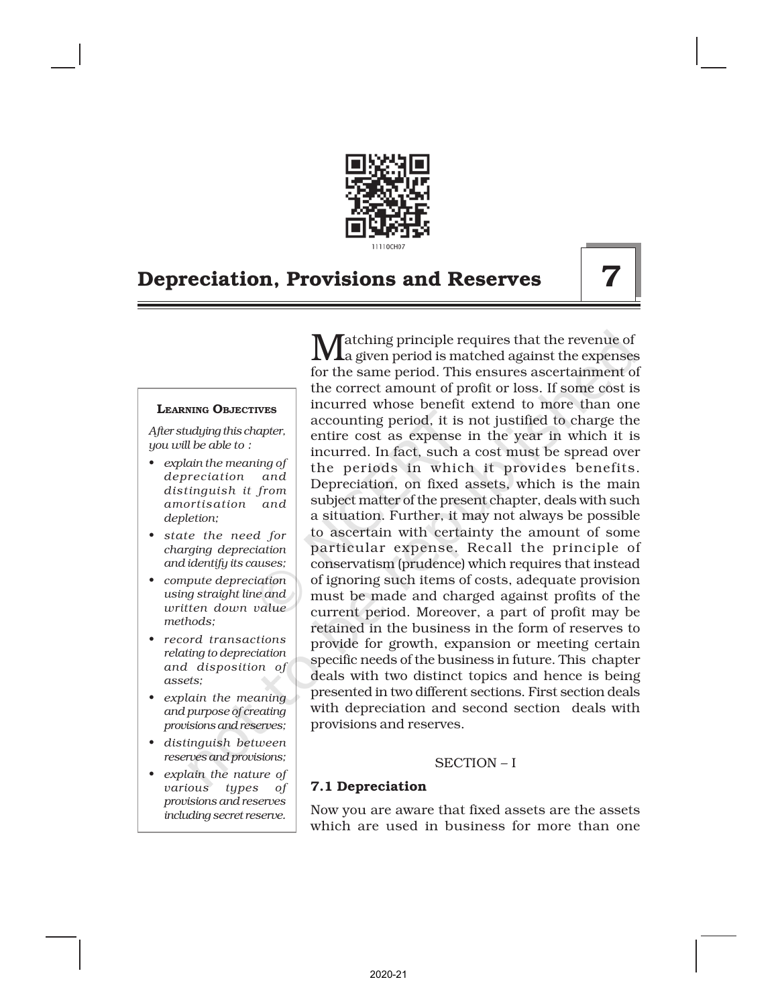

#### LEARNING OBJECTIVES

*After studying this chapter, you will be able to :*

- *• explain the meaning of depreciation and distinguish it from amortisation and depletion;*
- *• state the need for charging depreciation and identify its causes;*
- *• compute depreciation using straight line and written down value methods;*
- *• record transactions relating to depreciation and disposition of assets;*
- *• explain the meaning and purpose of creating provisions and reserves;*
- *• distinguish between reserves and provisions;*
- *• explain the nature of various types of provisions and reserves including secret reserve.*

Matching principle requires that the revenue of a given period is matched against the expenses for the same period. This ensures ascertainment of the correct amount of profit or loss. If some cost is incurred whose benefit extend to more than one accounting period, it is not justified to charge the entire cost as expense in the year in which it is incurred. In fact, such a cost must be spread over the periods in which it provides benefits. Depreciation, on fixed assets, which is the main subject matter of the present chapter, deals with such a situation. Further, it may not always be possible to ascertain with certainty the amount of some particular expense. Recall the principle of conservatism (prudence) which requires that instead of ignoring such items of costs, adequate provision must be made and charged against profits of the current period. Moreover, a part of profit may be retained in the business in the form of reserves to provide for growth, expansion or meeting certain specific needs of the business in future. This chapter deals with two distinct topics and hence is being presented in two different sections. First section deals with depreciation and second section deals with provisions and reserves.

#### SECTION – I

### 7.1 Depreciation

Now you are aware that fixed assets are the assets which are used in business for more than one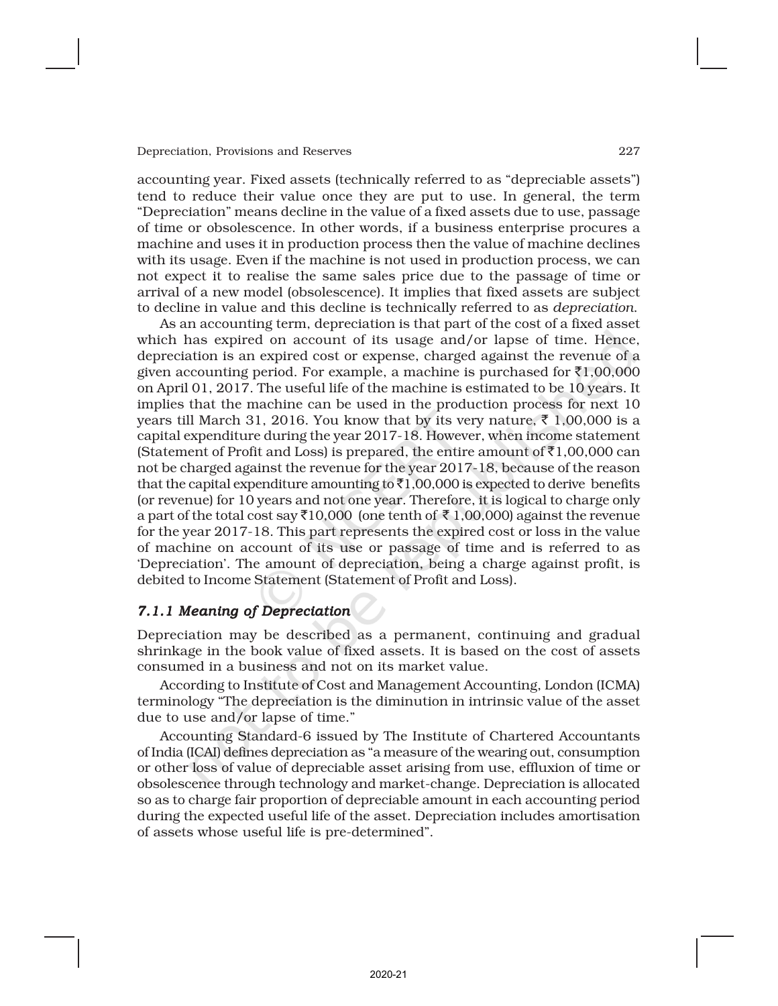accounting year. Fixed assets (technically referred to as "depreciable assets") tend to reduce their value once they are put to use. In general, the term "Depreciation" means decline in the value of a fixed assets due to use, passage of time or obsolescence. In other words, if a business enterprise procures a machine and uses it in production process then the value of machine declines with its usage. Even if the machine is not used in production process, we can not expect it to realise the same sales price due to the passage of time or arrival of a new model (obsolescence). It implies that fixed assets are subject to decline in value and this decline is technically referred to as *depreciation*.

As an accounting term, depreciation is that part of the cost of a fixed asset which has expired on account of its usage and/or lapse of time. Hence, depreciation is an expired cost or expense, charged against the revenue of a given accounting period. For example, a machine is purchased for  $\bar{\tau}1,00,000$ on April 01, 2017. The useful life of the machine is estimated to be 10 years. It implies that the machine can be used in the production process for next 10 years till March 31, 2016. You know that by its very nature,  $\bar{\tau}$  1,00,000 is a capital expenditure during the year 2017-18. However, when income statement (Statement of Profit and Loss) is prepared, the entire amount of  $\bar{\tau}1,00,000$  can not be charged against the revenue for the year 2017-18, because of the reason that the capital expenditure amounting to  $\bar{\tau}1,00,000$  is expected to derive benefits (or revenue) for 10 years and not one year. Therefore, it is logical to charge only a part of the total cost say  $\overline{3}10,000$  (one tenth of  $\overline{3}1,00,000$ ) against the revenue for the year 2017-18. This part represents the expired cost or loss in the value of machine on account of its use or passage of time and is referred to as 'Depreciation'. The amount of depreciation, being a charge against profit, is debited to Income Statement (Statement of Profit and Loss).

### *7.1.1 Meaning of Depreciation*

Depreciation may be described as a permanent, continuing and gradual shrinkage in the book value of fixed assets. It is based on the cost of assets consumed in a business and not on its market value.

According to Institute of Cost and Management Accounting, London (ICMA) terminology "The depreciation is the diminution in intrinsic value of the asset due to use and/or lapse of time."

Accounting Standard-6 issued by The Institute of Chartered Accountants of India (ICAI) defines depreciation as "a measure of the wearing out, consumption or other loss of value of depreciable asset arising from use, effluxion of time or obsolescence through technology and market-change. Depreciation is allocated so as to charge fair proportion of depreciable amount in each accounting period during the expected useful life of the asset. Depreciation includes amortisation of assets whose useful life is pre-determined".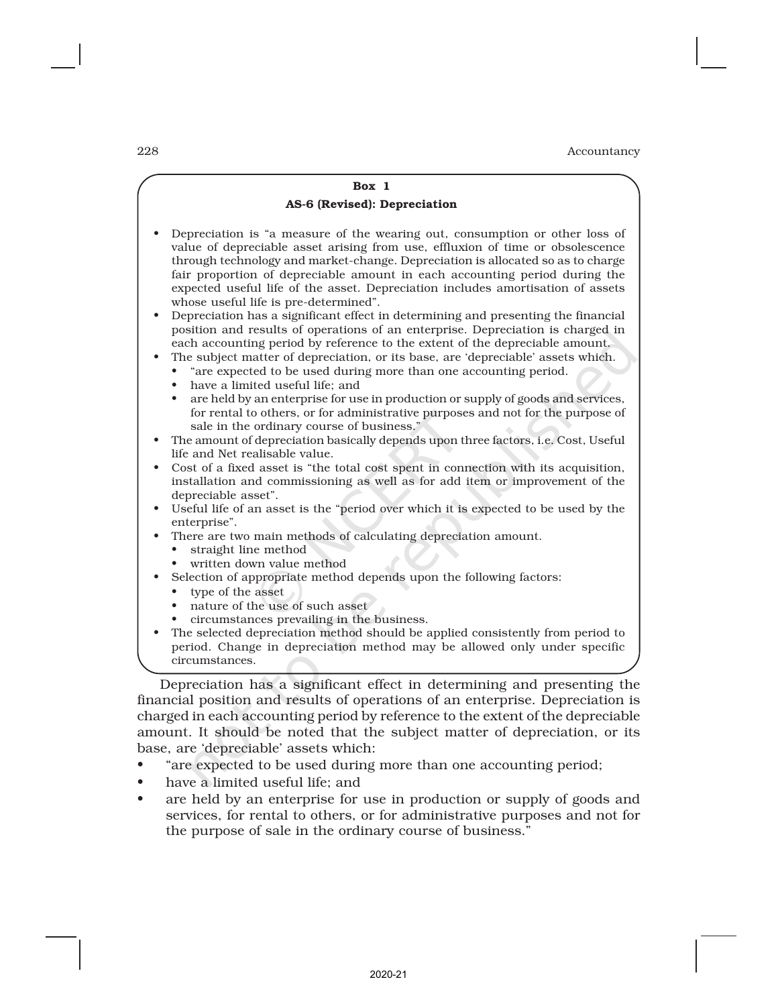### Box 1 AS-6 (Revised): Depreciation • Depreciation is "a measure of the wearing out, consumption or other loss of value of depreciable asset arising from use, effluxion of time or obsolescence through technology and market-change. Depreciation is allocated so as to charge fair proportion of depreciable amount in each accounting period during the expected useful life of the asset. Depreciation includes amortisation of assets whose useful life is pre-determined". • Depreciation has a significant effect in determining and presenting the financial position and results of operations of an enterprise. Depreciation is charged in each accounting period by reference to the extent of the depreciable amount. • The subject matter of depreciation, or its base, are 'depreciable' assets which. • "are expected to be used during more than one accounting period. • have a limited useful life; and • are held by an enterprise for use in production or supply of goods and services, for rental to others, or for administrative purposes and not for the purpose of sale in the ordinary course of business." • The amount of depreciation basically depends upon three factors, i.e. Cost, Useful life and Net realisable value. • Cost of a fixed asset is "the total cost spent in connection with its acquisition, installation and commissioning as well as for add item or improvement of the depreciable asset". • Useful life of an asset is the "period over which it is expected to be used by the enterprise". There are two main methods of calculating depreciation amount. straight line method written down value method Selection of appropriate method depends upon the following factors: type of the asset nature of the use of such asset • circumstances prevailing in the business. • The selected depreciation method should be applied consistently from period to period. Change in depreciation method may be allowed only under specific circumstances. Depreciation has a significant effect in determining and presenting the

financial position and results of operations of an enterprise. Depreciation is charged in each accounting period by reference to the extent of the depreciable amount. It should be noted that the subject matter of depreciation, or its base, are 'depreciable' assets which:

- "are expected to be used during more than one accounting period;
- have a limited useful life; and
- are held by an enterprise for use in production or supply of goods and services, for rental to others, or for administrative purposes and not for the purpose of sale in the ordinary course of business."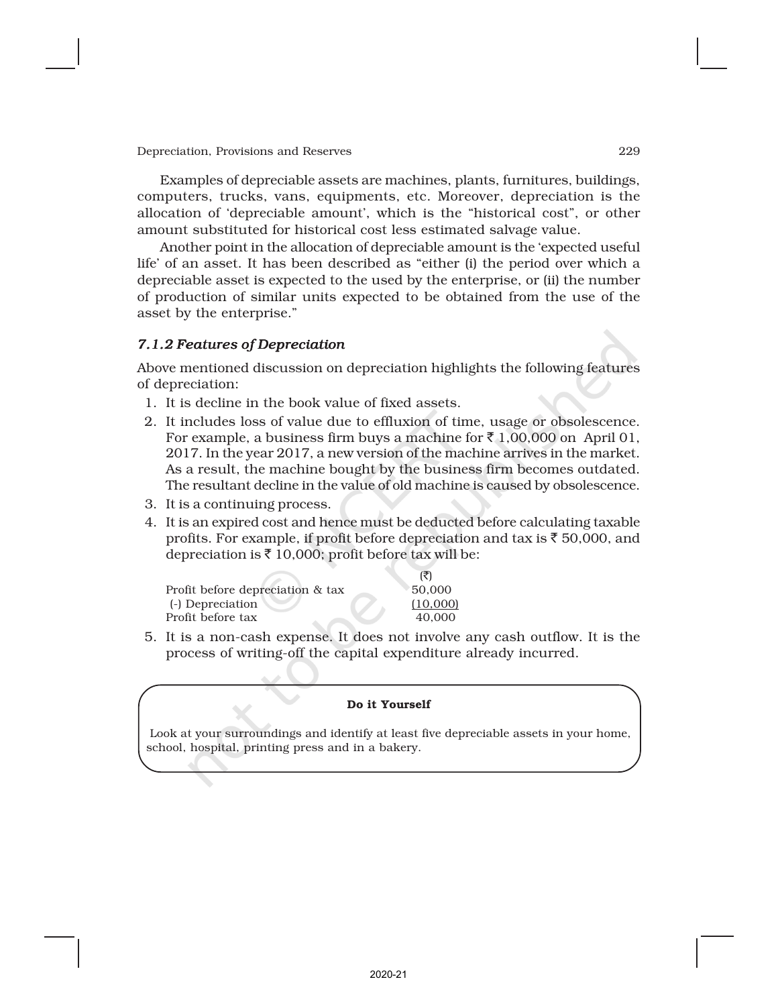Examples of depreciable assets are machines, plants, furnitures, buildings, computers, trucks, vans, equipments, etc. Moreover, depreciation is the allocation of 'depreciable amount', which is the "historical cost", or other amount substituted for historical cost less estimated salvage value.

Another point in the allocation of depreciable amount is the 'expected useful life' of an asset. It has been described as "either (i) the period over which a depreciable asset is expected to the used by the enterprise, or (ii) the number of production of similar units expected to be obtained from the use of the asset by the enterprise."

#### *7.1.2 Features of Depreciation*

Above mentioned discussion on depreciation highlights the following features of depreciation:

- 1. It is decline in the book value of fixed assets.
- 2. It includes loss of value due to effluxion of time, usage or obsolescence. For example, a business firm buys a machine for  $\bar{z}$  1,00,000 on April 01, 2017. In the year 2017, a new version of the machine arrives in the market. As a result, the machine bought by the business firm becomes outdated. The resultant decline in the value of old machine is caused by obsolescence.
- 3. It is a continuing process.
- 4. It is an expired cost and hence must be deducted before calculating taxable profits. For example, if profit before depreciation and tax is  $\bar{\tau}$  50,000, and depreciation is  $\bar{\tau}$  10,000; profit before tax will be:

|                                  | (3)      |
|----------------------------------|----------|
| Profit before depreciation & tax | 50,000   |
| (-) Depreciation                 | (10,000) |
| Profit before tax                | 40.000   |
|                                  |          |

5. It is a non-cash expense. It does not involve any cash outflow. It is the process of writing-off the capital expenditure already incurred.

#### Do it Yourself

 Look at your surroundings and identify at least five depreciable assets in your home, school, hospital, printing press and in a bakery.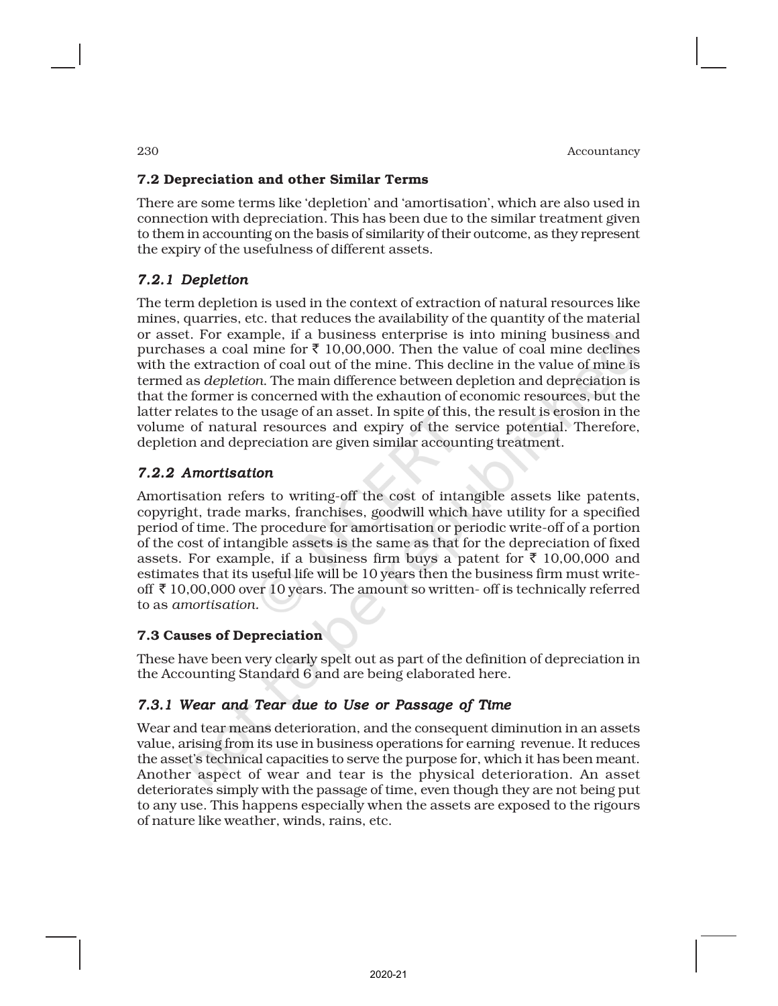# 7.2 Depreciation and other Similar Terms

There are some terms like 'depletion' and 'amortisation', which are also used in connection with depreciation. This has been due to the similar treatment given to them in accounting on the basis of similarity of their outcome, as they represent the expiry of the usefulness of different assets.

# *7.2.1 Depletion*

The term depletion is used in the context of extraction of natural resources like mines, quarries, etc. that reduces the availability of the quantity of the material or asset. For example, if a business enterprise is into mining business and purchases a coal mine for  $\bar{\tau}$  10,00,000. Then the value of coal mine declines with the extraction of coal out of the mine. This decline in the value of mine is termed as *depletion*. The main difference between depletion and depreciation is that the former is concerned with the exhaution of economic resources, but the latter relates to the usage of an asset. In spite of this, the result is erosion in the volume of natural resources and expiry of the service potential. Therefore, depletion and depreciation are given similar accounting treatment.

# *7.2.2 Amortisation*

Amortisation refers to writing-off the cost of intangible assets like patents, copyright, trade marks, franchises, goodwill which have utility for a specified period of time. The procedure for amortisation or periodic write-off of a portion of the cost of intangible assets is the same as that for the depreciation of fixed assets. For example, if a business firm buys a patent for  $\bar{\tau}$  10,00,000 and estimates that its useful life will be 10 years then the business firm must writeoff  $\bar{\tau}$  10,00,000 over 10 years. The amount so written- off is technically referred to as *amortisation.*

# 7.3 Causes of Depreciation

These have been very clearly spelt out as part of the definition of depreciation in the Accounting Standard 6 and are being elaborated here.

# *7.3.1 Wear and Tear due to Use or Passage of Time*

Wear and tear means deterioration, and the consequent diminution in an assets value, arising from its use in business operations for earning revenue. It reduces the asset's technical capacities to serve the purpose for, which it has been meant. Another aspect of wear and tear is the physical deterioration. An asset deteriorates simply with the passage of time, even though they are not being put to any use. This happens especially when the assets are exposed to the rigours of nature like weather, winds, rains, etc.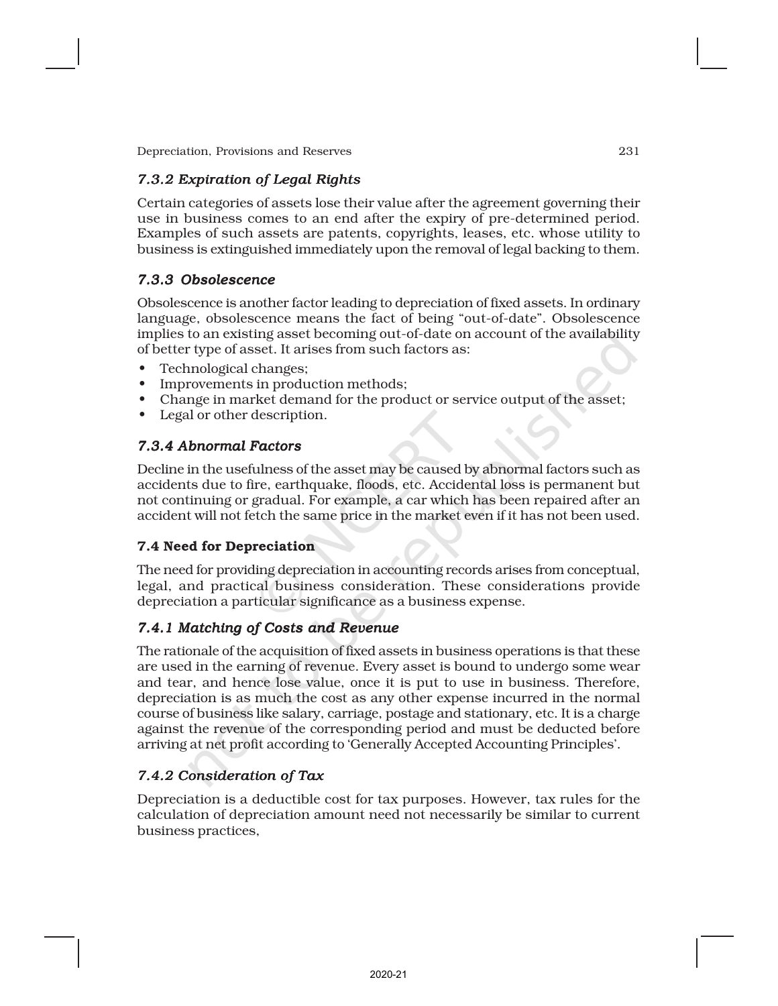# *7.3.2 Expiration of Legal Rights*

Certain categories of assets lose their value after the agreement governing their use in business comes to an end after the expiry of pre-determined period. Examples of such assets are patents, copyrights, leases, etc. whose utility to business is extinguished immediately upon the removal of legal backing to them.

# *7.3.3 Obsolescence*

Obsolescence is another factor leading to depreciation of fixed assets. In ordinary language, obsolescence means the fact of being "out-of-date". Obsolescence implies to an existing asset becoming out-of-date on account of the availability of better type of asset. It arises from such factors as:

- Technological changes;
- Improvements in production methods;
- Change in market demand for the product or service output of the asset;
- Legal or other description.

# *7.3.4 Abnormal Factors*

Decline in the usefulness of the asset may be caused by abnormal factors such as accidents due to fire, earthquake, floods, etc. Accidental loss is permanent but not continuing or gradual. For example, a car which has been repaired after an accident will not fetch the same price in the market even if it has not been used.

# 7.4 Need for Depreciation

The need for providing depreciation in accounting records arises from conceptual, legal, and practical business consideration. These considerations provide depreciation a particular significance as a business expense.

# *7.4.1 Matching of Costs and Revenue*

The rationale of the acquisition of fixed assets in business operations is that these are used in the earning of revenue. Every asset is bound to undergo some wear and tear, and hence lose value, once it is put to use in business. Therefore, depreciation is as much the cost as any other expense incurred in the normal course of business like salary, carriage, postage and stationary, etc. It is a charge against the revenue of the corresponding period and must be deducted before arriving at net profit according to 'Generally Accepted Accounting Principles'.

# *7.4.2 Consideration of Tax*

Depreciation is a deductible cost for tax purposes. However, tax rules for the calculation of depreciation amount need not necessarily be similar to current business practices,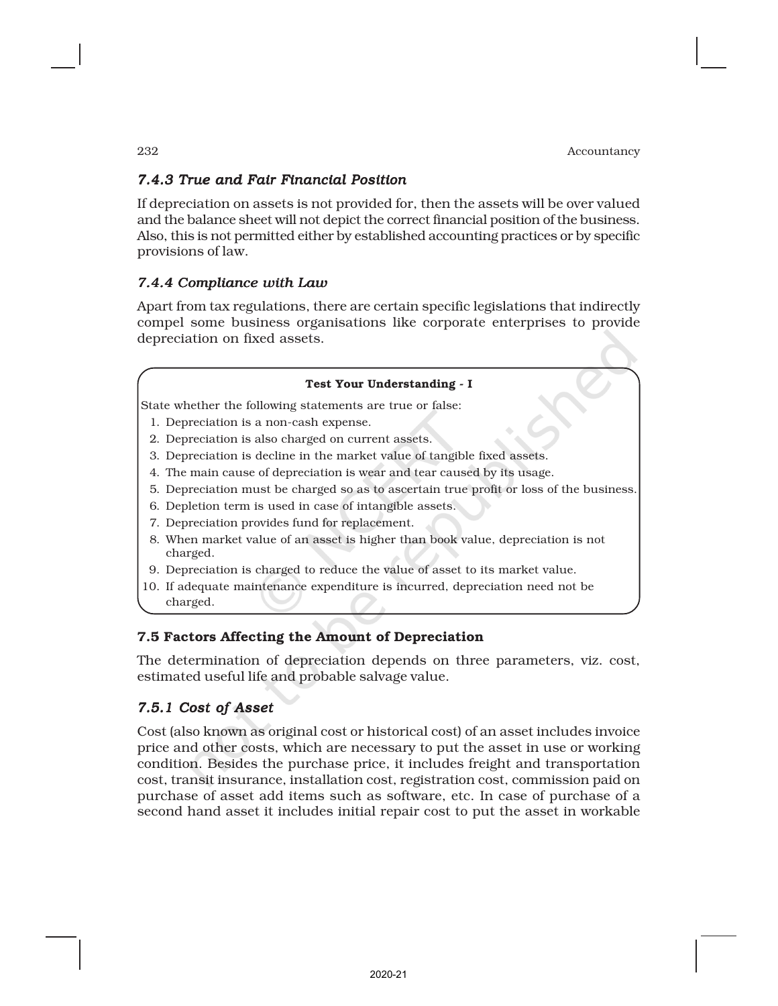# *7.4.3 True and Fair Financial Position*

If depreciation on assets is not provided for, then the assets will be over valued and the balance sheet will not depict the correct financial position of the business. Also, this is not permitted either by established accounting practices or by specific provisions of law.

# *7.4.4 Compliance with Law*

Apart from tax regulations, there are certain specific legislations that indirectly compel some business organisations like corporate enterprises to provide depreciation on fixed assets.

#### Test Your Understanding - I

State whether the following statements are true or false:

- 1. Depreciation is a non-cash expense.
- 2. Depreciation is also charged on current assets.
- 3. Depreciation is decline in the market value of tangible fixed assets.
- 4. The main cause of depreciation is wear and tear caused by its usage.
- 5. Depreciation must be charged so as to ascertain true profit or loss of the business.
- 6. Depletion term is used in case of intangible assets.
- 7. Depreciation provides fund for replacement.
- 8. When market value of an asset is higher than book value, depreciation is not charged.
- 9. Depreciation is charged to reduce the value of asset to its market value.
- 10. If adequate maintenance expenditure is incurred, depreciation need not be charged.

### 7.5 Factors Affecting the Amount of Depreciation

The determination of depreciation depends on three parameters, viz. cost, estimated useful life and probable salvage value.

# *7.5.1 Cost of Asset*

Cost (also known as original cost or historical cost) of an asset includes invoice price and other costs, which are necessary to put the asset in use or working condition. Besides the purchase price, it includes freight and transportation cost, transit insurance, installation cost, registration cost, commission paid on purchase of asset add items such as software, etc. In case of purchase of a second hand asset it includes initial repair cost to put the asset in workable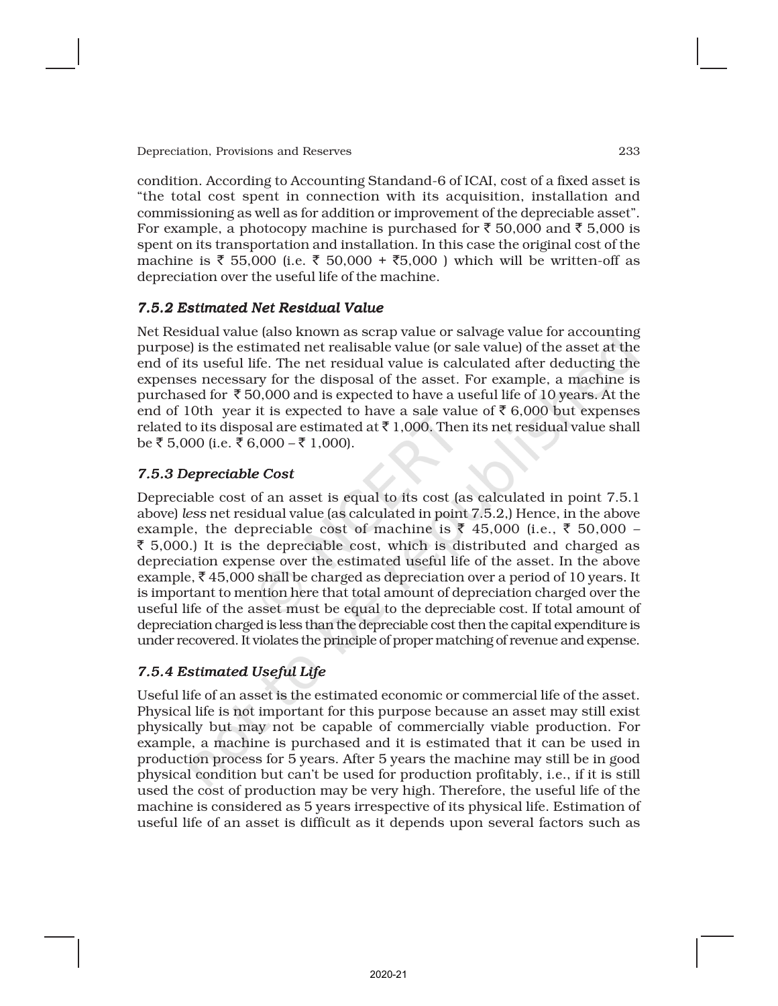condition. According to Accounting Standand-6 of ICAI, cost of a fixed asset is "the total cost spent in connection with its acquisition, installation and commissioning as well as for addition or improvement of the depreciable asset". For example, a photocopy machine is purchased for  $\bar{z}$  50,000 and  $\bar{z}$  5,000 is spent on its transportation and installation. In this case the original cost of the machine is ₹ 55,000 (i.e. ₹ 50,000 + ₹5,000) which will be written-off as depreciation over the useful life of the machine.

# *7.5.2 Estimated Net Residual Value*

Net Residual value (also known as scrap value or salvage value for accounting purpose) is the estimated net realisable value (or sale value) of the asset at the end of its useful life. The net residual value is calculated after deducting the expenses necessary for the disposal of the asset. For example, a machine is purchased for  $\bar{\tau}$  50,000 and is expected to have a useful life of 10 years. At the end of 10th year it is expected to have a sale value of  $\bar{\tau}$  6,000 but expenses related to its disposal are estimated at  $\bar{\tau}$  1,000. Then its net residual value shall be ₹ 5,000 (i.e. ₹ 6,000 – ₹ 1,000).

# *7.5.3 Depreciable Cost*

Depreciable cost of an asset is equal to its cost (as calculated in point 7.5.1 above) *less* net residual value (as calculated in point 7.5.2,) Hence, in the above example, the depreciable cost of machine is  $\bar{\tau}$  45,000 (i.e.,  $\bar{\tau}$  50,000 –  $\bar{\xi}$  5,000.) It is the depreciable cost, which is distributed and charged as depreciation expense over the estimated useful life of the asset. In the above example,  $\bar{\xi}$  45,000 shall be charged as depreciation over a period of 10 years. It is important to mention here that total amount of depreciation charged over the useful life of the asset must be equal to the depreciable cost. If total amount of depreciation charged is less than the depreciable cost then the capital expenditure is under recovered. It violates the principle of proper matching of revenue and expense.

# *7.5.4 Estimated Useful Life*

Useful life of an asset is the estimated economic or commercial life of the asset. Physical life is not important for this purpose because an asset may still exist physically but may not be capable of commercially viable production. For example, a machine is purchased and it is estimated that it can be used in production process for 5 years. After 5 years the machine may still be in good physical condition but can't be used for production profitably, i.e., if it is still used the cost of production may be very high. Therefore, the useful life of the machine is considered as 5 years irrespective of its physical life. Estimation of useful life of an asset is difficult as it depends upon several factors such as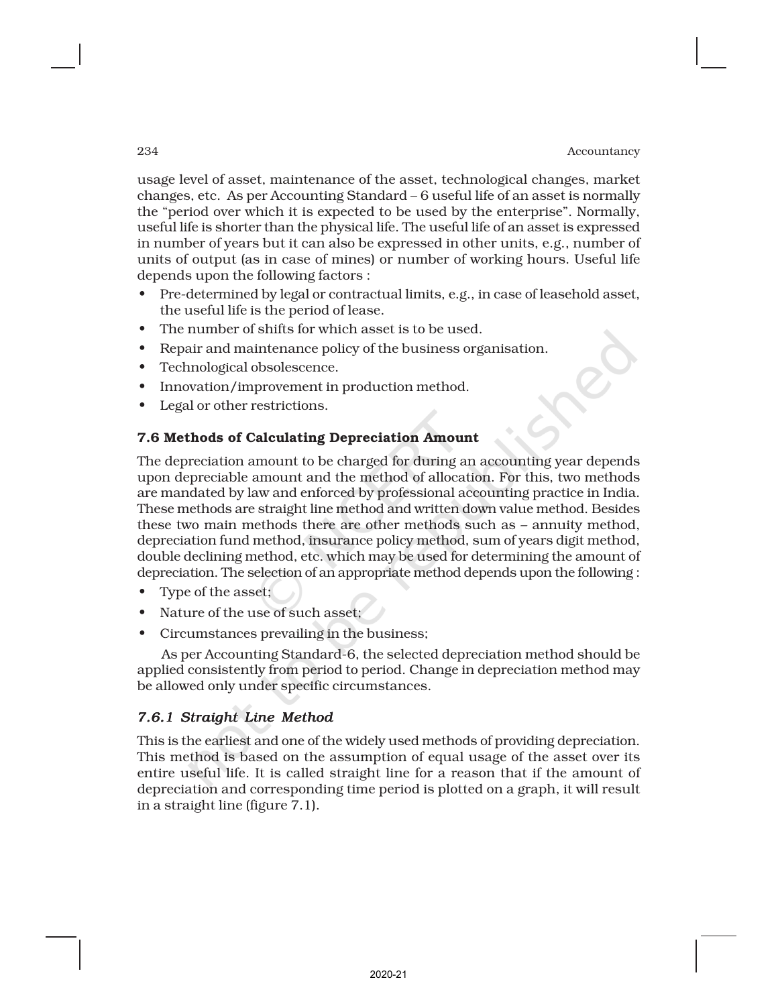#### 234 **Accountancy Accountancy**

usage level of asset, maintenance of the asset, technological changes, market changes, etc. As per Accounting Standard – 6 useful life of an asset is normally the "period over which it is expected to be used by the enterprise". Normally, useful life is shorter than the physical life. The useful life of an asset is expressed in number of years but it can also be expressed in other units, e.g., number of units of output (as in case of mines) or number of working hours. Useful life depends upon the following factors :

- Pre-determined by legal or contractual limits, e.g., in case of leasehold asset, the useful life is the period of lease.
- The number of shifts for which asset is to be used.
- Repair and maintenance policy of the business organisation.
- Technological obsolescence.
- Innovation/improvement in production method.
- Legal or other restrictions.

### 7.6 Methods of Calculating Depreciation Amount

The depreciation amount to be charged for during an accounting year depends upon depreciable amount and the method of allocation. For this, two methods are mandated by law and enforced by professional accounting practice in India. These methods are straight line method and written down value method. Besides these two main methods there are other methods such as – annuity method, depreciation fund method, insurance policy method, sum of years digit method, double declining method, etc. which may be used for determining the amount of depreciation. The selection of an appropriate method depends upon the following :

- Type of the asset;
- Nature of the use of such asset;
- Circumstances prevailing in the business;

As per Accounting Standard-6, the selected depreciation method should be applied consistently from period to period. Change in depreciation method may be allowed only under specific circumstances.

# *7.6.1 Straight Line Method*

This is the earliest and one of the widely used methods of providing depreciation. This method is based on the assumption of equal usage of the asset over its entire useful life. It is called straight line for a reason that if the amount of depreciation and corresponding time period is plotted on a graph, it will result in a straight line (figure 7.1).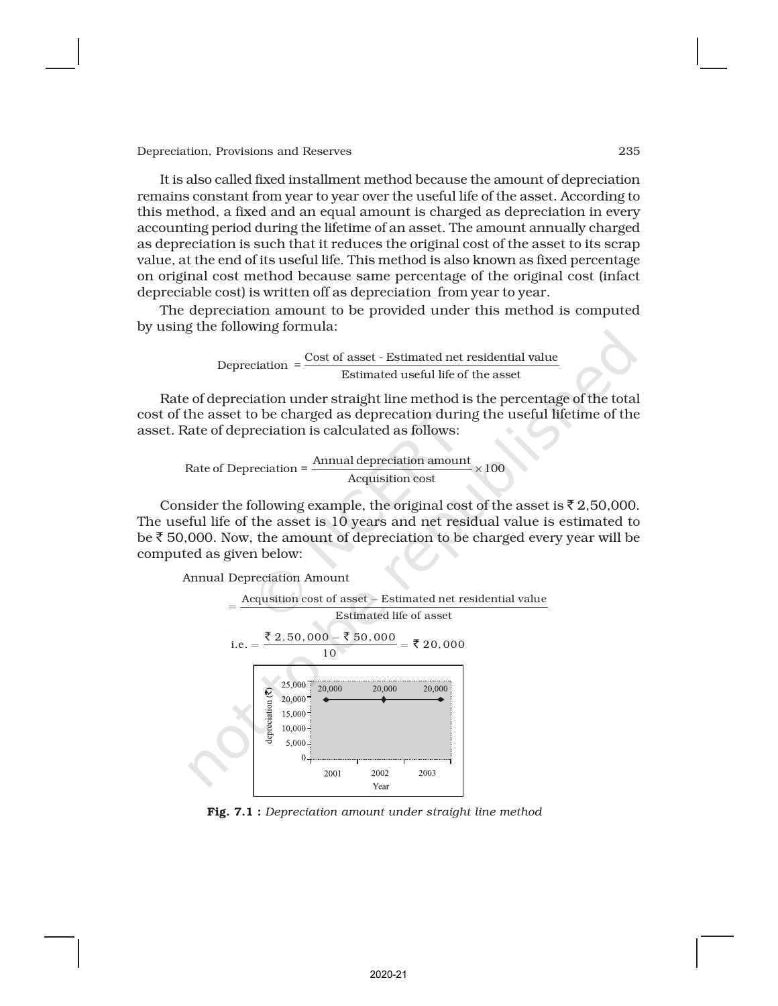It is also called fixed installment method because the amount of depreciation remains constant from year to year over the useful life of the asset. According to this method, a fixed and an equal amount is charged as depreciation in every accounting period during the lifetime of an asset. The amount annually charged as depreciation is such that it reduces the original cost of the asset to its scrap value, at the end of its useful life. This method is also known as fixed percentage on original cost method because same percentage of the original cost (infact depreciable cost) is written off as depreciation from year to year.

The depreciation amount to be provided under this method is computed by using the following formula:

Depreciation = 
$$
\frac{\text{Cost of asset - Estimated net residual value}}{\text{Estimated useful life of the asset}}
$$

Rate of depreciation under straight line method is the percentage of the total cost of the asset to be charged as deprecation during the useful lifetime of the asset. Rate of depreciation is calculated as follows:

Rate of Depreciation =  $\frac{\text{Annual depreciation amount}}{\text{200}} \times 100$ Acquisition cost

Consider the following example, the original cost of the asset is  $\bar{z}$  2,50,000. The useful life of the asset is 10 years and net residual value is estimated to be  $\bar{\tau}$  50,000. Now, the amount of depreciation to be charged every year will be computed as given below:

Annual Depreciation Amount



Fig. 7.1 : *Depreciation amount under straight line method*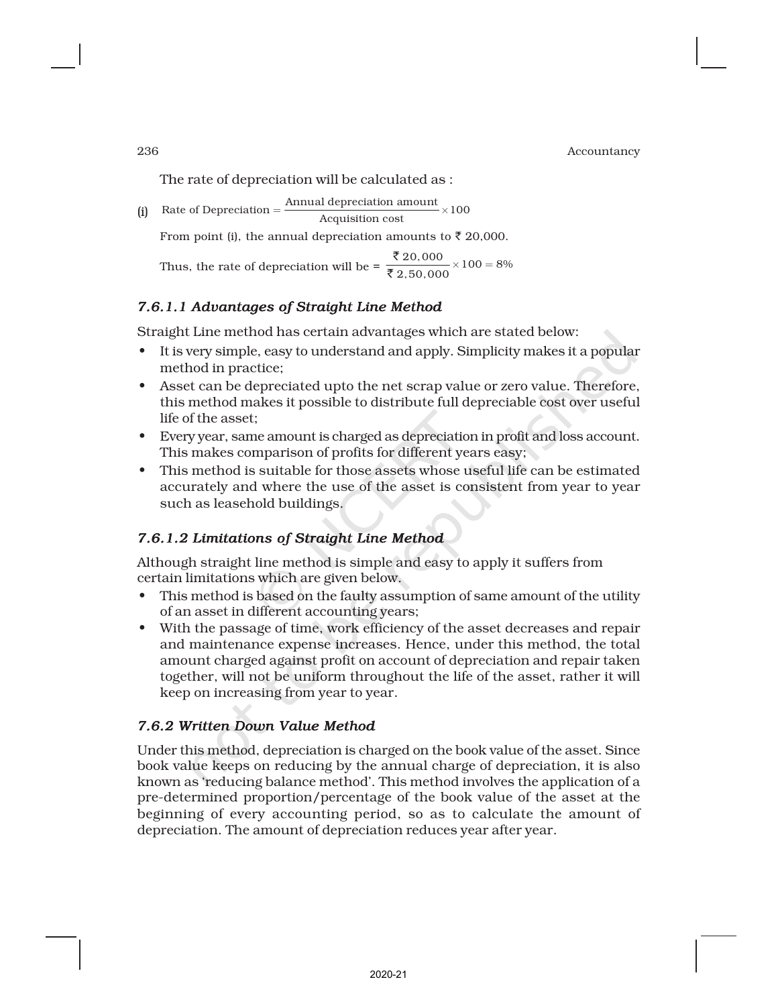The rate of depreciation will be calculated as :

Rate of Depreciation =  $\frac{\text{Annual depreciation amount}}{\text{Acquisition cost}} \times 100$  $=\frac{\text{Animal deflection amount}}{x}$ 

From point (i), the annual depreciation amounts to  $\bar{\tau}$  20,000.

Thus, the rate of depreciation will be =  $\frac{\sqrt[3]{20,000}}{\sqrt[3]{2,50,000}} \times 100 = 8\%$ ₹ ₹

# *7.6.1.1 Advantages of Straight Line Method*

Straight Line method has certain advantages which are stated below:

- It is very simple, easy to understand and apply. Simplicity makes it a popular method in practice;
- Asset can be depreciated upto the net scrap value or zero value. Therefore, this method makes it possible to distribute full depreciable cost over useful life of the asset;
- Every year, same amount is charged as depreciation in profit and loss account. This makes comparison of profits for different years easy;
- This method is suitable for those assets whose useful life can be estimated accurately and where the use of the asset is consistent from year to year such as leasehold buildings.

# *7.6.1.2 Limitations of Straight Line Method*

Although straight line method is simple and easy to apply it suffers from certain limitations which are given below.

- This method is based on the faulty assumption of same amount of the utility of an asset in different accounting years;
- With the passage of time, work efficiency of the asset decreases and repair and maintenance expense increases. Hence, under this method, the total amount charged against profit on account of depreciation and repair taken together, will not be uniform throughout the life of the asset, rather it will keep on increasing from year to year.

# *7.6.2 Written Down Value Method*

Under this method, depreciation is charged on the book value of the asset. Since book value keeps on reducing by the annual charge of depreciation, it is also known as 'reducing balance method'. This method involves the application of a pre-determined proportion/percentage of the book value of the asset at the beginning of every accounting period, so as to calculate the amount of depreciation. The amount of depreciation reduces year after year.

(i)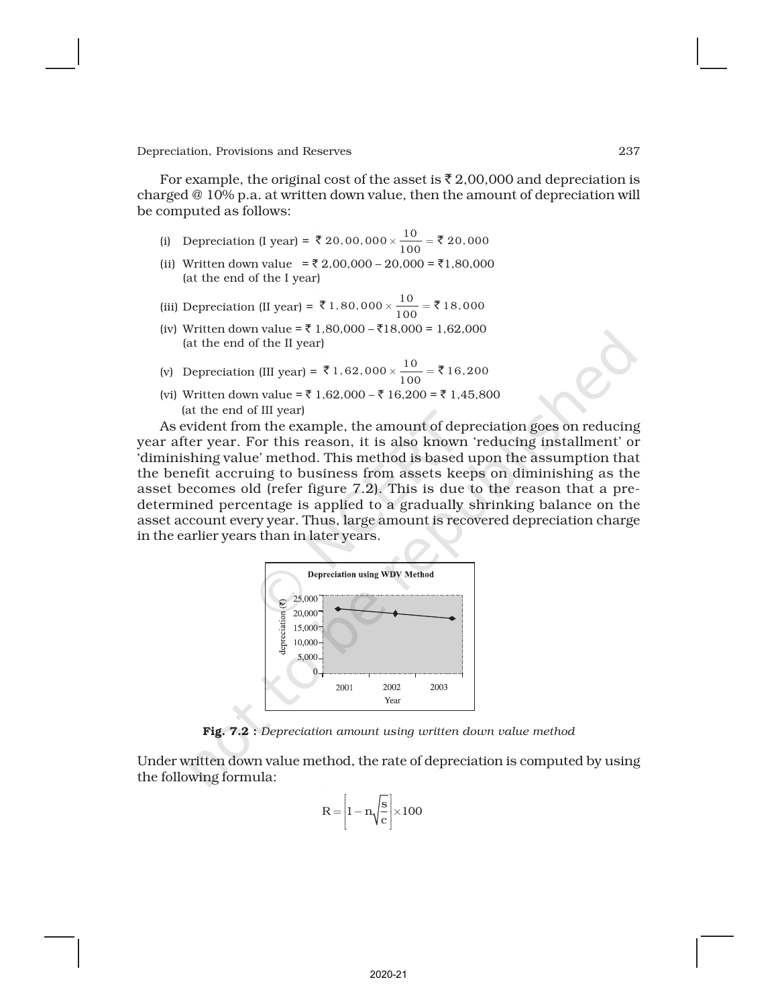For example, the original cost of the asset is  $\bar{\tau}$  2,00,000 and depreciation is charged @ 10% p.a. at written down value, then the amount of depreciation will be computed as follows:

- (i) Depreciation (I year) =  $\overline{8}$  20, 00, 000  $\times \frac{10}{100}$  =  $\overline{8}$  20, 000
- (ii) Written down value =  $\overline{(} 2,00,000 20,000 = \overline{(}1,80,000)$ (at the end of the I year)
- (iii) Depreciation (II year) =  $\bar{\mathfrak{F}}$  1, 80, 000  $\times \frac{10}{100} = \bar{\mathfrak{F}}$  18, 000
- (iv) Written down value = ₹ 1,80,000 ₹ 18,000 = 1,62,000 (at the end of the II year)
- (v) Depreciation (III year) =  $\overline{\xi}$  1, 62, 000  $\times \frac{10}{100} = \overline{\xi}$  16, 200
- (vi) Written down value =  $\bar{\tau}$  1,62,000  $\bar{\tau}$  16,200 =  $\bar{\tau}$  1,45,800 (at the end of III year)

As evident from the example, the amount of depreciation goes on reducing year after year. For this reason, it is also known 'reducing installment' or 'diminishing value' method. This method is based upon the assumption that the benefit accruing to business from assets keeps on diminishing as the asset becomes old (refer figure 7.2). This is due to the reason that a predetermined percentage is applied to a gradually shrinking balance on the asset account every year. Thus, large amount is recovered depreciation charge in the earlier years than in later years.



Fig. 7.2 : *Depreciation amount using written down value method*

Under written down value method, the rate of depreciation is computed by using the following formula:

$$
R = \left[1 - n\sqrt{\frac{s}{c}}\right] \times 100
$$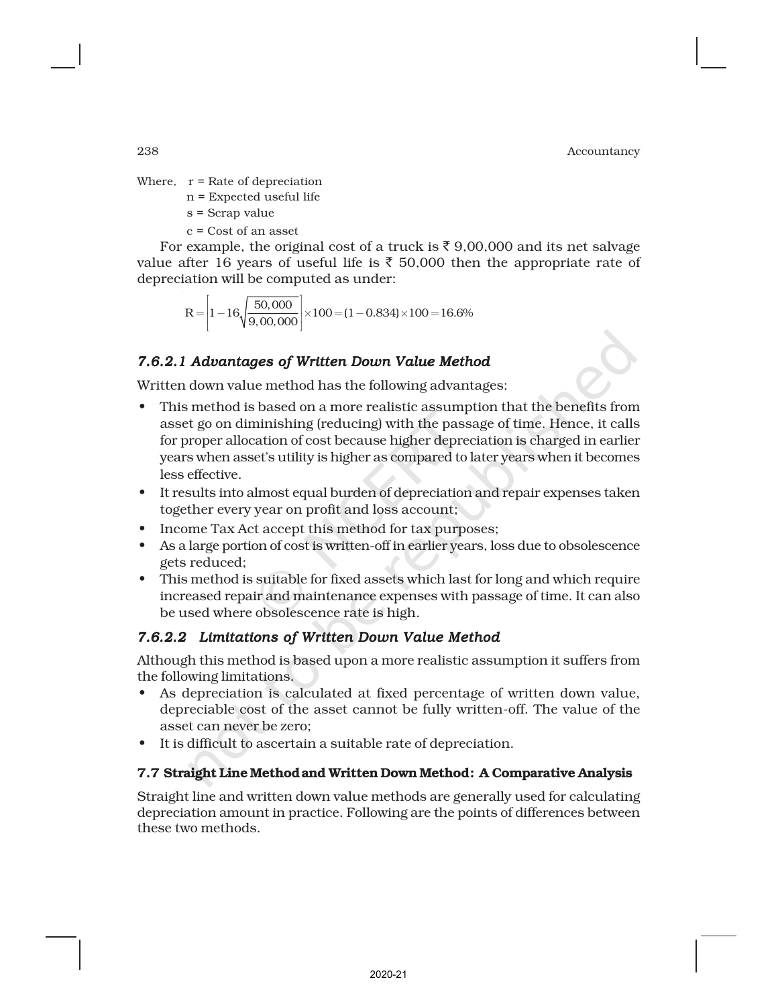Where,  $r =$  Rate of depreciation

- n = Expected useful life
- s = Scrap value
- c = Cost of an asset

For example, the original cost of a truck is  $\bar{\tau}$  9,00,000 and its net salvage value after 16 years of useful life is  $\bar{\tau}$  50,000 then the appropriate rate of depreciation will be computed as under:

$$
R = \left[1 - 16\sqrt{\frac{50,000}{9,00,000}}\right] \times 100 = (1 - 0.834) \times 100 = 16.6\%
$$

# *7.6.2.1 Advantages of Written Down Value Method*

Written down value method has the following advantages:

- This method is based on a more realistic assumption that the benefits from asset go on diminishing (reducing) with the passage of time. Hence, it calls for proper allocation of cost because higher depreciation is charged in earlier years when asset's utility is higher as compared to later years when it becomes less effective.
- It results into almost equal burden of depreciation and repair expenses taken together every year on profit and loss account;
- Income Tax Act accept this method for tax purposes;
- As a large portion of cost is written-off in earlier years, loss due to obsolescence gets reduced;
- This method is suitable for fixed assets which last for long and which require increased repair and maintenance expenses with passage of time. It can also be used where obsolescence rate is high.

# *7.6.2.2 7.6.2.2 Limitations of Written Down Value Method*

Although this method is based upon a more realistic assumption it suffers from the following limitations.

- As depreciation is calculated at fixed percentage of written down value, depreciable cost of the asset cannot be fully written-off. The value of the asset can never be zero;
- It is difficult to ascertain a suitable rate of depreciation.

# 7.7 Straight Line Methodand Written Down Method: A Comparative Analysis

Straight line and written down value methods are generally used for calculating depreciation amount in practice. Following are the points of differences between these two methods.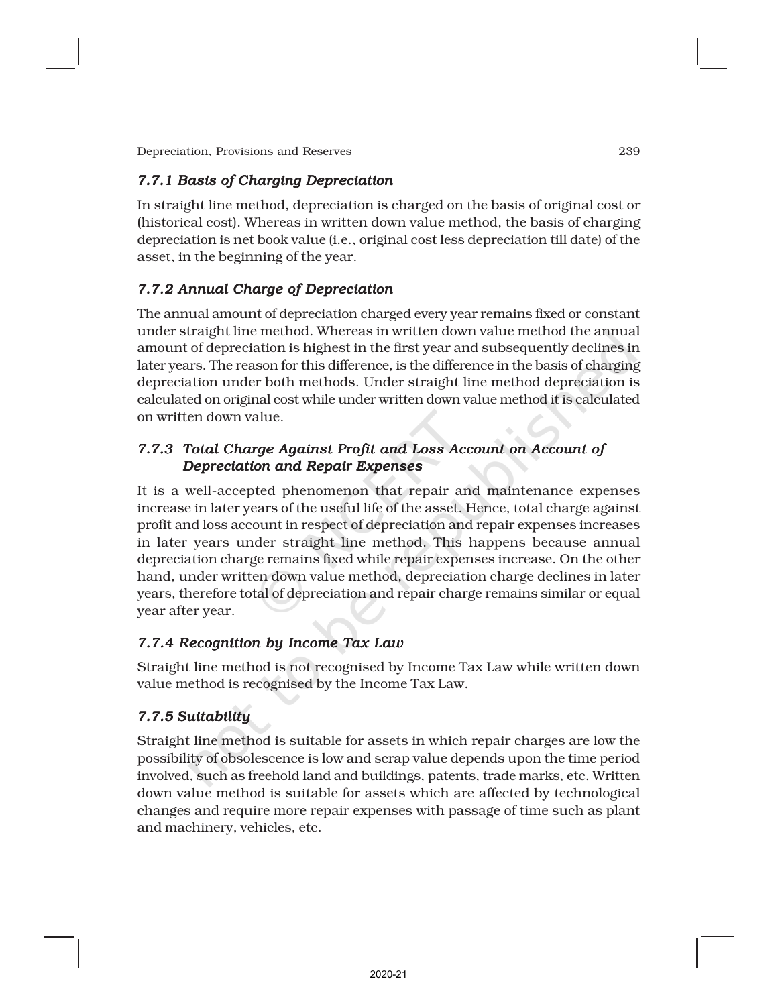# *7.7.1 Basis of Charging Depreciation*

In straight line method, depreciation is charged on the basis of original cost or (historical cost). Whereas in written down value method, the basis of charging depreciation is net book value (i.e., original cost less depreciation till date) of the asset, in the beginning of the year.

# *7.7.2 Annual Charge of Depreciation*

The annual amount of depreciation charged every year remains fixed or constant under straight line method. Whereas in written down value method the annual amount of depreciation is highest in the first year and subsequently declines in later years. The reason for this difference, is the difference in the basis of charging depreciation under both methods. Under straight line method depreciation is calculated on original cost while under written down value method it is calculated on written down value.

# *7.7.3 Total Charge Against Profit and Loss Account on Account of Depreciation and Repair Expenses*

It is a well-accepted phenomenon that repair and maintenance expenses increase in later years of the useful life of the asset. Hence, total charge against profit and loss account in respect of depreciation and repair expenses increases in later years under straight line method. This happens because annual depreciation charge remains fixed while repair expenses increase. On the other hand, under written down value method, depreciation charge declines in later years, therefore total of depreciation and repair charge remains similar or equal year after year.

# *7.7.4 Recognition by Income Tax Law*

Straight line method is not recognised by Income Tax Law while written down value method is recognised by the Income Tax Law.

# *7.7.5 Suitability*

Straight line method is suitable for assets in which repair charges are low the possibility of obsolescence is low and scrap value depends upon the time period involved, such as freehold land and buildings, patents, trade marks, etc. Written down value method is suitable for assets which are affected by technological changes and require more repair expenses with passage of time such as plant and machinery, vehicles, etc.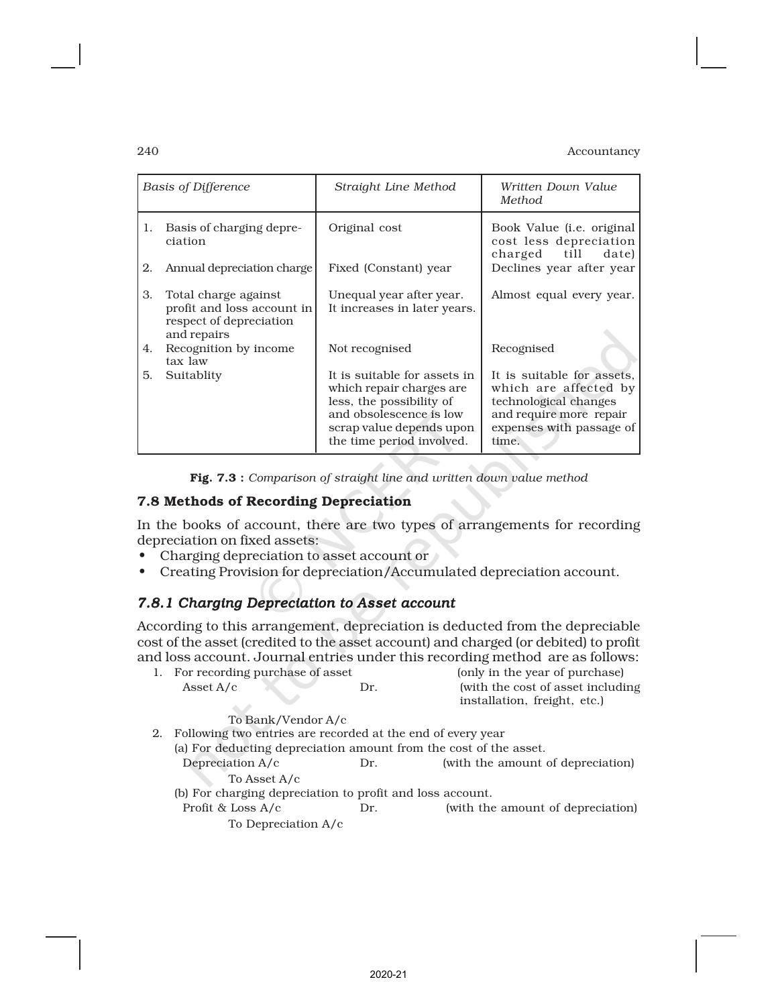| <b>Basis of Difference</b> |                                                                                              | Straight Line Method                                                                                                                                                      | Written Down Value<br>Method.                                                                                                                |  |
|----------------------------|----------------------------------------------------------------------------------------------|---------------------------------------------------------------------------------------------------------------------------------------------------------------------------|----------------------------------------------------------------------------------------------------------------------------------------------|--|
| 1.                         | Basis of charging depre-<br>ciation                                                          | Original cost                                                                                                                                                             | Book Value ( <i>i.e.</i> original<br>cost less depreciation<br>charged till date)                                                            |  |
| 2.                         | Annual depreciation charge                                                                   | Fixed (Constant) year                                                                                                                                                     | Declines year after year                                                                                                                     |  |
| 3.                         | Total charge against<br>profit and loss account in<br>respect of depreciation<br>and repairs | Unequal year after year.<br>It increases in later years.                                                                                                                  | Almost equal every year.                                                                                                                     |  |
| 4.                         | Recognition by income<br>tax law                                                             | Not recognised                                                                                                                                                            | Recognised                                                                                                                                   |  |
| 5.                         | Suitablity                                                                                   | It is suitable for assets in<br>which repair charges are.<br>less, the possibility of<br>and obsolescence is low<br>scrap value depends upon<br>the time period involved. | It is suitable for assets.<br>which are affected by<br>technological changes<br>and require more repair<br>expenses with passage of<br>time. |  |

Fig. 7.3 : *Comparison of straight line and written down value method*

# 7.8 Methods of Recording Depreciation

In the books of account, there are two types of arrangements for recording depreciation on fixed assets:

- Charging depreciation to asset account or
- Creating Provision for depreciation/Accumulated depreciation account.

# *7.8.1 Charging Depreciation to Asset account*

According to thisarrangement, depreciation is deducted from the depreciable cost of the asset (credited to the asset account) and charged (or debited) to profit and loss account. Journal entries under this recording method are as follows:

| 1. For recording purchase of asset                             |     | (only in the year of purchase)     |
|----------------------------------------------------------------|-----|------------------------------------|
| Asset $A/c$                                                    | Dr. | (with the cost of asset including) |
|                                                                |     | installation, freight, etc.)       |
| To Bank/Vendor A/c                                             |     |                                    |
| 2. Following two entries are recorded at the end of every year |     |                                    |

| (a) For deducting depreciation amount from the cost of the asset. |     |                                   |
|-------------------------------------------------------------------|-----|-----------------------------------|
| Depreciation A/c                                                  | Dr. | (with the amount of depreciation) |
| To Asset A/c                                                      |     |                                   |
| (b) For charging depreciation to profit and loss account.         |     |                                   |
| Profit & Loss A/c                                                 | Dr. | (with the amount of depreciation) |
| To Depreciation A/c                                               |     |                                   |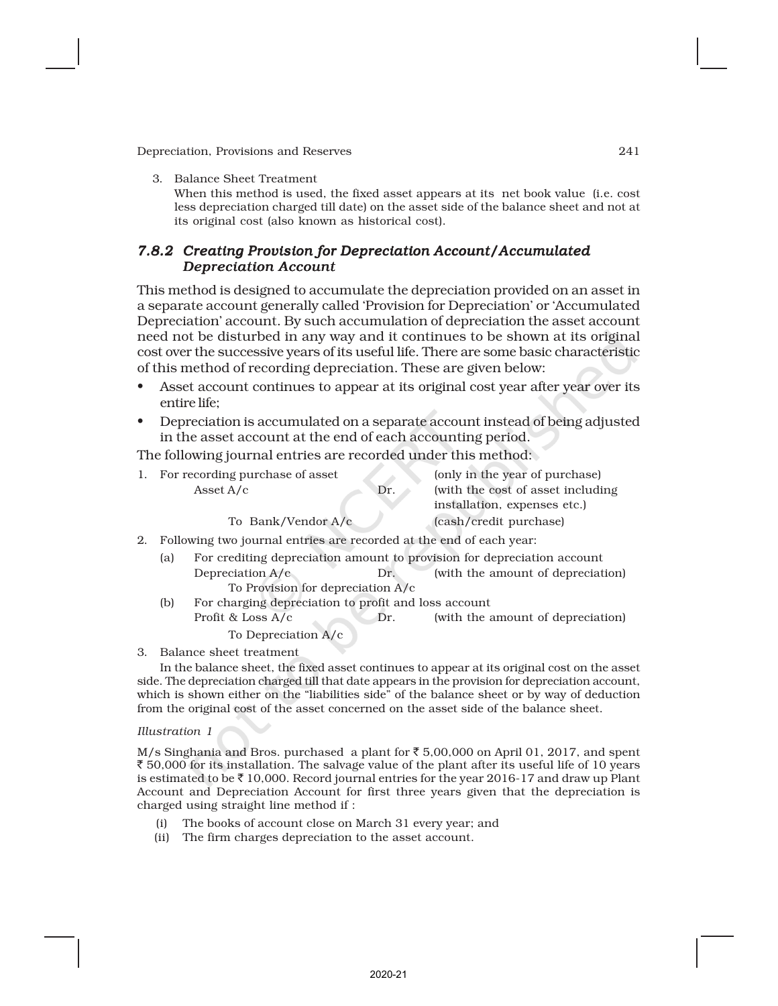3. Balance Sheet Treatment

When this method is used, the fixed asset appears at its net book value (i.e. cost less depreciation charged till date) on the asset side of the balance sheet and not at its original cost (also known as historical cost).

### *7.8.2 Creating Provision for Depreciation Account/Accumulated Depreciation Account*

This method is designed to accumulate the depreciation provided on an asset in a separate account generally called 'Provision for Depreciation' or 'Accumulated Depreciation' account. By such accumulation of depreciation the asset account need not be disturbed in any way and it continues to be shown at its original cost over the successive years of its useful life. There are some basic characteristic of this method of recording depreciation. These are given below:

- Asset account continues to appear at its original cost year after year over its entire life;
- Depreciation is accumulated on a separate account instead of being adjusted in the asset account at the end of each accounting period.

The following journal entries are recorded under this method:

| 1. For recording purchase of asset                                  |     | (only in the year of purchase)    |
|---------------------------------------------------------------------|-----|-----------------------------------|
| Asset $A/c$                                                         | Dr. | (with the cost of asset including |
|                                                                     |     | installation, expenses etc.)      |
| To Bank/Vendor A/c                                                  |     | (cash/credit purchase)            |
| Following two journal entries are recorded at the end of each year: |     |                                   |

- 2. Following two journal entries are recorded at the end of each year:
	- (a) For crediting depreciation amount to provision for depreciation account Depreciation A/c Dr. (with the amount of depreciation) To Provision for depreciation A/c
	- (b) For charging depreciation to profit and loss account Profit & Loss  $A/c$  Dr. (with the amount of depreciation) To Depreciation A/c

3. Balance sheet treatment

In the balance sheet, the fixed asset continues to appear at its original cost on the asset side. The depreciation charged till that date appears in the provision for depreciation account, which is shown either on the "liabilities side" of the balance sheet or by way of deduction from the original cost of the asset concerned on the asset side of the balance sheet.

#### *Illustration 1*

M/s Singhania and Bros. purchased a plant for  $\bar{\tau}$  5,00,000 on April 01, 2017, and spent  $\bar{\xi}$  50,000 for its installation. The salvage value of the plant after its useful life of 10 years is estimated to be  $\bar{z}$  10,000. Record journal entries for the year 2016-17 and draw up Plant Account and Depreciation Account for first three years given that the depreciation is charged using straight line method if :

- (i) The books of account close on March 31 every year; and
- (ii) The firm charges depreciation to the asset account.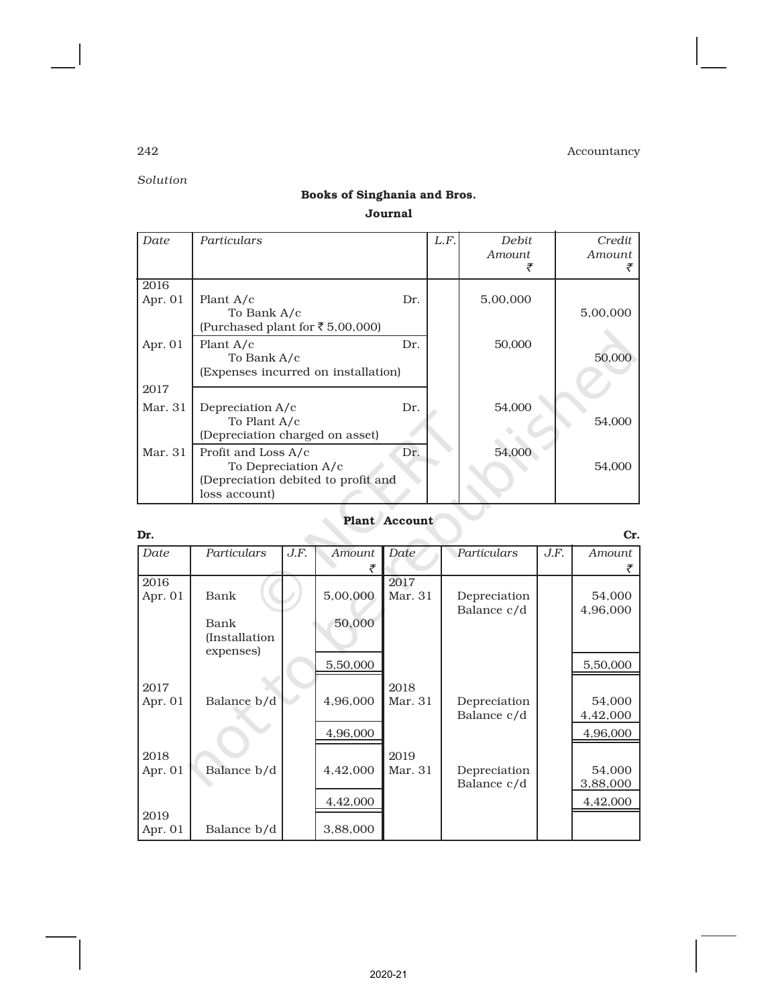*Solution*

# Books of Singhania and Bros. Journal

| Date      | Particulars                                                                                        |     | L.F. | Debit<br>Amount | Credit<br>Amount |
|-----------|----------------------------------------------------------------------------------------------------|-----|------|-----------------|------------------|
| 2016      | Plant $A/c$                                                                                        | Dr. |      | 5,00,000        |                  |
| Apr. 01   | To Bank A/c<br>(Purchased plant for ₹5,00,000)                                                     |     |      |                 | 5,00,000         |
| Apr. $01$ | Plant A/c<br>To Bank A/c<br>(Expenses incurred on installation)                                    | Dr. |      | 50,000          | 50,000           |
| 2017      |                                                                                                    |     |      |                 |                  |
| Mar. 31   | Depreciation A/c<br>To Plant A/c<br>(Depreciation charged on asset)                                | Dr. |      | 54,000          | 54,000           |
| Mar. 31   | Profit and Loss A/c<br>To Depreciation A/c<br>(Depreciation debited to profit and<br>loss account) | Dr. |      | 54,000          | 54,000           |

# Plant Account

| Dr.     |                       |      |               |         |              |      | Cr.      |
|---------|-----------------------|------|---------------|---------|--------------|------|----------|
| Date    | Particulars           | J.F. | <b>Amount</b> | Date    | Particulars  | J.F. | Amount   |
|         |                       |      | ₹             |         |              |      |          |
| 2016    |                       |      |               | 2017    |              |      |          |
| Apr. 01 | Bank                  |      | 5,00,000      | Mar. 31 | Depreciation |      | 54,000   |
|         |                       |      |               |         | Balance c/d  |      | 4,96,000 |
|         | Bank                  |      | 50,000        |         |              |      |          |
|         | <i>(Installation)</i> |      |               |         |              |      |          |
|         | expenses)             |      | 5,50,000      |         |              |      | 5,50,000 |
|         |                       |      |               |         |              |      |          |
| 2017    |                       |      |               | 2018    |              |      |          |
| Apr. 01 | Balance b/d           |      | 4,96,000      | Mar. 31 | Depreciation |      | 54,000   |
|         |                       |      |               |         | Balance c/d  |      | 4,42,000 |
|         |                       |      | 4,96,000      |         |              |      | 4,96,000 |
| 2018    |                       |      |               | 2019    |              |      |          |
| Apr. 01 | Balance b/d           |      | 4,42,000      | Mar. 31 | Depreciation |      | 54,000   |
|         |                       |      |               |         | Balance c/d  |      | 3,88,000 |
|         |                       |      | 4,42,000      |         |              |      | 4,42,000 |
| 2019    |                       |      |               |         |              |      |          |
| Apr. 01 | Balance b/d           |      | 3,88,000      |         |              |      |          |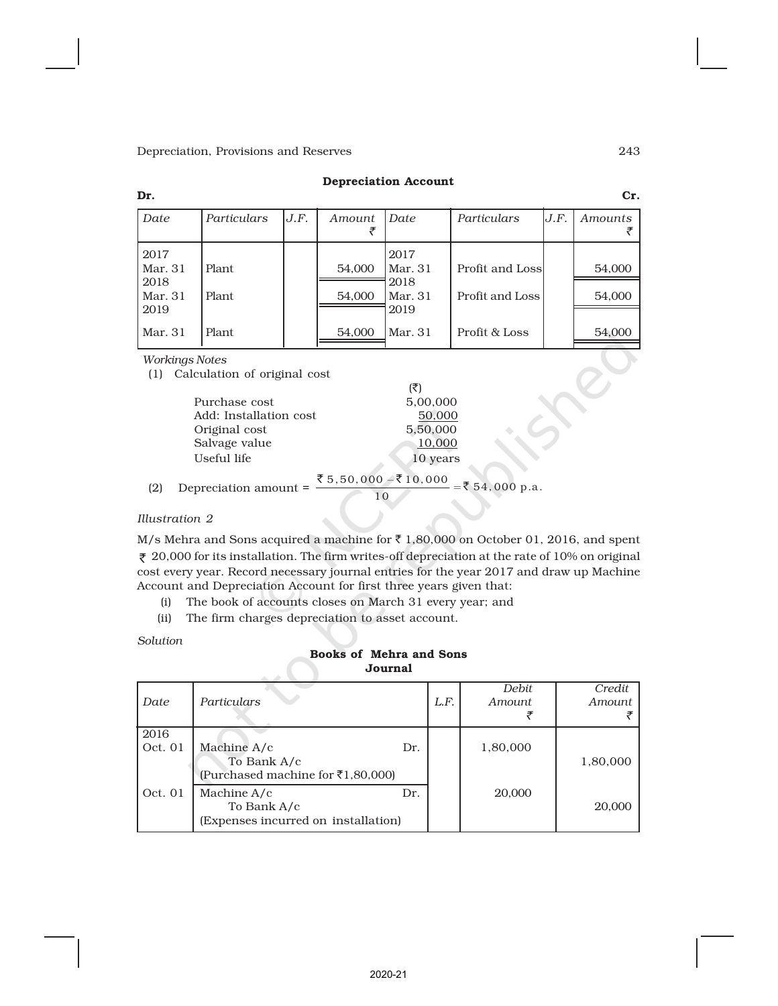#### Depreciation Account

| Dr.                                        |                  |      |                  |                                              |                                    |      | Cr.              |
|--------------------------------------------|------------------|------|------------------|----------------------------------------------|------------------------------------|------|------------------|
| Date                                       | Particulars      | J.F. | Amount           | Date                                         | Particulars                        | J.F. | Amounts          |
| 2017<br>Mar. 31<br>2018<br>Mar. 31<br>2019 | Plant.<br>Plant. |      | 54,000<br>54,000 | 2017<br> Mar. 31<br>2018<br> Mar. 31<br>2019 | Profit and Loss<br>Profit and Loss |      | 54,000<br>54,000 |
| Mar. 31                                    | Plant.           |      | 54,000           | l Mar. 31                                    | Profit & Loss                      |      | 54,000           |

*Workings Notes*

(1) Calculation of original cost

|                        | (₹)      |
|------------------------|----------|
| Purchase cost          | 5,00,000 |
| Add: Installation cost | 50,000   |
| Original cost          | 5,50,000 |
| Salvage value          | 10,000   |
| Useful life            | 10 years |

(2) Depreciation amount = 
$$
\frac{\overline{3}5.50.000 - \overline{3}10.000}{10} = \overline{3}54.000 \text{ p.a.}
$$

*Illustration 2*

M/s Mehra and Sons acquired a machine for  $\bar{\tau}$  1,80,000 on October 01, 2016, and spent  $\bar{\tau}$  20,000 for its installation. The firm writes-off depreciation at the rate of 10% on original cost every year. Record necessary journal entries for the year 2017 and draw up Machine Account and Depreciation Account for first three years given that:

(i) The book of accounts closes on March 31 every year; and

(ii) The firm charges depreciation to asset account.

*Solution*

# Books of Mehra and Sons Journal

| Date            | Particulars                                                                 |     | L.F. | Debit.<br>Amount | Credit<br>Amount |
|-----------------|-----------------------------------------------------------------------------|-----|------|------------------|------------------|
| 2016<br>Oct. 01 | Machine A/c<br>To Bank A/c<br>(Purchased machine for $\bar{\tau}1,80,000$ ) | Dr. |      | 1,80,000         | 1,80,000         |
| Oct. 01         | Machine A/c<br>To Bank A/c<br>(Expenses incurred on installation)           | Dr. |      | 20,000           | 20,000           |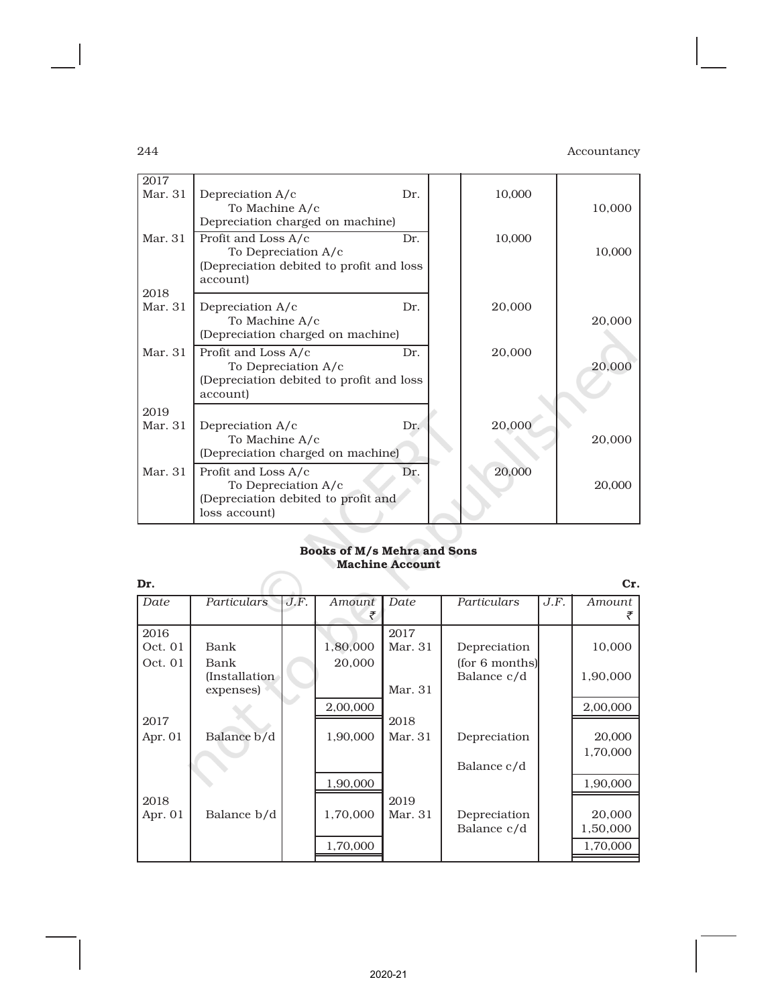| 2017            |                                            |     |        |        |
|-----------------|--------------------------------------------|-----|--------|--------|
| Mar. 31         | Depreciation A/c                           | Dr. | 10,000 |        |
|                 | To Machine A/c                             |     |        | 10,000 |
|                 | Depreciation charged on machine)           |     |        |        |
| Mar. 31         | Profit and Loss A/c                        | Dr. | 10,000 |        |
|                 | To Depreciation A/c                        |     |        | 10,000 |
|                 | (Depreciation debited to profit and loss)  |     |        |        |
|                 | account)                                   |     |        |        |
| 2018<br>Mar. 31 |                                            | Dr. |        |        |
|                 | Depreciation A/c<br>To Machine A/c         |     | 20,000 | 20,000 |
|                 | (Depreciation charged on machine)          |     |        |        |
| Mar. 31         |                                            | Dr. |        |        |
|                 | Profit and Loss A/c<br>To Depreciation A/c |     | 20,000 | 20,000 |
|                 | (Depreciation debited to profit and loss   |     |        |        |
|                 | account)                                   |     |        |        |
| 2019            |                                            |     |        |        |
| Mar. 31         | Depreciation A/c                           | Dr. | 20,000 |        |
|                 | To Machine A/c                             |     |        | 20,000 |
|                 | (Depreciation charged on machine)          |     |        |        |
| Mar. 31         | Profit and Loss A/c                        | Dr. | 20,000 |        |
|                 | To Depreciation A/c                        |     |        | 20,000 |
|                 | (Depreciation debited to profit and        |     |        |        |
|                 | loss account)                              |     |        |        |

# Books of M/s Mehra and Sons Machine Account

| Dr.       |                |      |          |         |                |      | Cr.      |
|-----------|----------------|------|----------|---------|----------------|------|----------|
| Date      | Particulars    | J.F. | Amount   | Date    | Particulars    | J.F. | Amount   |
| 2016      |                |      |          | 2017    |                |      |          |
| Oct. 01   | Bank           |      | 1,80,000 | Mar. 31 | Depreciation   |      | 10,000   |
| Oct. 01   | Bank           |      | 20,000   |         | (for 6 months) |      |          |
|           | (Installation) |      |          |         | Balance c/d    |      | 1,90,000 |
|           | expenses)      |      |          | Mar. 31 |                |      |          |
|           |                |      | 2,00,000 |         |                |      | 2,00,000 |
| 2017      |                |      |          | 2018    |                |      |          |
| Apr. 01   | Balance b/d    |      | 1,90,000 | Mar. 31 | Depreciation   |      | 20,000   |
|           |                |      |          |         |                |      | 1,70,000 |
|           |                |      |          |         | Balance c/d    |      |          |
|           |                |      | 1,90,000 |         |                |      | 1,90,000 |
| 2018      |                |      |          | 2019    |                |      |          |
| Apr. $01$ | Balance b/d    |      | 1,70,000 | Mar. 31 | Depreciation   |      | 20,000   |
|           |                |      |          |         | Balance c/d    |      | 1,50,000 |
|           |                |      | 1,70,000 |         |                |      | 1,70,000 |
|           |                |      |          |         |                |      |          |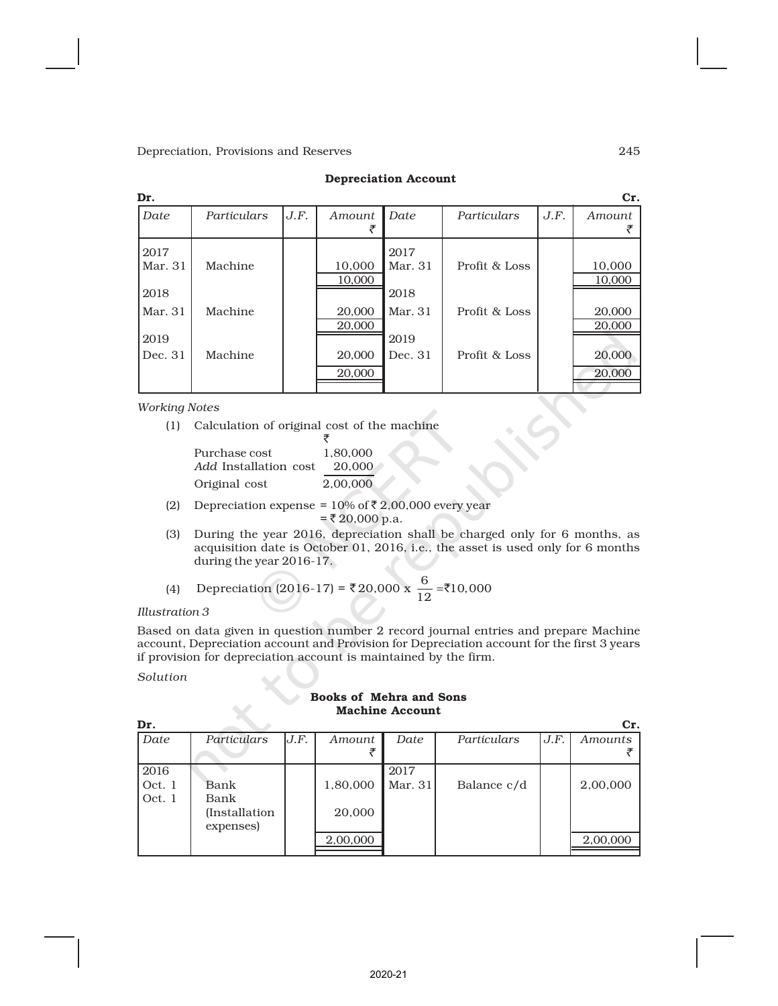| Dr.     |             |      |               |         |               |      | Cr.           |
|---------|-------------|------|---------------|---------|---------------|------|---------------|
| Date    | Particulars | J.F. | <i>Amount</i> | Date    | Particulars   | J.F. | <i>Amount</i> |
|         |             |      |               |         |               |      |               |
| 2017    |             |      |               | 2017    |               |      |               |
| Mar. 31 | Machine     |      | 10.000        | Mar. 31 | Profit & Loss |      | 10,000        |
|         |             |      | 10,000        |         |               |      | 10,000        |
| 2018    |             |      |               | 2018    |               |      |               |
| Mar. 31 | Machine     |      | 20,000        | Mar. 31 | Profit & Loss |      | 20,000        |
|         |             |      | 20,000        |         |               |      | 20,000        |
| 2019    |             |      |               | 2019    |               |      |               |
| Dec. 31 | Machine     |      | 20,000        | Dec. 31 | Profit & Loss |      | 20,000        |
|         |             |      | 20,000        |         |               |      | 20,000        |
|         |             |      |               |         |               |      |               |

#### Depreciation Account

*Working Notes*

(1) Calculation of original cost of the machine

| Purchase cost                | 1.80,000 |
|------------------------------|----------|
| <i>Add</i> Installation cost | 20,000   |
| Original cost                | 2,00,000 |

(2) Depreciation expense =  $10\%$  of  $\bar{\tau}$  2,00,000 every year  $=$  ₹ 20,000 p.a.

₹

(3) During the year 2016, depreciation shall be charged only for 6 months, as acquisition date is October 01, 2016, i.e., the asset is used only for 6 months during the year 2016-17.

(4) Depreciation (2016-17) = ₹20,000 x 
$$
\frac{6}{12}
$$
 = ₹10,000

*Illustration 3*

Based on data given in question number 2 record journal entries and prepare Machine account, Depreciation account and Provision for Depreciation account for the first 3 years if provision for depreciation account is maintained by the firm.

*Solution*

#### Books of Mehra and Sons Machine Account

| Dr.    |                       |      |          |         |             |      | Cr.      |
|--------|-----------------------|------|----------|---------|-------------|------|----------|
| Date   | Particulars           | J.F. | Amount   | Date    | Particulars | J.F. | Amounts  |
|        |                       |      |          |         |             |      |          |
| 2016   |                       |      |          | 2017    |             |      |          |
| Oct. 1 | Bank                  |      | 1,80,000 | Mar. 31 | Balance c/d |      | 2,00,000 |
| Oct. 1 | Bank                  |      |          |         |             |      |          |
|        | <i>(Installation)</i> |      | 20,000   |         |             |      |          |
|        | expenses)             |      |          |         |             |      |          |
|        |                       |      | 2,00,000 |         |             |      | 2,00,000 |
|        |                       |      |          |         |             |      |          |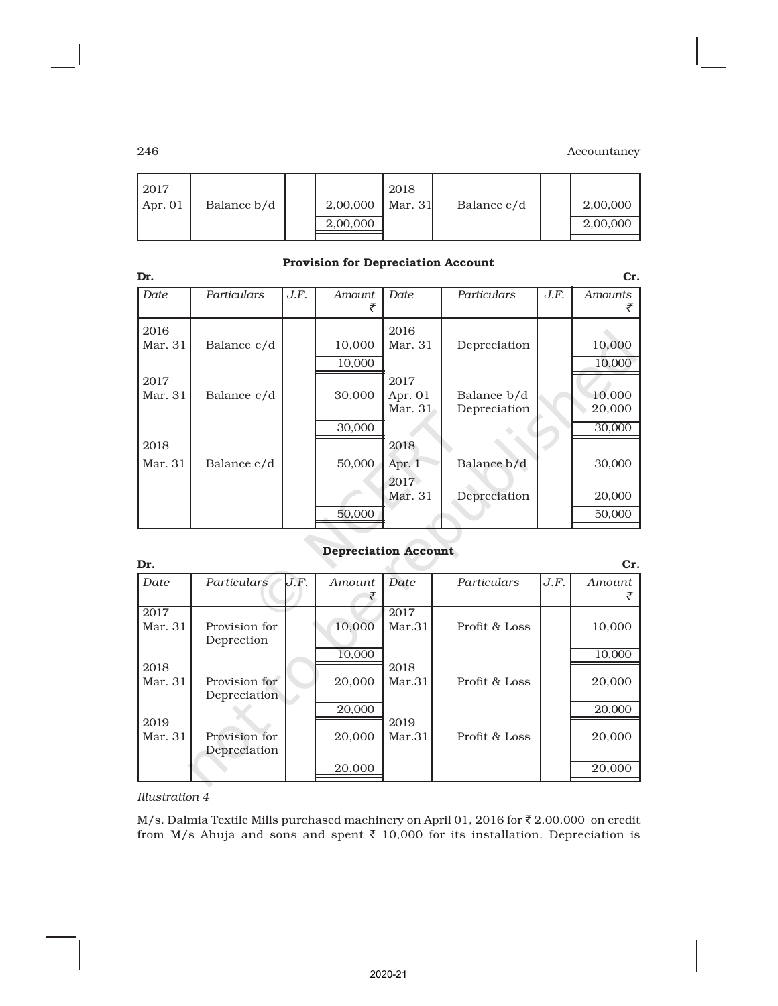| 2017<br>$2,00,000$ Mar. 31<br>Balance b/d<br>Apr. $01$<br>2,00,000 | 2018 | Balance c/d |  | 2,00,000<br>2,00,000 |
|--------------------------------------------------------------------|------|-------------|--|----------------------|
|--------------------------------------------------------------------|------|-------------|--|----------------------|

| Dr.             |             |      | Trovision for Depreciation Account |                              |                             |      | Cr.              |
|-----------------|-------------|------|------------------------------------|------------------------------|-----------------------------|------|------------------|
| Date            | Particulars | J.F. | <b>Amount</b>                      | Date                         | Particulars                 | J.F. | <b>Amounts</b>   |
| 2016<br>Mar. 31 | Balance c/d |      | 10,000<br>10,000                   | 2016<br>Mar. 31              | Depreciation                |      | 10,000<br>10,000 |
| 2017<br>Mar. 31 | Balance c/d |      | 30,000                             | 2017<br>Apr. $01$<br>Mar. 31 | Balance b/d<br>Depreciation |      | 10,000<br>20,000 |
| 2018            |             |      | 30,000                             | 2018                         |                             |      | 30,000           |
| Mar. 31         | Balance c/d |      | 50,000                             | Apr. 1<br>2017               | Balance b/d                 |      | 30,000           |
|                 |             |      | 50,000                             | Mar. 31                      | Depreciation                |      | 20,000<br>50,000 |

### Provision for Depreciation Account

#### Depreciation Account

| Dr.             |                               |      |        |                |               |      | Cr.    |
|-----------------|-------------------------------|------|--------|----------------|---------------|------|--------|
| Date            | Particulars                   | J.F. | Amount | Date           | Particulars   | J.F. | Amount |
| 2017<br>Mar. 31 | Provision for<br>Deprection   |      | 10,000 | 2017<br>Mar.31 | Profit & Loss |      | 10,000 |
|                 |                               |      | 10,000 |                |               |      | 10,000 |
| 2018<br>Mar. 31 | Provision for<br>Depreciation |      | 20,000 | 2018<br>Mar.31 | Profit & Loss |      | 20,000 |
|                 |                               |      | 20,000 |                |               |      | 20,000 |
| 2019<br>Mar. 31 | Provision for<br>Depreciation |      | 20,000 | 2019<br>Mar.31 | Profit & Loss |      | 20,000 |
|                 |                               |      | 20,000 |                |               |      | 20,000 |

### *Illustration 4*

M/s. Dalmia Textile Mills purchased machinery on April 01, 2016 for  $\bar{\tau}$  2,00,000 on credit from M/s Ahuja and sons and spent  $\bar{\tau}$  10,000 for its installation. Depreciation is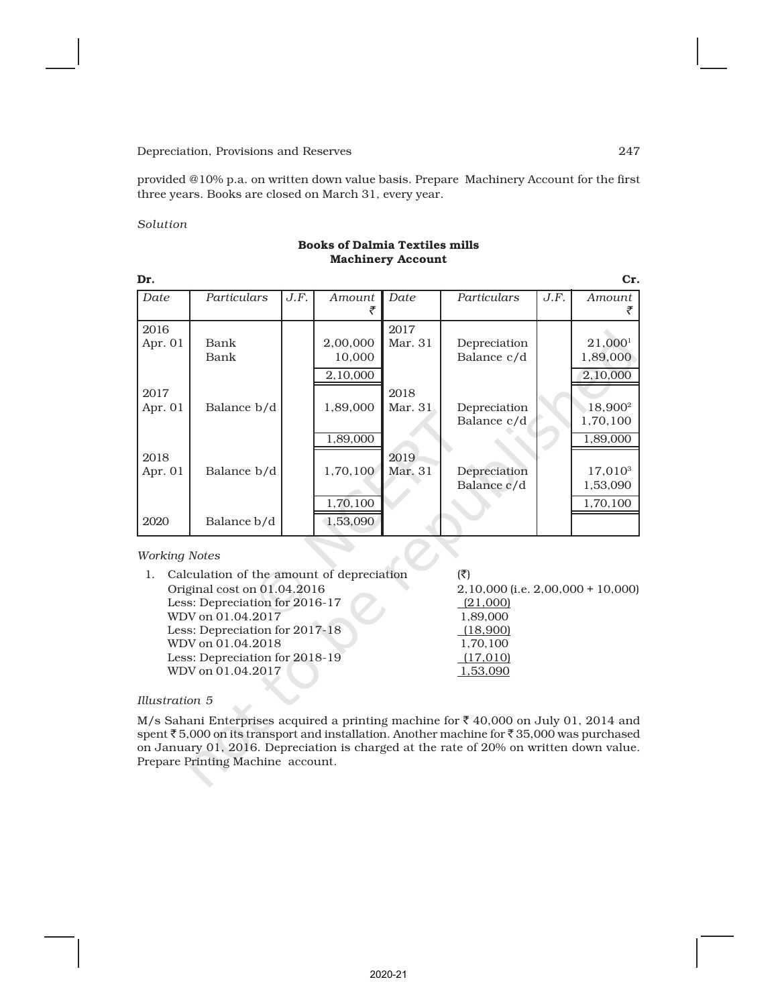provided @10% p.a. on written down value basis. Prepare Machinery Account for the first three years. Books are closed on March 31, every year.

#### *Solution*

| Dr.               | Cr.          |      |                                  |                 |                             |      |                                                |  |  |  |
|-------------------|--------------|------|----------------------------------|-----------------|-----------------------------|------|------------------------------------------------|--|--|--|
| Date              | Particulars  | J.F. | Amount<br>₹                      | Date            | Particulars                 | J.F. | Amount                                         |  |  |  |
| 2016<br>Apr. 01   | Bank<br>Bank |      | 2,00,000<br>10,000<br>2,10,000   | 2017<br>Mar. 31 | Depreciation<br>Balance c/d |      | 21,000 <sup>1</sup><br>1,89,000<br>2,10,000    |  |  |  |
| 2017<br>Apr. $01$ | Balance b/d  |      | 1,89,000                         | 2018<br>Mar. 31 | Depreciation<br>Balance c/d |      | 18,900 <sup>2</sup><br>1,70,100                |  |  |  |
| 2018<br>Apr. 01   | Balance b/d  |      | 1,89,000<br>1,70,100<br>1,70,100 | 2019<br>Mar. 31 | Depreciation<br>Balance c/d |      | 1,89,000<br>$17,010^3$<br>1,53,090<br>1,70,100 |  |  |  |
| 2020              | Balance b/d  |      | 1,53,090                         |                 |                             |      |                                                |  |  |  |

#### Books of Dalmia Textiles mills Machinery Account

#### *Working Notes*

| 1. Calculation of the amount of depreciation | (₹)                                    |
|----------------------------------------------|----------------------------------------|
| Original cost on 01.04.2016                  | $2,10,000$ (i.e. $2,00,000 + 10,000$ ) |
| Less: Depreciation for 2016-17               | (21,000)                               |
| WDV on 01.04.2017                            | 1,89,000                               |
| Less: Depreciation for 2017-18               | (18,900)                               |
| WDV on 01.04.2018                            | 1,70,100                               |
| Less: Depreciation for 2018-19               | (17,010)                               |
| WDV on 01.04.2017                            | 1.53.090                               |
|                                              |                                        |

 $\boldsymbol{C}$ 

#### *Illustration 5*

M/s Sahani Enterprises acquired a printing machine for  $\bar{\tau}$  40,000 on July 01, 2014 and spent  $\bar{\tau}$  5,000 on its transport and installation. Another machine for  $\bar{\tau}$  35,000 was purchased on January 01, 2016. Depreciation is charged at the rate of 20% on written down value. Prepare Printing Machine account.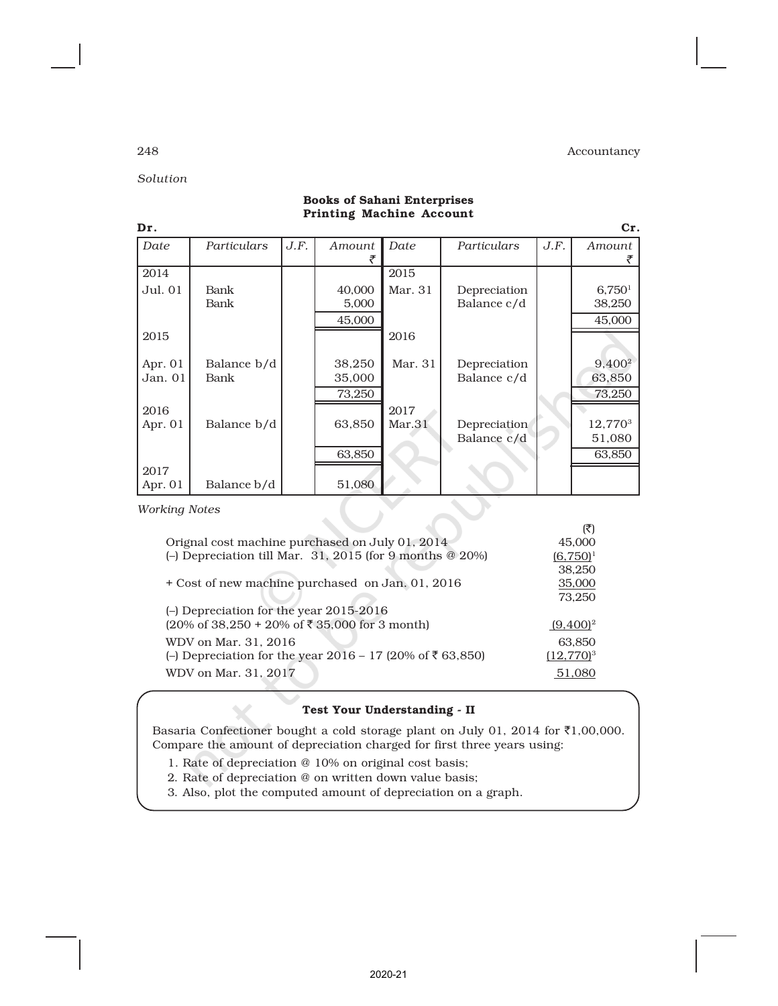*Solution*

| Dr.                  |             |      |        |         |              |      | Cr.                 |  |
|----------------------|-------------|------|--------|---------|--------------|------|---------------------|--|
| Date                 | Particulars | J.F. | Amount | Date    | Particulars  | J.F. | Amount              |  |
| 2014                 |             |      |        | 2015    |              |      |                     |  |
| Jul. 01              | Bank        |      | 40,000 | Mar. 31 | Depreciation |      | 6,750 <sup>1</sup>  |  |
|                      | Bank        |      | 5,000  |         | Balance c/d  |      | 38,250              |  |
|                      |             |      | 45,000 |         |              |      | 45,000              |  |
| 2015                 |             |      |        | 2016    |              |      |                     |  |
|                      |             |      |        |         |              |      |                     |  |
| Apr. $01$            | Balance b/d |      | 38,250 | Mar. 31 | Depreciation |      | 9,400 <sup>2</sup>  |  |
| Jan. 01              | Bank        |      | 35,000 |         | Balance c/d  |      | 63,850              |  |
|                      |             |      | 73,250 |         |              |      | 73,250              |  |
| 2016                 |             |      |        | 2017    |              |      |                     |  |
| Apr. 01              | Balance b/d |      | 63,850 | Mar.31  | Depreciation |      | 12,770 <sup>3</sup> |  |
|                      |             |      |        |         | Balance c/d  |      | 51,080              |  |
|                      |             |      | 63,850 |         |              |      | 63,850              |  |
| 2017                 |             |      |        |         |              |      |                     |  |
| Apr. 01              | Balance b/d |      | 51,080 |         |              |      |                     |  |
| <b>Working Notes</b> |             |      |        |         |              |      |                     |  |

#### Books of Sahani Enterprises Printing Machine Account

|                                                                                      | (₹)          |
|--------------------------------------------------------------------------------------|--------------|
| Orignal cost machine purchased on July 01, 2014                                      | 45,000       |
| (-) Depreciation till Mar. 31, 2015 (for 9 months @ 20%)                             | $(6,750)^1$  |
|                                                                                      | 38,250       |
| + Cost of new machine purchased on Jan. 01, 2016                                     | 35,000       |
|                                                                                      | 73.250       |
| (-) Depreciation for the year 2015-2016                                              |              |
| $(20\% \text{ of } 38,250 + 20\% \text{ of } ₹ 35,000 \text{ for } 3 \text{ month})$ | $(9,400)^2$  |
| WDV on Mar. 31, 2016                                                                 | 63,850       |
| (−) Depreciation for the year 2016 – 17 (20% of ₹63,850)                             | $(12,770)^3$ |
| WDV on Mar. 31, 2017                                                                 | 51.080       |

### Test Your Understanding - II

Basaria Confectioner bought a cold storage plant on July 01, 2014 for  $\bar{\tau}1,00,000$ . Compare the amount of depreciation charged for first three years using:

- 1. Rate of depreciation @ 10% on original cost basis;
- 2. Rate of depreciation @ on written down value basis;
- 3. Also, plot the computed amount of depreciation on a graph.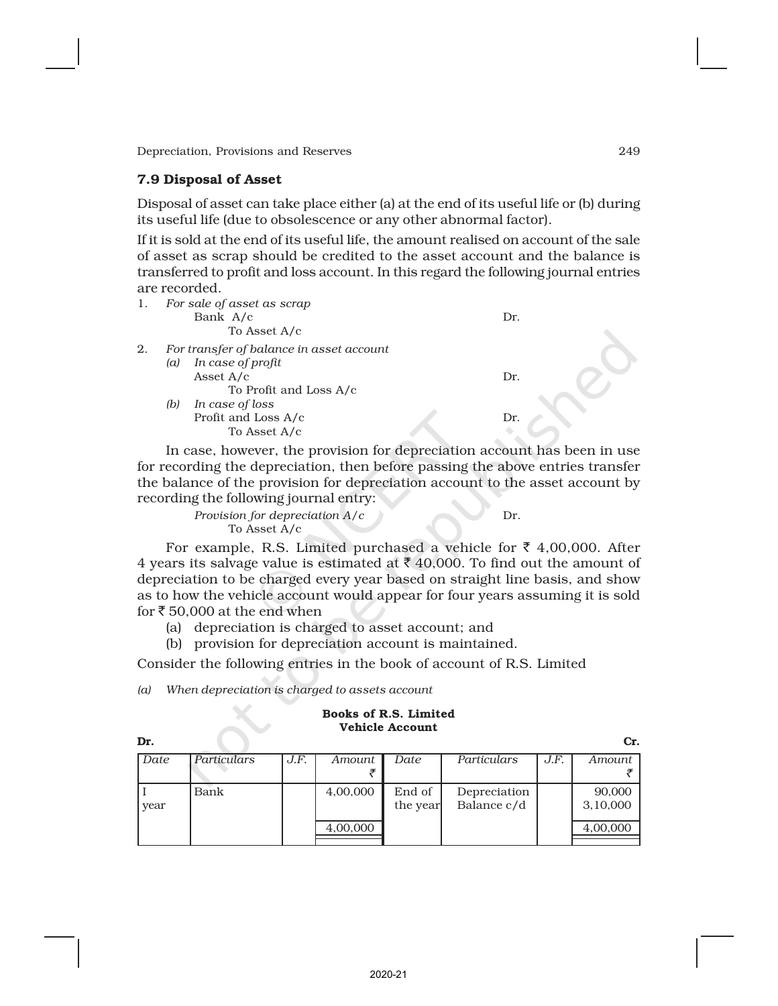### 7.9 Disposal of Asset

Disposal of asset can take place either (a) at the end of its useful life or (b) during its useful life (due to obsolescence or any other abnormal factor).

If it is sold at the end of its useful life, the amount realised on account of the sale of asset as scrap should be credited to the asset account and the balance is transferred to profit and loss account. In this regard the following journal entries are recorded.

| 1. | For sale of asset as scrap<br>Bank A/c<br>To Asset A/c                                                                                  | Dr. |
|----|-----------------------------------------------------------------------------------------------------------------------------------------|-----|
| 2. | For transfer of balance in asset account<br>In case of profit<br>(a)<br>Asset $A/c$<br>To Profit and Loss A/c<br>In case of loss<br>(b) | Dr. |
|    | Profit and Loss A/c                                                                                                                     | Dr. |
|    | To Asset A/c                                                                                                                            |     |

In case, however, the provision for depreciation account has been in use for recording the depreciation, then before passing the above entries transfer the balance of the provision for depreciation account to the asset account by recording the following journal entry:

> *Provision for depreciation A/c* Dr. To Asset A/c

For example, R.S. Limited purchased a vehicle for  $\bar{\tau}$  4,00,000. After 4 years its salvage value is estimated at  $\bar{\tau}$  40,000. To find out the amount of depreciation to be charged every year based on straight line basis, and show as to how the vehicle account would appear for four years assuming it is sold for  $\bar{\tau}$  50,000 at the end when

(a) depreciation is charged to asset account; and

(b) provision for depreciation account is maintained.

Consider the following entries in the book of account of R.S. Limited

*(a) When depreciation is charged to assets account*

#### Books of R.S. Limited Vehicle Account

Dr. Cr. *Date Particulars J.F. Amount Date Particulars J.F. Amount*  $\bar{\tau}$  is a set of  $\bar{\tau}$ I  $\vert$  Bank  $\vert$  4,00,000 End of Depreciation  $\vert$  90,000 year  $\vert$  the year Balance c/d  $\vert$  3,10,000 4,00,000 4,00,000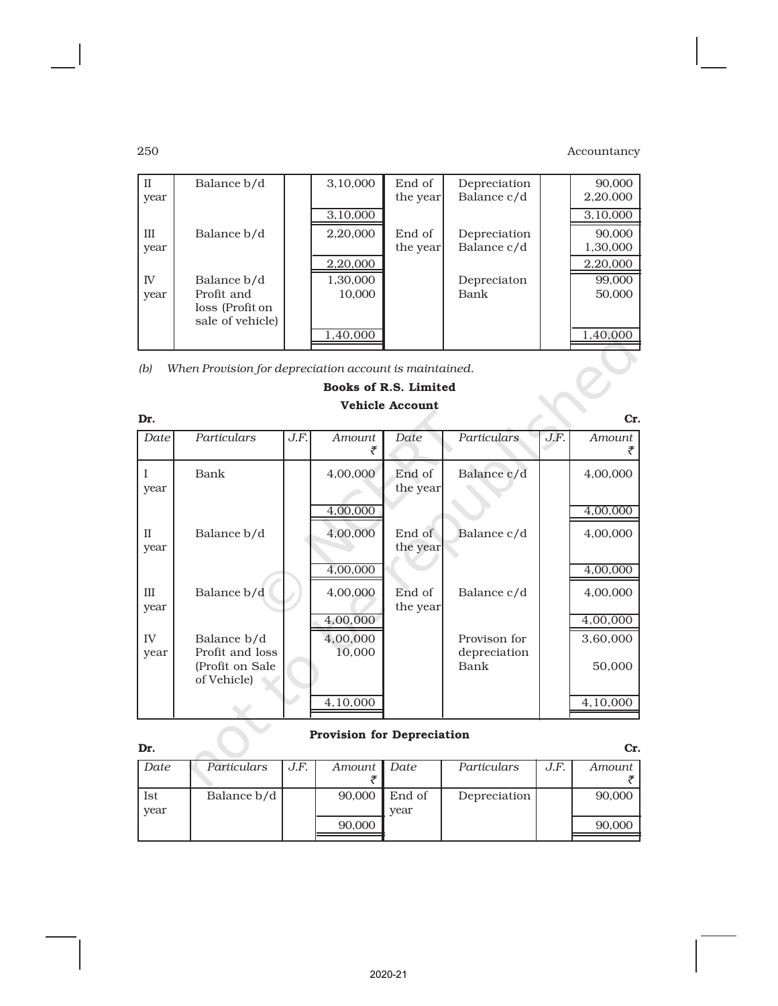| $\mathbf{I}$                                                  | Balance b/d                  |  | 3,10,000 | End of   | Depreciation |  | 90,000   |  |  |
|---------------------------------------------------------------|------------------------------|--|----------|----------|--------------|--|----------|--|--|
| year                                                          |                              |  |          | the year | Balance c/d  |  | 2,20,000 |  |  |
|                                                               |                              |  | 3,10,000 |          |              |  | 3,10,000 |  |  |
| Ш                                                             | Balance b/d                  |  | 2,20,000 | End of   | Depreciation |  | 90,000   |  |  |
| year                                                          |                              |  |          | the year | Balance c/d  |  | 1,30,000 |  |  |
|                                                               |                              |  | 2,20,000 |          |              |  | 2,20,000 |  |  |
| IV <sub></sub>                                                | Balance b/d                  |  | 1,30,000 |          | Depreciaton  |  | 99,000   |  |  |
| year                                                          | Profit and                   |  | 10.000   |          | Bank         |  | 50,000   |  |  |
|                                                               | loss (Profit on              |  |          |          |              |  |          |  |  |
|                                                               | sale of vehicle)             |  |          |          |              |  |          |  |  |
|                                                               |                              |  | 1,40,000 |          |              |  | 1,40,000 |  |  |
| (b)<br>When Provision for depreciation account is maintained. |                              |  |          |          |              |  |          |  |  |
|                                                               | <b>Books of R.S. Limited</b> |  |          |          |              |  |          |  |  |

| Dr.                  |                                                                   |      |                      |                    |                                      |      | Cr.                  |
|----------------------|-------------------------------------------------------------------|------|----------------------|--------------------|--------------------------------------|------|----------------------|
| Date                 | Particulars                                                       | J.F. | Amount               | Date               | Particulars                          | J.F. | Amount               |
| year                 | Bank                                                              |      | 4,00,000<br>4,00,000 | End of<br>the year | Balance c/d                          |      | 4,00,000<br>4,00,000 |
| $\mathbf{I}$<br>year | Balance b/d                                                       |      | 4,00,000<br>4,00,000 | End of<br>the year | Balance c/d                          |      | 4,00,000<br>4,00,000 |
| III<br>year          | Balance b/d                                                       |      | 4,00,000<br>4,00,000 | End of<br>the year | Balance c/d                          |      | 4,00,000<br>4,00,000 |
| IV<br>year           | Balance b/d<br>Profit and loss<br>(Profit on Sale)<br>of Vehicle) |      | 4,00,000<br>10,000   |                    | Provison for<br>depreciation<br>Bank |      | 3,60,000<br>50,000   |
|                      |                                                                   |      | 4,10,000             |                    |                                      |      | 4,10,000             |

# Books of R.S. Limited Vehicle Account

#### Provision for Depreciation

| Dr.  |             |      |               |        |              |      | Cr.    |
|------|-------------|------|---------------|--------|--------------|------|--------|
| Date | Particulars | J.F. | Amount   Date |        | Particulars  | J.F. | Amount |
|      |             |      |               |        |              |      |        |
| Ist  | Balance b/d |      | 90,000        | End of | Depreciation |      | 90,000 |
| year |             |      |               | vear   |              |      |        |
|      |             |      | 90,000        |        |              |      | 90,000 |
|      |             |      |               |        |              |      |        |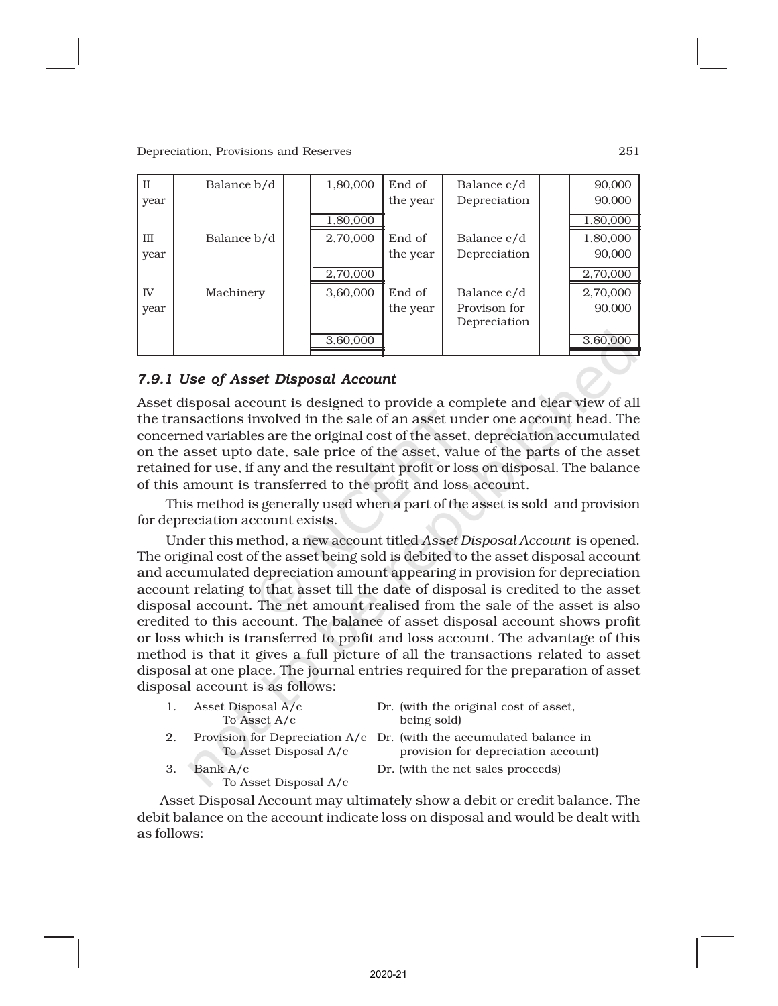| $_{\rm II}$ | Balance b/d | 1,80,000 | End of   | Balance c/d  | 90,000   |
|-------------|-------------|----------|----------|--------------|----------|
| year        |             |          | the year | Depreciation | 90,000   |
|             |             | 1,80,000 |          |              | 1,80,000 |
| III         | Balance b/d | 2,70,000 | End of   | Balance c/d  | 1,80,000 |
| year        |             |          | the year | Depreciation | 90,000   |
|             |             | 2,70,000 |          |              | 2,70,000 |
| IV          | Machinery   | 3,60,000 | End of   | Balance c/d  | 2,70,000 |
| year        |             |          | the year | Provison for | 90,000   |
|             |             |          |          | Depreciation |          |
|             |             | 3,60,000 |          |              | 3,60,000 |

### *7.9.1 Use of Asset Disposal Account*

Asset disposal account is designed to provide a complete and clear view of all the transactions involved in the sale of an asset under one account head. The concerned variables are the original cost of the asset, depreciation accumulated on the asset upto date, sale price of the asset, value of the parts of the asset retained for use, if any and the resultant profit or loss on disposal. The balance of this amount is transferred to the profit and loss account.

This method is generally used when a part of the asset is sold and provision for depreciation account exists.

Under this method, a new account titled *Asset Disposal Account* is opened. The original cost of the asset being sold is debited to the asset disposal account and accumulated depreciation amount appearing in provision for depreciation account relating to that asset till the date of disposal is credited to the asset disposal account. The net amount realised from the sale of the asset is also credited to this account. The balance of asset disposal account shows profit or loss which is transferred to profit and loss account. The advantage of this method is that it gives a full picture of all the transactions related to asset disposal at one place. The journal entries required for the preparation of asset disposal account is as follows:

| 1. | Asset Disposal A/c<br>To Asset A/c | Dr. (with the original cost of asset,<br>being sold)                                                         |
|----|------------------------------------|--------------------------------------------------------------------------------------------------------------|
| 2. | To Asset Disposal A/c              | Provision for Depreciation $A/c$ Dr. (with the accumulated balance in<br>provision for depreciation account) |
| 3. | Bank A/c<br>To Asset Disposal A/c  | Dr. (with the net sales proceeds)                                                                            |

Asset Disposal Account may ultimately show a debit or credit balance. The debit balance on the account indicate loss on disposal and would be dealt with as follows: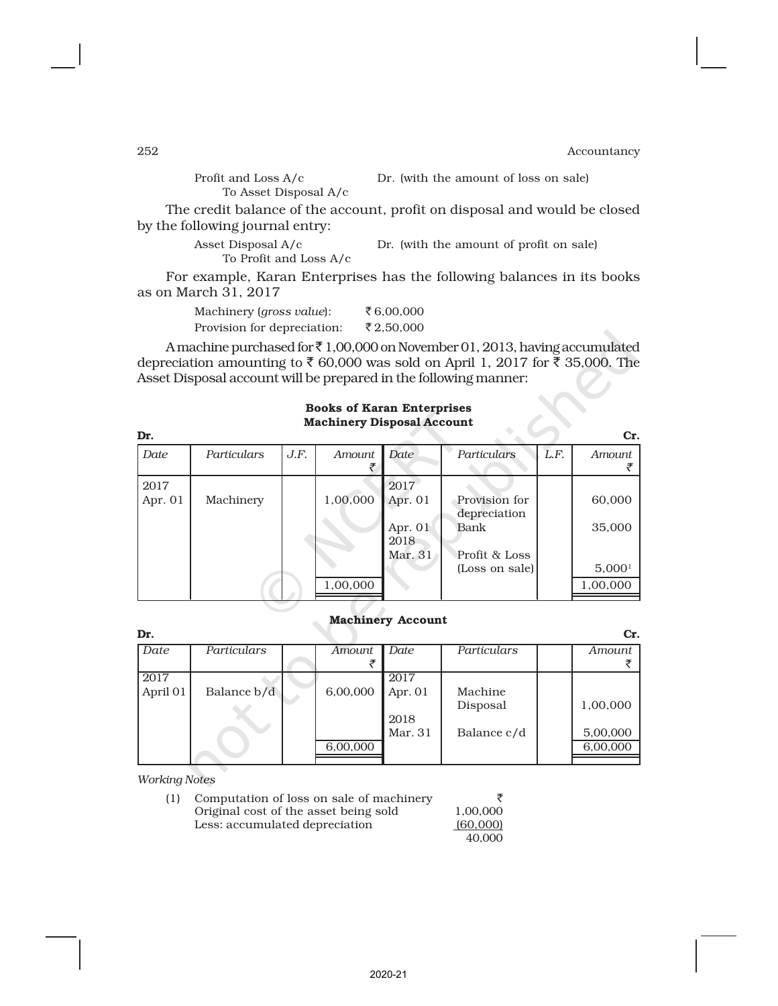Profit and Loss A/c Dr. (with the amount of loss on sale)

To Asset Disposal A/c

The credit balance of the account, profit on disposal and would be closed by the following journal entry:

> Asset Disposal A/c Dr. (with the amount of profit on sale) To Profit and Loss A/c

For example, Karan Enterprises has the following balances in its books as on March 31, 2017

| Machinery ( <i>gross value</i> ): | ₹ $6,00,000$ |
|-----------------------------------|--------------|
| Provision for depreciation:       | ₹2,50,000    |

A machine purchased for  $\bar{x}$  1,00,000 on November 01, 2013, having accumulated depreciation amounting to  $\bar{\tau}$  60,000 was sold on April 1, 2017 for  $\bar{\tau}$  35,000. The Asset Disposal account will be prepared in the following manner:

|                   | <b>Machinery Disposal Account</b> |      |          |                                |                                       |      |                  |  |  |  |  |
|-------------------|-----------------------------------|------|----------|--------------------------------|---------------------------------------|------|------------------|--|--|--|--|
| Dr.               |                                   |      |          |                                |                                       |      | Cr.              |  |  |  |  |
| Date              | Particulars                       | J.F. | Amount   | Date                           | Particulars                           | L.F. | Amount           |  |  |  |  |
| 2017<br>Apr. $01$ | Machinery                         |      | 1,00,000 | 2017<br>Apr. $01$<br>Apr. $01$ | Provision for<br>depreciation<br>Bank |      | 60,000<br>35,000 |  |  |  |  |
|                   |                                   |      |          | 2018<br>Mar. 31                | Profit & Loss                         |      |                  |  |  |  |  |

# Books of Karan Enterprises

#### Machinery Account

| Dr.      |             |          |           |             | Cr.      |
|----------|-------------|----------|-----------|-------------|----------|
| Date     | Particulars | Amount   | Date      | Particulars | Amount   |
|          |             |          |           |             |          |
| 2017     |             |          | 2017      |             |          |
| April 01 | Balance b/d | 6,00,000 | Apr. $01$ | Machine     |          |
|          |             |          |           | Disposal    | 1,00,000 |
|          |             |          | 2018      |             |          |
|          |             |          | Mar. 31   | Balance c/d | 5,00,000 |
|          |             | 6,00,000 |           |             | 6,00,000 |
|          |             |          |           |             |          |

*Working Notes*

| (1) | Computation of loss on sale of machinery |          |
|-----|------------------------------------------|----------|
|     | Original cost of the asset being sold    | 1,00,000 |
|     | Less: accumulated depreciation           | (60,000) |
|     |                                          |          |

 $1,00,000$  $(60,000)$ 40,000

1,00,000 1,00,000 1,00,000

 $(Loss on sale)$  5,000<sup>1</sup>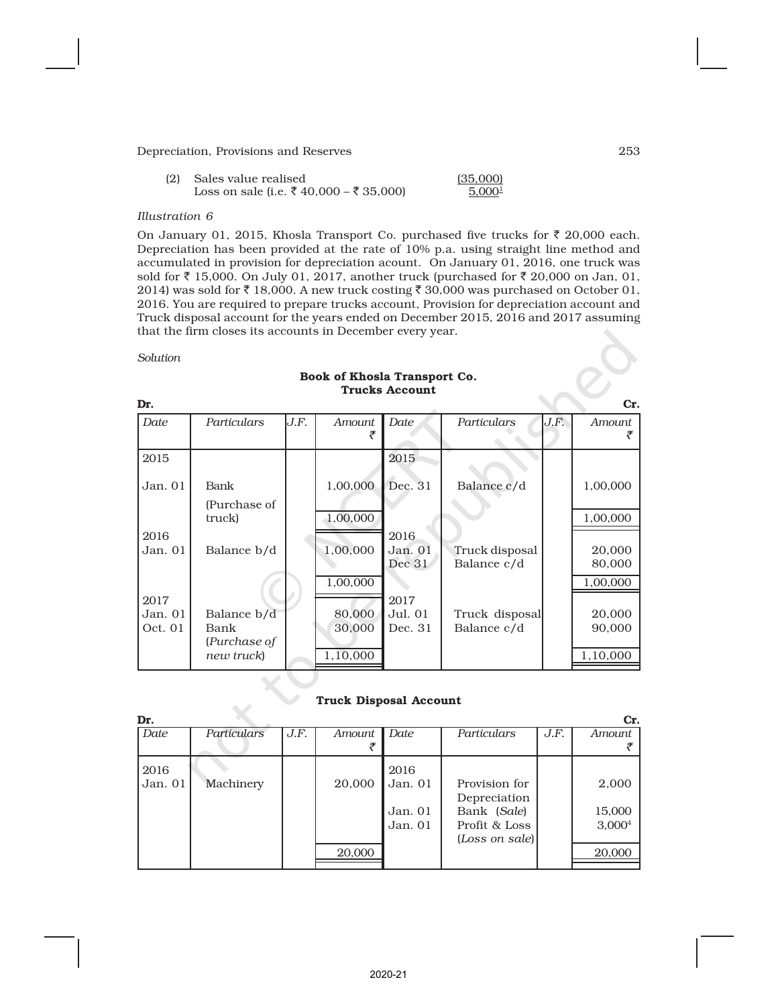| (2) | Sales value realised                    | (35,000)           |
|-----|-----------------------------------------|--------------------|
|     | Loss on sale (i.e. ₹ 40,000 – ₹ 35,000) | 5,000 <sup>1</sup> |

#### *Illustration 6*

On January 01, 2015, Khosla Transport Co. purchased five trucks for  $\bar{\tau}$  20,000 each. Depreciation has been provided at the rate of 10% p.a. using straight line method and accumulated in provision for depreciation acount. On January 01, 2016, one truck was sold for  $\bar{\tau}$  15,000. On July 01, 2017, another truck (purchased for  $\bar{\tau}$  20,000 on Jan, 01, 2014) was sold for  $\bar{\tau}$  18,000. A new truck costing  $\bar{\tau}$  30,000 was purchased on October 01, 2016. You are required to prepare trucks account, Provision for depreciation account and Truck disposal account for the years ended on December 2015, 2016 and 2017 assuming that the firm closes its accounts in December every year.

*Solution*

| Dr.     |                      |      |               |                   |                               |      | Cr.              |
|---------|----------------------|------|---------------|-------------------|-------------------------------|------|------------------|
| Date    | <b>Particulars</b>   | J.F. | <b>Amount</b> | Date              | Particulars                   | J.F. | Amount           |
| 2015    |                      |      |               | 2015              |                               |      |                  |
| Jan. 01 | Bank<br>(Purchase of |      | 1,00,000      | Dec. 31           | Balance c/d                   |      | 1,00,000         |
|         | truck)               |      | 1,00,000      |                   |                               |      | 1,00,000         |
| 2016    |                      |      |               | 2016              |                               |      |                  |
| Jan. 01 | Balance b/d          |      | 1,00,000      | Jan. 01<br>Dec 31 | Truck disposal<br>Balance c/d |      | 20,000<br>80,000 |
|         |                      |      | 1,00,000      |                   |                               |      | 1,00,000         |
| 2017    |                      |      |               | 2017              |                               |      |                  |
| Jan. 01 | Balance b/d          |      | 80,000        | Jul. 01           | Truck disposal                |      | 20,000           |
| Oct. 01 | Bank<br>(Purchase of |      | 30,000        | Dec. 31           | Balance c/d                   |      | 90,000           |
|         | new truck)           |      | 1,10,000      |                   |                               |      | 1,10,000         |

#### Book of Khosla Transport Co. Trucks Account

#### Truck Disposal Account

| Dr.       |                    |      |        |           |                |      | Cr.                |
|-----------|--------------------|------|--------|-----------|----------------|------|--------------------|
| Date      | <b>Particulars</b> | J.F. | Amount | Date      | Particulars    | J.F. | Amount             |
|           |                    |      |        |           |                |      |                    |
| 2016      |                    |      |        | 2016      |                |      |                    |
| Jan. $01$ | Machinery          |      | 20,000 | Jan. 01   | Provision for  |      | 2,000              |
|           |                    |      |        |           | Depreciation   |      |                    |
|           |                    |      |        | Jan. $01$ | Bank (Sale)    |      | 15,000             |
|           |                    |      |        | Jan. $01$ | Profit & Loss  |      | 3,000 <sup>4</sup> |
|           |                    |      |        |           | (Loss on sale) |      |                    |
|           |                    |      | 20,000 |           |                |      | 20,000             |
|           |                    |      |        |           |                |      |                    |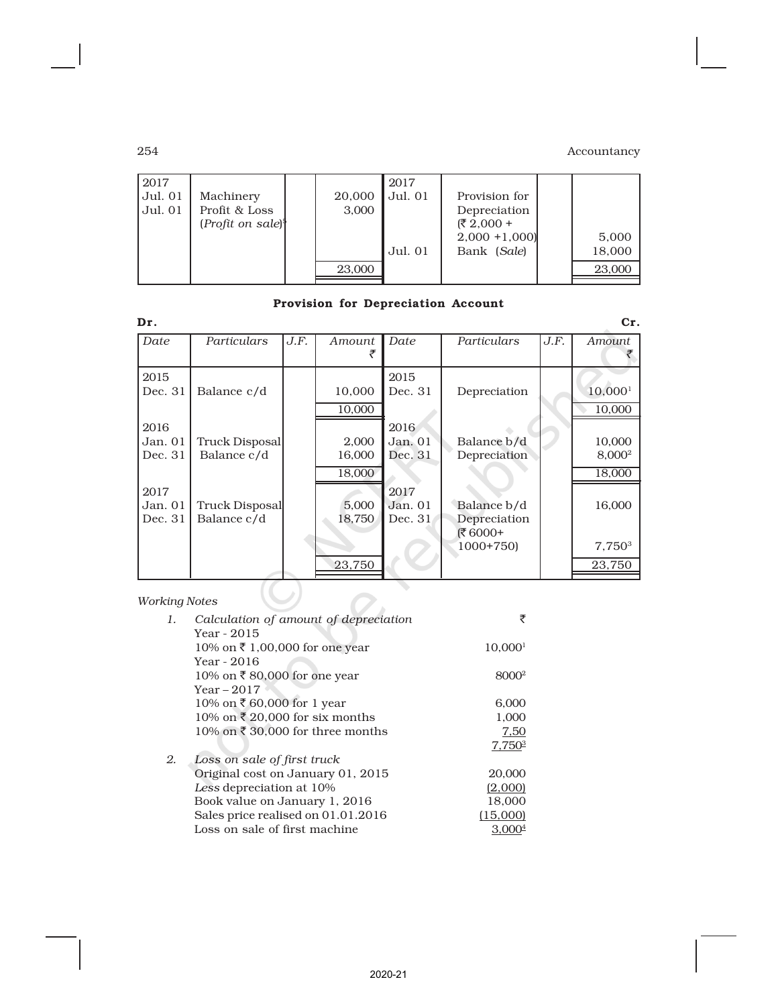| 2017<br>Jul. 01<br>Jul. 01 | Machinery<br>Profit & Loss<br>$(Profit on sale)$ <sup>1</sup> | 20,000<br>3,000 | 2017<br>Jul. 01<br>Jul. 01 | Provision for<br>Depreciation<br>(₹ 2,000 +<br>$2,000 + 1,000$<br>Bank (Sale) | 5,000<br>18,000 |
|----------------------------|---------------------------------------------------------------|-----------------|----------------------------|-------------------------------------------------------------------------------|-----------------|
|                            |                                                               | 23,000          |                            |                                                                               | 23,000          |
|                            |                                                               |                 |                            |                                                                               |                 |

# Provision for Depreciation Account

| Date    | Particulars           | J.F. | Amount | Date      | Particulars  | J.F. | Amount              |
|---------|-----------------------|------|--------|-----------|--------------|------|---------------------|
|         |                       |      |        |           |              |      |                     |
| 2015    |                       |      |        | 2015      |              |      |                     |
| Dec. 31 | Balance c/d           |      | 10,000 | Dec. 31   | Depreciation |      | 10,000 <sup>1</sup> |
|         |                       |      | 10,000 |           |              |      | 10,000              |
| 2016    |                       |      |        | 2016      |              |      |                     |
| Jan. 01 | Truck Disposal        |      | 2,000  | Jan. $01$ | Balance b/d  |      | 10,000              |
| Dec. 31 | Balance c/d           |      | 16,000 | Dec. 31   | Depreciation |      | 8,000 <sup>2</sup>  |
|         |                       |      | 18,000 |           |              |      | 18,000              |
| 2017    |                       |      |        | 2017      |              |      |                     |
| Jan. 01 | <b>Truck Disposal</b> |      | 5,000  | Jan. 01   | Balance b/d  |      | 16,000              |
| Dec. 31 | Balance c/d           |      | 18,750 | Dec. 31   | Depreciation |      |                     |
|         |                       |      |        |           | ₹6000+       |      |                     |
|         |                       |      |        |           | $1000+750$   |      | 7,750 <sup>3</sup>  |
|         |                       |      | 23,750 |           |              |      | 23,750              |

# *Working Notes*

| $\mathbf{1}$ . | Calculation of amount of depreciation | ₹                   |
|----------------|---------------------------------------|---------------------|
|                | Year - 2015                           |                     |
|                | 10% on ₹ 1,00,000 for one year        | 10,000 <sup>1</sup> |
|                | Year - 2016                           |                     |
|                | 10% on ₹80,000 for one year           | 8000 <sup>2</sup>   |
|                | Year – 2017                           |                     |
|                | 10% on ₹60,000 for 1 year             | 6,000               |
|                | 10% on ₹ 20,000 for six months        | 1,000               |
|                | 10% on ₹ 30,000 for three months      | 7,50                |
|                |                                       | $7,750^3$           |
| 2.             | Loss on sale of first truck           |                     |
|                | Original cost on January 01, 2015     | 20,000              |
|                | Less depreciation at 10%              | (2,000)             |
|                | Book value on January 1, 2016         | 18,000              |
|                | Sales price realised on 01.01.2016    | (15,000)            |
|                | Loss on sale of first machine         |                     |
|                |                                       |                     |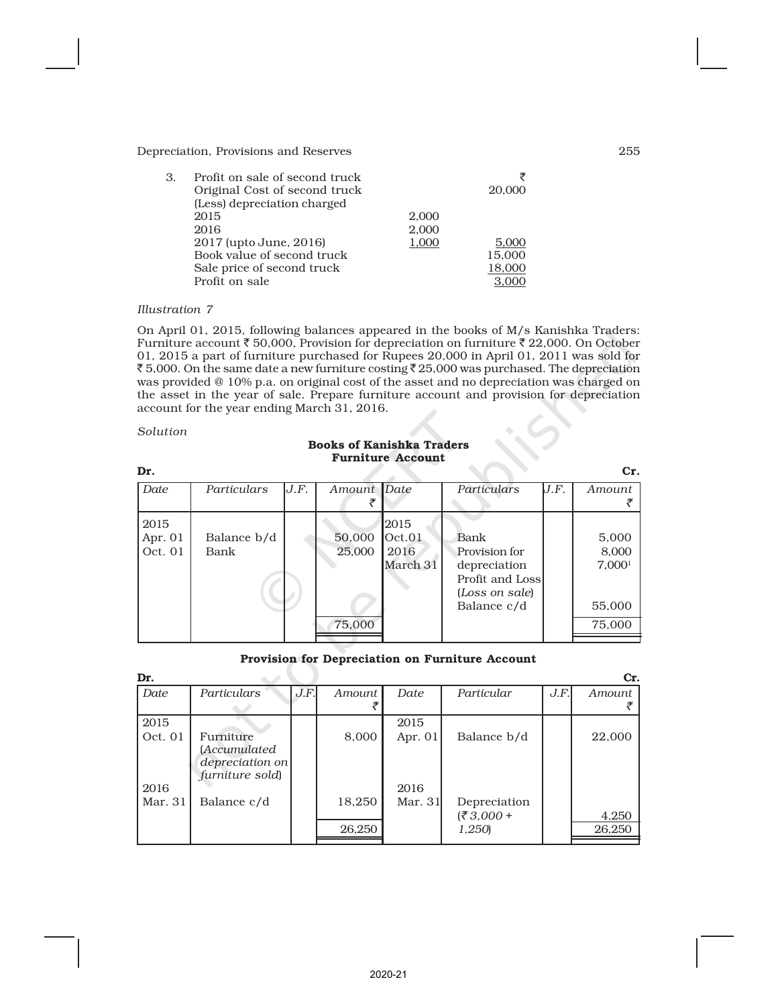| 3. | Profit on sale of second truck |       |        |
|----|--------------------------------|-------|--------|
|    | Original Cost of second truck  |       | 20,000 |
|    | (Less) depreciation charged    |       |        |
|    | 2015                           | 2.000 |        |
|    | 2016                           | 2,000 |        |
|    | 2017 (upto June, 2016)         | 1,000 | 5.000  |
|    | Book value of second truck     |       | 15,000 |
|    | Sale price of second truck     |       | 18,000 |
|    | Profit on sale                 |       |        |

#### *Illustration 7*

On April 01, 2015, following balances appeared in the books of M/s Kanishka Traders: Furniture account  $\bar{\tau}$  50,000, Provision for depreciation on furniture  $\bar{\tau}$  22,000. On October 01, 2015 a part of furniture purchased for Rupees 20,000 in April 01, 2011 was sold for ₹5,000. On the same date a new furniture costing ₹25,000 was purchased. The depreciation was provided @ 10% p.a. on original cost of the asset and no depreciation was charged on the asset in the year of sale. Prepare furniture account and provision for depreciation account for the year ending March 31, 2016.

#### *Solution*

#### Books of Kanishka Traders Furniture Account

| Dr.                          |                     |      |                            |                                    |                                                                                           |      | Cr.                                                      |
|------------------------------|---------------------|------|----------------------------|------------------------------------|-------------------------------------------------------------------------------------------|------|----------------------------------------------------------|
| Date                         | Particulars         | J.F. | Amount Date                |                                    | Particulars                                                                               | J.F. | Amount                                                   |
| 2015<br>Apr. $01$<br>Oct. 01 | Balance b/d<br>Bank |      | 50,000<br>25,000<br>75,000 | 2015<br>Oct.01<br>2016<br>March 31 | Bank<br>Provision for<br>depreciation<br>Profit and Loss<br>(Loss on sale)<br>Balance c/d |      | 5,000<br>8,000<br>7,000 <sup>1</sup><br>55,000<br>75,000 |

#### Provision for Depreciation on Furniture Account

| Dr.     |                 |      |        |           |              |      | Cr.    |
|---------|-----------------|------|--------|-----------|--------------|------|--------|
| Date    | Particulars     | J.F. | Amount | Date      | Particular   | J.F. | Amount |
|         |                 |      |        |           |              |      |        |
| 2015    |                 |      |        | 2015      |              |      |        |
| Oct. 01 | Furniture       |      | 8,000  | Apr. $01$ | Balance b/d  |      | 22,000 |
|         | (Accumulated    |      |        |           |              |      |        |
|         | depreciation on |      |        |           |              |      |        |
|         | furniture sold) |      |        |           |              |      |        |
| 2016    |                 |      |        | 2016      |              |      |        |
| Mar. 31 | Balance c/d     |      | 18,250 | Mar. 31   | Depreciation |      |        |
|         |                 |      |        |           | $(2,000 +$   |      | 4,250  |
|         |                 |      | 26,250 |           | 1,250        |      | 26,250 |
|         |                 |      |        |           |              |      |        |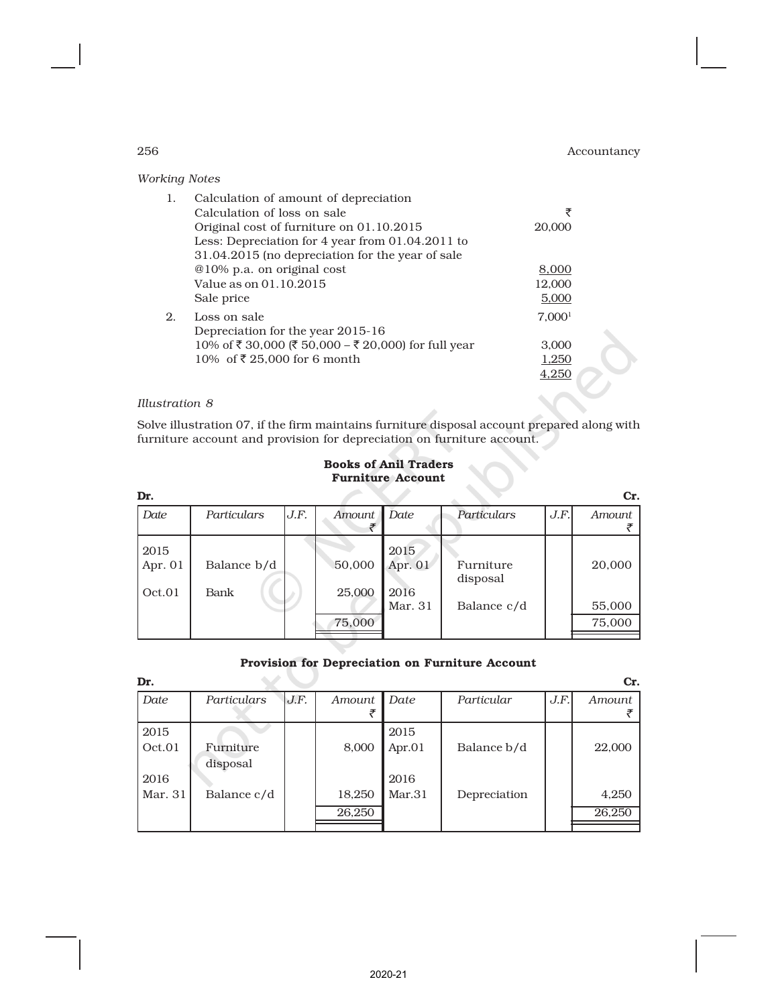| <b>Working Notes</b> |                                                                                                                                                                                                                          |                                               |
|----------------------|--------------------------------------------------------------------------------------------------------------------------------------------------------------------------------------------------------------------------|-----------------------------------------------|
| 1.                   | Calculation of amount of depreciation<br>Calculation of loss on sale<br>Original cost of furniture on 01.10.2015<br>Less: Depreciation for 4 year from 01.04.2011 to<br>31.04.2015 (no depreciation for the year of sale | ₹<br>20,000                                   |
|                      | @10% p.a. on original cost<br>Value as on 01.10.2015<br>Sale price                                                                                                                                                       | 8,000<br>12,000<br>5,000                      |
| 2.                   | Loss on sale<br>Depreciation for the year 2015-16<br>10% of ₹30,000 (₹50,000 – ₹20,000) for full year<br>10% of ₹25,000 for 6 month                                                                                      | 7.000 <sup>1</sup><br>3,000<br>1,250<br>4,250 |

#### *Illustration 8*

Solve illustration 07, if the firm maintains furniture disposal account prepared along with furniture account and provision for depreciation on furniture account.

#### Books of Anil Traders Furniture Account

| Dr.                         |                     |      |                  |                           |                       |      | Cr.    |
|-----------------------------|---------------------|------|------------------|---------------------------|-----------------------|------|--------|
| Date                        | Particulars         | J.F. | Amount           | Date                      | Particulars           | J.F. | Amount |
| 2015<br>Apr. $01$<br>Oct.01 | Balance b/d<br>Bank |      | 50,000<br>25,000 | 2015<br>Apr. $01$<br>2016 | Furniture<br>disposal |      | 20,000 |
|                             |                     |      |                  | Mar. 31                   | Balance c/d           |      | 55,000 |
|                             |                     |      | 75,000           |                           |                       |      | 75,000 |
|                             |                     |      |                  |                           |                       |      |        |

#### Provision for Depreciation on Furniture Account

| Dr.     |             |      |        |           |              |      | Cr.    |
|---------|-------------|------|--------|-----------|--------------|------|--------|
| Date    | Particulars | J.F. | Amount | Date      | Particular   | J.F. | Amount |
|         |             |      |        |           |              |      |        |
| 2015    |             |      |        | 2015      |              |      |        |
| Oct.01  | Furniture   |      | 8,000  | Apr. $01$ | Balance b/d  |      | 22,000 |
|         | disposal    |      |        |           |              |      |        |
| 2016    |             |      |        | 2016      |              |      |        |
| Mar. 31 | Balance c/d |      | 18,250 | Mar.31    | Depreciation |      | 4,250  |
|         |             |      | 26,250 |           |              |      | 26,250 |
|         |             |      |        |           |              |      |        |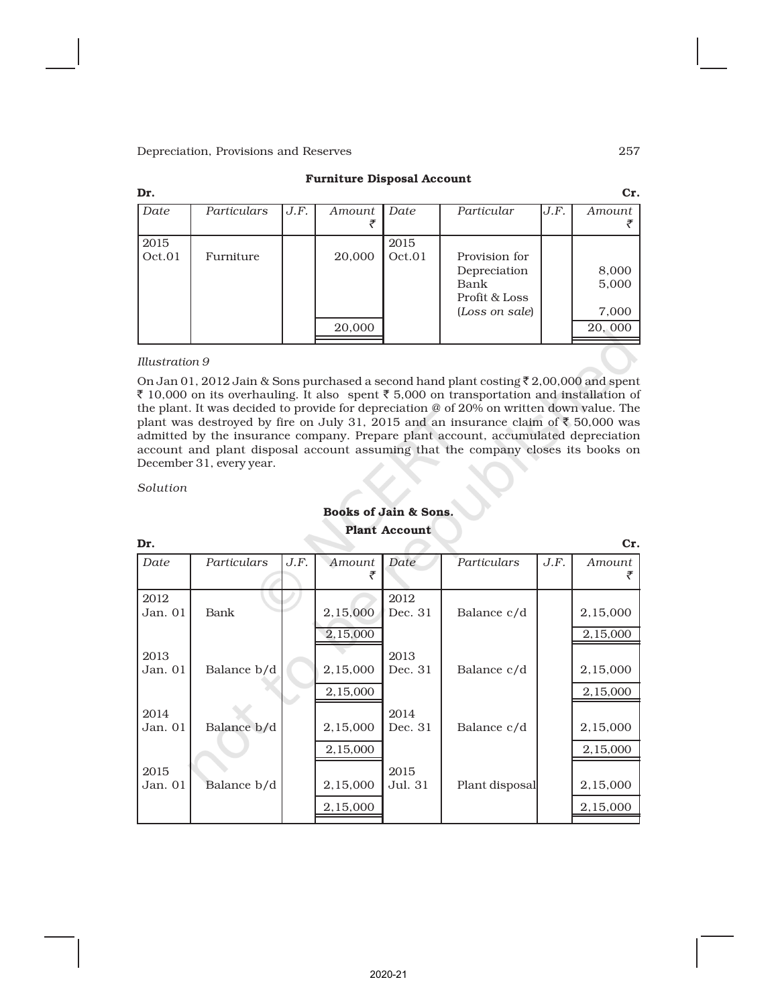| Dr.            |             |      |        |                |                                                                          |      | Cr.                     |
|----------------|-------------|------|--------|----------------|--------------------------------------------------------------------------|------|-------------------------|
| Date           | Particulars | J.F. | Amount | Date           | Particular                                                               | J.F. | Amount                  |
| 2015<br>Oct.01 | Furniture   |      | 20,000 | 2015<br>Oct.01 | Provision for<br>Depreciation<br>Bank<br>Profit & Loss<br>(Loss on sale) |      | 8,000<br>5,000<br>7,000 |
|                |             |      | 20,000 |                |                                                                          |      | 20,000                  |

#### Furniture Disposal Account

#### *Illustration 9*

On Jan 01, 2012 Jain & Sons purchased a second hand plant costing  $\bar{\tau}$  2,00,000 and spent ₹ 10,000 on its overhauling. It also spent ₹ 5,000 on transportation and installation of the plant. It was decided to provide for depreciation @ of 20% on written down value. The plant was destroyed by fire on July 31, 2015 and an insurance claim of  $\overline{\mathfrak{c}}$  50,000 was admitted by the insurance company. Prepare plant account, accumulated depreciation account and plant disposal account assuming that the company closes its books on December 31, every year.

*Solution*

# Books of Jain & Sons.

| Dr.       |             |      |          | 1 1011 - 11000 din c |                |      | Cr.      |
|-----------|-------------|------|----------|----------------------|----------------|------|----------|
| Date      | Particulars | J.F. | Amount   | Date                 | Particulars    | J.F. | Amount   |
| 2012      |             |      |          | 2012                 |                |      |          |
| Jan. 01   | Bank        |      | 2,15,000 | Dec. 31              | Balance c/d    |      | 2,15,000 |
|           |             |      | 2,15,000 |                      |                |      | 2,15,000 |
| 2013      |             |      |          | 2013                 |                |      |          |
| Jan. 01   | Balance b/d |      | 2,15,000 | Dec. 31              | Balance c/d    |      | 2,15,000 |
|           |             |      | 2,15,000 |                      |                |      | 2,15,000 |
| 2014      |             |      |          | 2014                 |                |      |          |
| Jan. 01   | Balance b/d |      | 2,15,000 | Dec. 31              | Balance c/d    |      | 2,15,000 |
|           |             |      | 2,15,000 |                      |                |      | 2,15,000 |
| 2015      |             |      |          | 2015                 |                |      |          |
| Jan. $01$ | Balance b/d |      | 2,15,000 | Jul. 31              | Plant disposal |      | 2,15,000 |
|           |             |      | 2,15,000 |                      |                |      | 2,15,000 |
|           |             |      |          |                      |                |      |          |

### Plant Account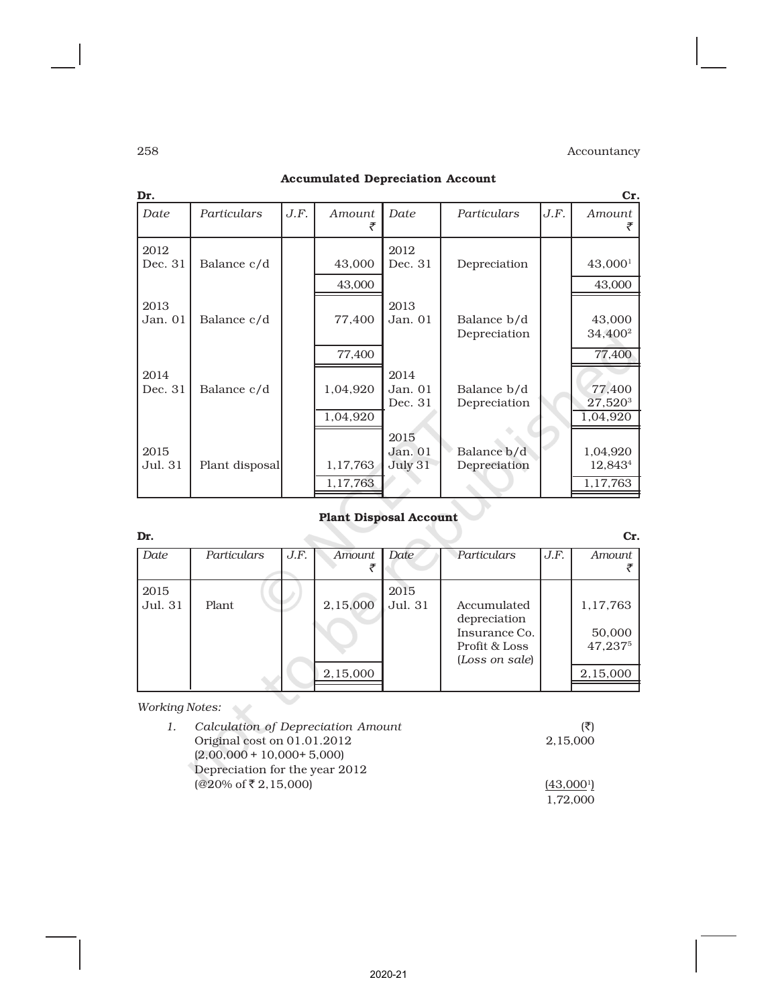|             |      |                      |                            |                             |      | Cr.                                                 |
|-------------|------|----------------------|----------------------------|-----------------------------|------|-----------------------------------------------------|
| Particulars | J.F. | Amount               | Date                       | Particulars                 | J.F. | Amount                                              |
| Balance c/d |      | 43,000               | 2012<br>Dec. 31            | Depreciation                |      | 43,000 <sup>1</sup>                                 |
| Balance c/d |      | 77,400               | 2013<br>Jan. 01            | Balance b/d<br>Depreciation |      | 43,000<br>43,000<br>34,400 <sup>2</sup>             |
| Balance c/d |      | 77,400<br>1,04,920   | 2014<br>Jan. 01<br>Dec. 31 | Balance b/d<br>Depreciation |      | 77,400<br>77,400<br>27,520 <sup>3</sup><br>1,04,920 |
|             |      | 1,17,763<br>1,17,763 | 2015<br>Jan. 01<br>July 31 | Balance b/d<br>Depreciation |      | 1,04,920<br>12,843 <sup>4</sup><br>1,17,763         |
|             |      | Plant disposal       | 43,000<br>1,04,920         |                             |      |                                                     |

# Accumulated Depreciation Account

# Plant Disposal Account

| Dr.     |              |      |          |         |                |      | Cr.      |
|---------|--------------|------|----------|---------|----------------|------|----------|
| Date    | Particulars  | J.F. | Amount   | Date    | Particulars    | J.F. | Amount   |
|         |              |      |          |         |                |      |          |
| 2015    |              |      |          | 2015    |                |      |          |
| Jul. 31 | Plant        |      | 2,15,000 | Jul. 31 | Accumulated    |      | 1,17,763 |
|         |              |      |          |         | depreciation   |      |          |
|         |              |      |          |         | Insurance Co.  |      | 50,000   |
|         |              |      |          |         | Profit & Loss  |      | 47,2375  |
|         |              |      |          |         | (Loss on sale) |      |          |
|         |              |      | 2,15,000 |         |                |      | 2,15,000 |
|         |              |      |          |         |                |      |          |
|         | $\mathbf{r}$ |      |          |         |                |      |          |

*Working Notes:*

| 1. | Calculation of Depreciation Amount |          |
|----|------------------------------------|----------|
|    | Original cost on 01.01.2012        | 2,15,000 |
|    | $(2,00,000 + 10,000 + 5,000)$      |          |
|    | Depreciation for the year 2012     |          |
|    | $(@20\% \text{ of } ₹2,15,000)$    | (43,000) |
|    |                                    | 1.72.000 |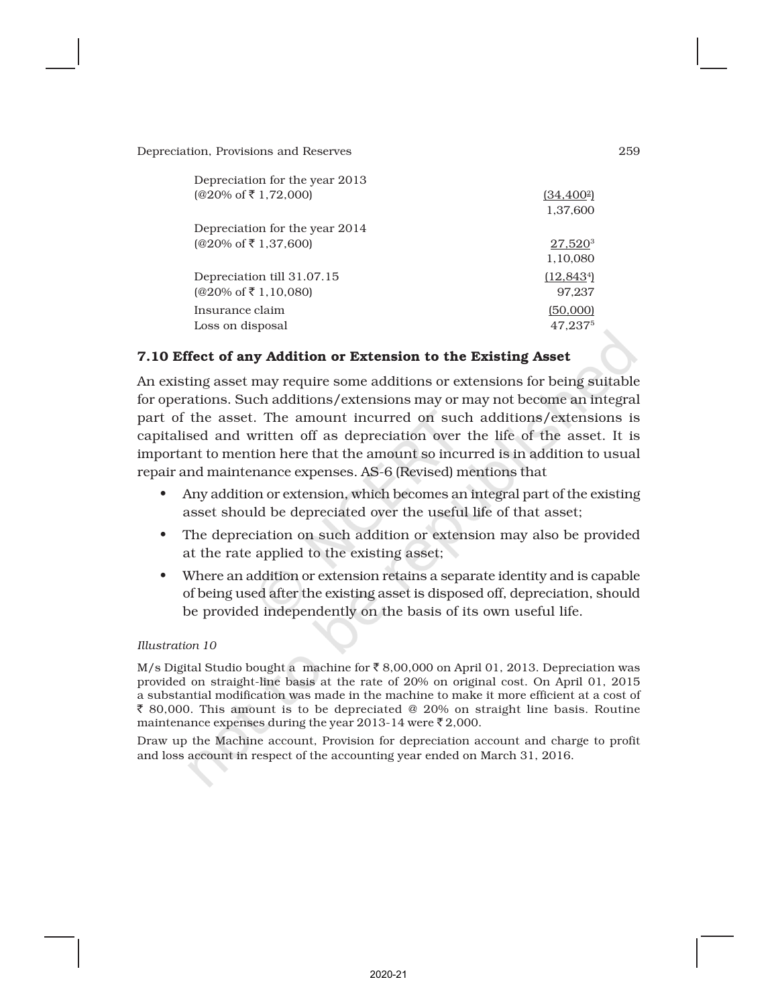| Depreciation for the year 2013<br>$(@20\% \text{ of } ₹ 1,72,000)$ | $(34, 400^2)$<br>1,37,600       |
|--------------------------------------------------------------------|---------------------------------|
| Depreciation for the year 2014                                     |                                 |
| $(@20\% \text{ of } ₹ 1,37,600)$                                   | 27,520 <sup>3</sup><br>1,10,080 |
| Depreciation till 31.07.15                                         | (12, 843)                       |
| $(@20\% \text{ of } ₹ 1,10,080)$                                   | 97.237                          |
| Insurance claim<br>Loss on disposal                                | (50,000)<br>47.2375             |

# 7.10 Effect of any Addition or Extension to the Existing Asset

An existing asset may require some additions or extensions for being suitable for operations. Such additions/extensions may or may not become an integral part of the asset. The amount incurred on such additions/extensions is capitalised and written off as depreciation over the life of the asset. It is important to mention here that the amount so incurred is in addition to usual repair and maintenance expenses. AS-6 (Revised) mentions that

- Any addition or extension, which becomes an integral part of the existing asset should be depreciated over the useful life of that asset;
- The depreciation on such addition or extension may also be provided at the rate applied to the existing asset;
- Where an addition or extension retains a separate identity and is capable of being used after the existing asset is disposed off, depreciation, should be provided independently on the basis of its own useful life.

#### *Illustration 10*

M/s Digital Studio bought a machine for  $\bar{\tau}$  8,00,000 on April 01, 2013. Depreciation was provided on straight-line basis at the rate of 20% on original cost. On April 01, 2015 a substantial modification was made in the machine to make it more efficient at a cost of  $\bar{\xi}$  80,000. This amount is to be depreciated @ 20% on straight line basis. Routine maintenance expenses during the year 2013-14 were  $\bar{\tau}$  2,000.

Draw up the Machine account, Provision for depreciation account and charge to profit and loss account in respect of the accounting year ended on March 31, 2016.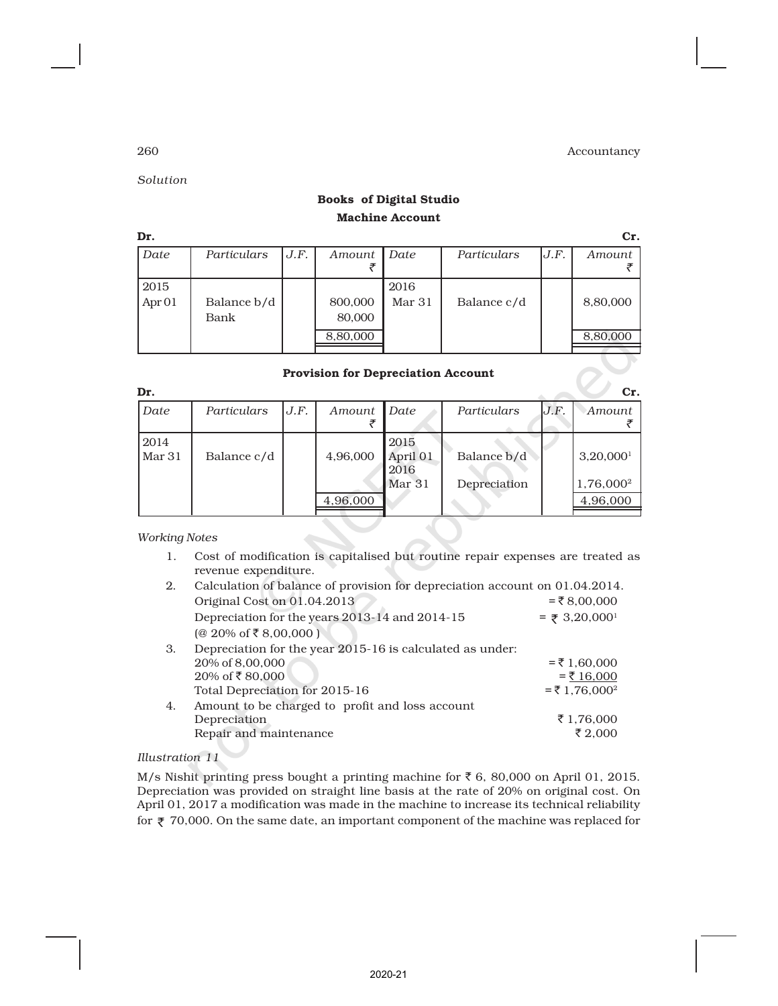*Solution*

# Books of Digital Studio Machine Account

| Dr.               |             |      |          |        |             |      | Cr.      |
|-------------------|-------------|------|----------|--------|-------------|------|----------|
| Date              | Particulars | J.F. | Amount   | Date   | Particulars | J.F. | Amount   |
|                   |             |      |          |        |             |      |          |
| 2015              |             |      |          | 2016   |             |      |          |
| Apr <sub>01</sub> | Balance b/d |      | 800,000  | Mar 31 | Balance c/d |      | 8,80,000 |
|                   | Bank        |      | 80,000   |        |             |      |          |
|                   |             |      | 8,80,000 |        |             |      | 8,80,000 |
|                   |             |      |          |        |             |      |          |

#### Provision for Depreciation Account

| Dr.            |             |      |          |                          |              |      | Cr.                     |
|----------------|-------------|------|----------|--------------------------|--------------|------|-------------------------|
| Date           | Particulars | J.F. | Amount   | Date                     | Particulars  | J.F. | Amount                  |
| 2014<br>Mar 31 | Balance c/d |      | 4,96,000 | 2015<br>April 01<br>2016 | Balance b/d  |      | $3,20,000$ <sup>1</sup> |
|                |             |      |          | Mar <sub>31</sub>        | Depreciation |      | 1,76,000 <sup>2</sup>   |
|                |             |      | 4,96,000 |                          |              |      | 4,96,000                |
|                |             |      |          |                          |              |      |                         |

*Working Notes*

1. Cost of modification is capitalised but routine repair expenses are treated as revenue expenditure.

| Calculation of balance of provision for depreciation account on 01.04.2014. |                             |
|-----------------------------------------------------------------------------|-----------------------------|
| Original Cost on 01.04.2013                                                 | $= ₹8,00,000$               |
| Depreciation for the years 2013-14 and 2014-15                              | $=$ ₹ 3,20,000 <sup>1</sup> |
| $(@ 20\% \text{ of } ₹ 8,00,000)$                                           |                             |
| Depreciation for the year 2015-16 is calculated as under:                   |                             |
| 20% of 8,00,000                                                             | $=$ ₹ 1,60,000              |
| 20% of ₹80,000                                                              | $=$ ₹ 16,000                |
| Total Depreciation for 2015-16                                              | $= 71,76,000^2$             |
| Amount to be charged to profit and loss account                             |                             |
| Depreciation                                                                | ₹1,76,000                   |
| Repair and maintenance                                                      | ₹ 2,000                     |
|                                                                             |                             |

### *Illustration 11*

M/s Nishit printing press bought a printing machine for  $\bar{\tau}$  6, 80,000 on April 01, 2015. Depreciation was provided on straight line basis at the rate of 20% on original cost. On April 01, 2017 a modification was made in the machine to increase its technical reliability for  $\bar{\tau}$  70,000. On the same date, an important component of the machine was replaced for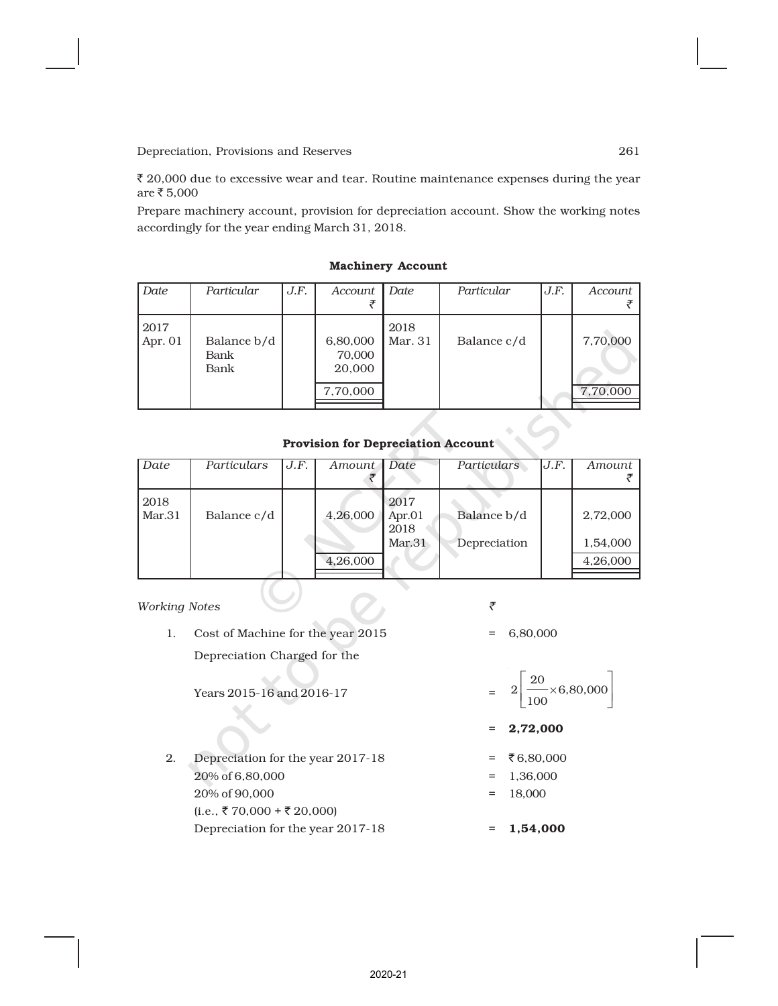$\bar{\tau}$  20,000 due to excessive wear and tear. Routine maintenance expenses during the year  $are ₹ 5,000$ 

Prepare machinery account, provision for depreciation account. Show the working notes accordingly for the year ending March 31, 2018.

| Date            | Particular                  | J.F. | Account                                  | Date            | Particular  | J.F. | Account              |
|-----------------|-----------------------------|------|------------------------------------------|-----------------|-------------|------|----------------------|
| 2017<br>Apr. 01 | Balance b/d<br>Bank<br>Bank |      | 6,80,000<br>70,000<br>20,000<br>7,70,000 | 2018<br>Mar. 31 | Balance c/d |      | 7,70,000<br>7,70,000 |

#### Machinery Account

#### Provision for Depreciation Account

| Date           | Particulars | J.F. | Amount 1 | Date                                | Particulars                 | J.F. | Amount               |
|----------------|-------------|------|----------|-------------------------------------|-----------------------------|------|----------------------|
| 2018<br>Mar.31 | Balance c/d |      | 4,26,000 | 2017<br>Apr. $01$<br>2018<br>Mar.31 | Balance b/d<br>Depreciation |      | 2,72,000<br>1,54,000 |
|                |             |      | 4,26,000 |                                     |                             |      | 4,26,000             |

#### *Working Notes* `

1. Cost of Machine for the year 2015 = 6,80,000 Depreciation Charged for the

Years 2015-16 and 2016-17 =

 $(i.e., ₹70,000 + ₹20,000)$ 

# $\frac{20}{1}$  × 6,80,000  $\left| \frac{20}{2} \right|$

 $\rfloor$ 1

- L 100  $= 2,72,000$
- 2. Depreciation for the year 2017-18 =  $\overline{6,80,000}$ 
	- $20\% \text{ of } 6,80,000$  = 1,36,000
	- $20\% \text{ of } 90,000$  = 18,000

Depreciation for the year 2017-18  $= 1,54,000$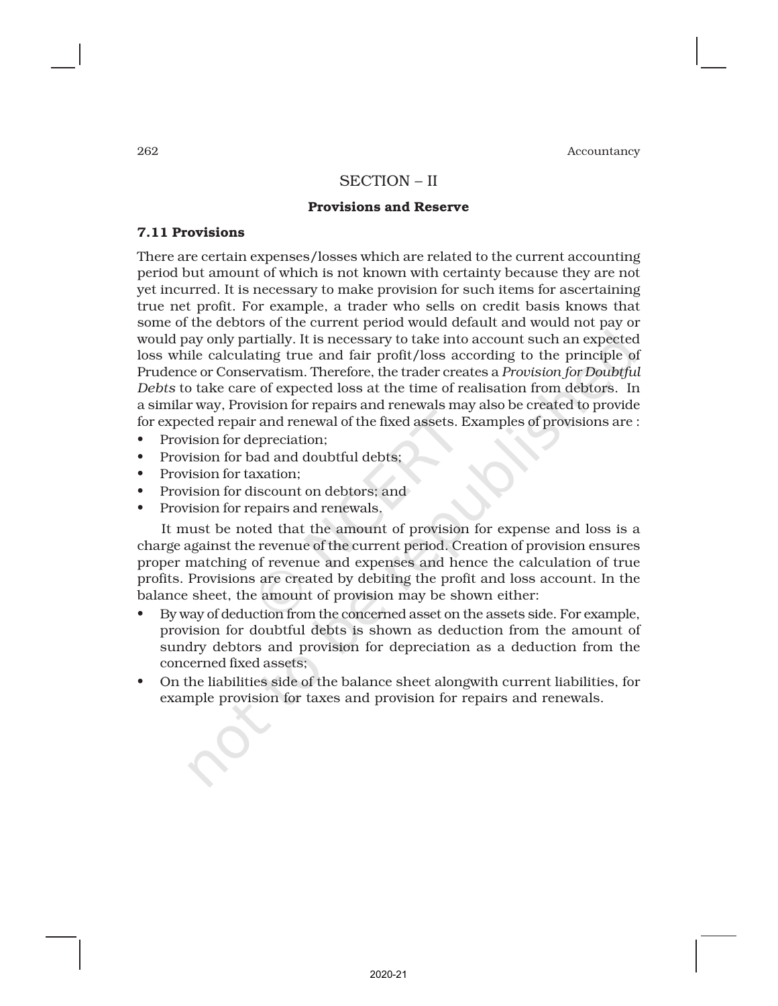# SECTION – II

#### Provisions and Reserve

#### 7.11 Provisions

There are certain expenses/losses which are related to the current accounting period but amount of which is not known with certainty because they are not yet incurred. It is necessary to make provision for such items for ascertaining true net profit. For example, a trader who sells on credit basis knows that some of the debtors of the current period would default and would not pay or would pay only partially. It is necessary to take into account such an expected loss while calculating true and fair profit/loss according to the principle of Prudence or Conservatism. Therefore, the trader creates a *Provision for Doubtful Debts* to take care of expected loss at the time of realisation from debtors. In a similar way, Provision for repairs and renewals may also be created to provide for expected repair and renewal of the fixed assets. Examples of provisions are :

- Provision for depreciation;
- Provision for bad and doubtful debts;
- Provision for taxation;
- Provision for discount on debtors; and
- Provision for repairs and renewals.

It must be noted that the amount of provision for expense and loss is a charge against the revenue of the current period. Creation of provision ensures proper matching of revenue and expenses and hence the calculation of true profits. Provisions are created by debiting the profit and loss account. In the balance sheet, the amount of provision may be shown either:

- By way of deduction from the concerned asset on the assets side. For example, provision for doubtful debts is shown as deduction from the amount of sundry debtors and provision for depreciation as a deduction from the concerned fixed assets;
- On the liabilities side of the balance sheet alongwith current liabilities, for example provision for taxes and provision for repairs and renewals.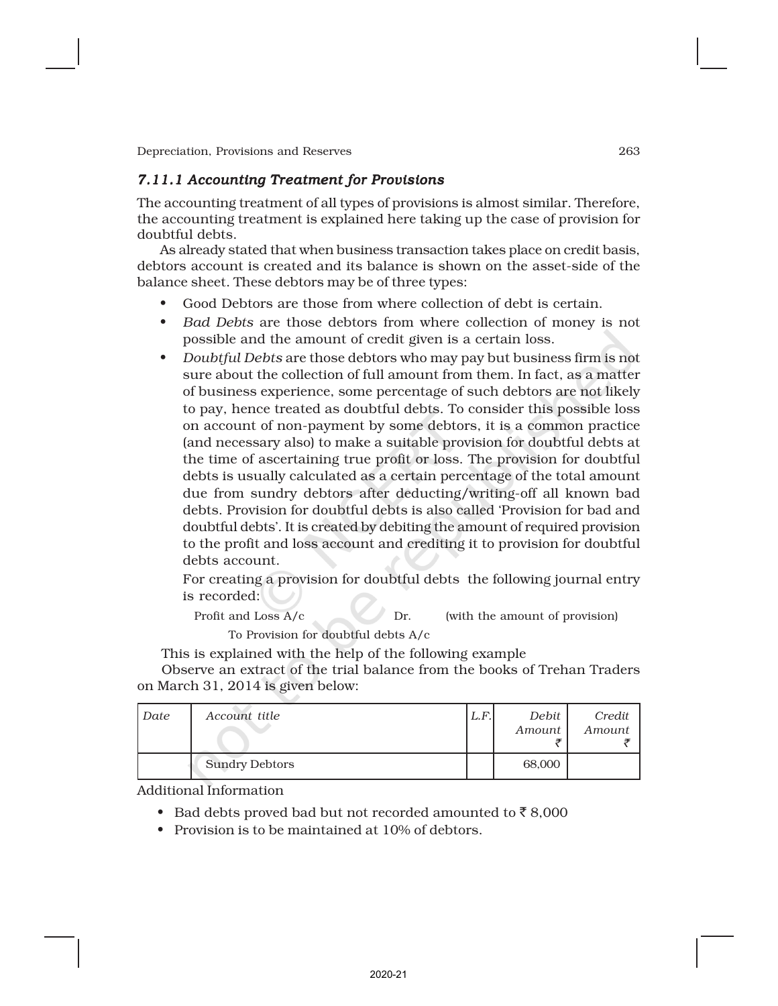# *7.11.1 Accounting Treatment for Provisions*

The accounting treatment of all types of provisions is almost similar. Therefore, the accounting treatment is explained here taking up the case of provision for doubtful debts.

As already stated that when business transaction takes place on credit basis, debtors account is created and its balance is shown on the asset-side of the balance sheet. These debtors may be of three types:

- Good Debtors are those from where collection of debt is certain.
- *Bad Debts* are those debtors from where collection of money is not possible and the amount of credit given is a certain loss.
- *Doubtful Debts* are those debtors who may pay but business firm is not sure about the collection of full amount from them. In fact, as a matter of business experience, some percentage of such debtors are not likely to pay, hence treated as doubtful debts. To consider this possible loss on account of non-payment by some debtors, it is a common practice (and necessary also) to make a suitable provision for doubtful debts at the time of ascertaining true profit or loss. The provision for doubtful debts is usually calculated as a certain percentage of the total amount due from sundry debtors after deducting/writing-off all known bad debts. Provision for doubtful debts is also called 'Provision for bad and doubtful debts'. It is created by debiting the amount of required provision to the profit and loss account and crediting it to provision for doubtful debts account.

For creating a provision for doubtful debts the following journal entry is recorded:

Profit and Loss A/c Dr. (with the amount of provision) To Provision for doubtful debts A/c

This is explained with the help of the following example

Observe an extract of the trial balance from the books of Trehan Traders on March 31, 2014 is given below:

| Date | Account title         | L.F. | Debit<br>Amount | Credit<br>Amount |
|------|-----------------------|------|-----------------|------------------|
|      | <b>Sundry Debtors</b> |      | 68,000          |                  |

Additional Information

- Bad debts proved bad but not recorded amounted to  $\bar{z}$  8,000
- Provision is to be maintained at 10% of debtors.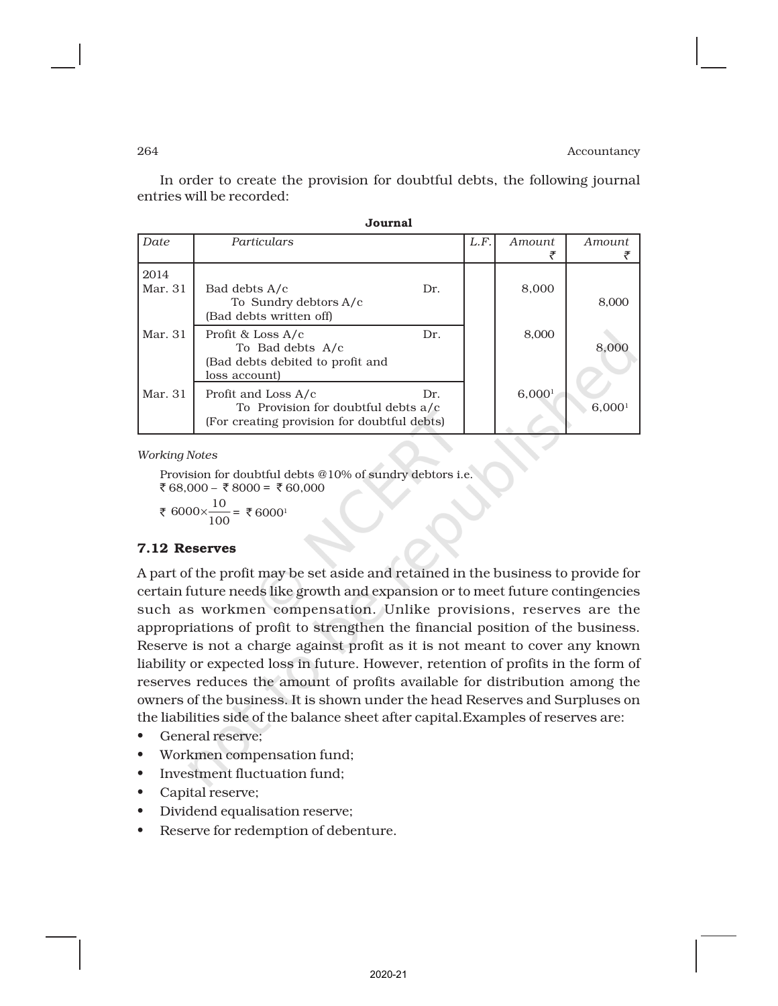In order to create the provision for doubtful debts, the following journal entries will be recorded:

Journal

|                 | ovumai                                                                                                    |     |      |               |                    |  |
|-----------------|-----------------------------------------------------------------------------------------------------------|-----|------|---------------|--------------------|--|
| Date            | Particulars                                                                                               |     | L.F. | <i>Amount</i> | <i>Amount</i>      |  |
| 2014<br>Mar. 31 | Bad debts A/c<br>To Sundry debtors A/c<br>(Bad debts written off)                                         | Dr. |      | 8,000         | 8,000              |  |
| Mar. 31         | Profit & Loss A/c<br>To Bad debts A/c<br>(Bad debts debited to profit and<br>loss account)                | Dr. |      | 8,000         | 8,000              |  |
| Mar. 31         | Profit and Loss A/c<br>To Provision for doubtful debts a/c<br>(For creating provision for doubtful debts) | Dr. |      | 6,0001        | 6,000 <sup>1</sup> |  |

*Working Notes*

Provision for doubtful debts @10% of sundry debtors i.e.  $\overline{\xi}$  68,000 –  $\overline{\xi}$  8000 =  $\overline{\xi}$  60,000

₹ 6000× $\frac{10}{100}$  $\times \frac{10}{100}$  = ₹6000<sup>1</sup>

### 7.12 Reserves

A part of the profit may be set aside and retained in the business to provide for certain future needs like growth and expansion or to meet future contingencies such as workmen compensation. Unlike provisions, reserves are the appropriations of profit to strengthen the financial position of the business. Reserve is not a charge against profit as it is not meant to cover any known liability or expected loss in future. However, retention of profits in the form of reserves reduces the amount of profits available for distribution among the owners of the business. It is shown under the head Reserves and Surpluses on the liabilities side of the balance sheet after capital.Examples of reserves are:

- General reserve;
- Workmen compensation fund;
- Investment fluctuation fund;
- Capital reserve;
- Dividend equalisation reserve;
- Reserve for redemption of debenture.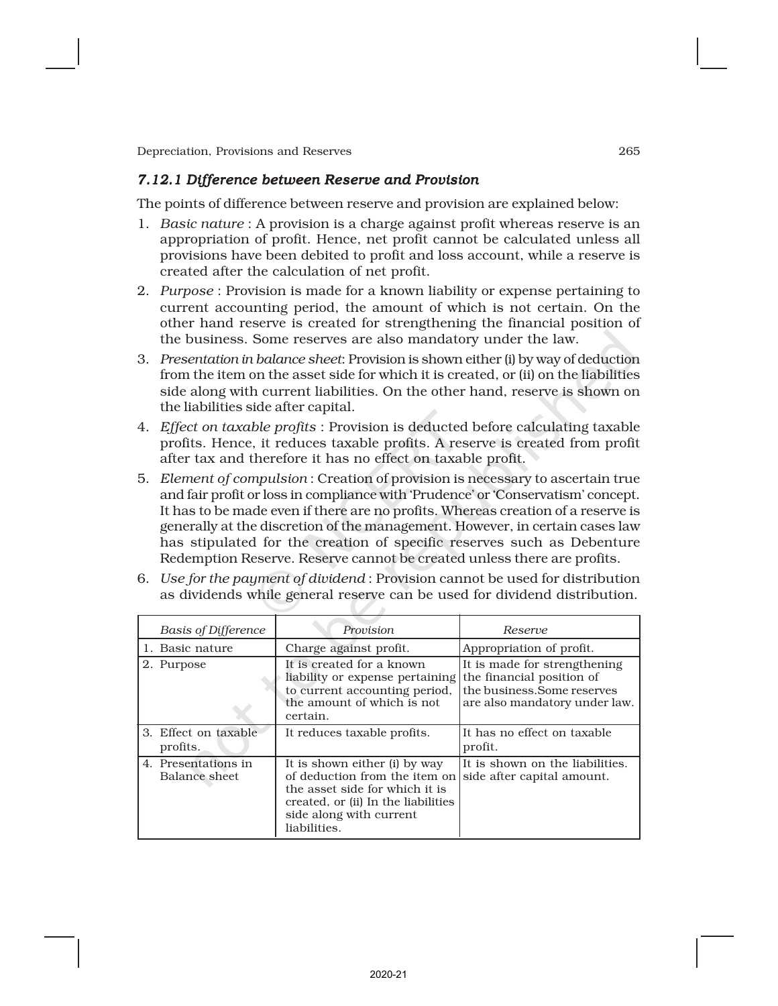# *7.12.1 Difference between Reserve and Provision*

The points of difference between reserve and provision are explained below:

- 1. *Basic nature* : A provision is a charge against profit whereas reserve is an appropriation of profit. Hence, net profit cannot be calculated unless all provisions have been debited to profit and loss account, while a reserve is created after the calculation of net profit.
- 2. *Purpose* : Provision is made for a known liability or expense pertaining to current accounting period, the amount of which is not certain. On the other hand reserve is created for strengthening the financial position of the business. Some reserves are also mandatory under the law.
- 3. *Presentation in balance sheet*: Provision is shown either (i) by way of deduction from the item on the asset side for which it is created, or (ii) on the liabilities side along with current liabilities. On the other hand, reserve is shown on the liabilities side after capital.
- 4. *Effect on taxable profits* : Provision is deducted before calculating taxable profits. Hence, it reduces taxable profits. A reserve is created from profit after tax and therefore it has no effect on taxable profit.
- 5. *Element of compulsion* : Creation of provision is necessary to ascertain true and fair profit or loss in compliance with 'Prudence' or 'Conservatism' concept. It has to be made even if there are no profits. Whereas creation of a reserve is generally at the discretion of the management. However, in certain cases law has stipulated for the creation of specific reserves such as Debenture Redemption Reserve. Reserve cannot be created unless there are profits.
- 6. *Use for the payment of dividend* : Provision cannot be used for distribution as dividends while general reserve can be used for dividend distribution.

| <b>Basis of Difference</b>           | Provision                                                                                                                                                                          | Reserve                                                                                                                   |
|--------------------------------------|------------------------------------------------------------------------------------------------------------------------------------------------------------------------------------|---------------------------------------------------------------------------------------------------------------------------|
| 1. Basic nature                      | Charge against profit.                                                                                                                                                             | Appropriation of profit.                                                                                                  |
| 2. Purpose                           | It is created for a known<br>liability or expense pertaining<br>to current accounting period,<br>the amount of which is not<br>certain.                                            | It is made for strengthening<br>the financial position of<br>the business. Some reserves<br>are also mandatory under law. |
| 3. Effect on taxable<br>profits.     | It reduces taxable profits.                                                                                                                                                        | It has no effect on taxable<br>profit.                                                                                    |
| 4. Presentations in<br>Balance sheet | It is shown either (i) by way<br>of deduction from the item on<br>the asset side for which it is<br>created, or (ii) In the liabilities<br>side along with current<br>liabilities. | It is shown on the liabilities.<br>side after capital amount.                                                             |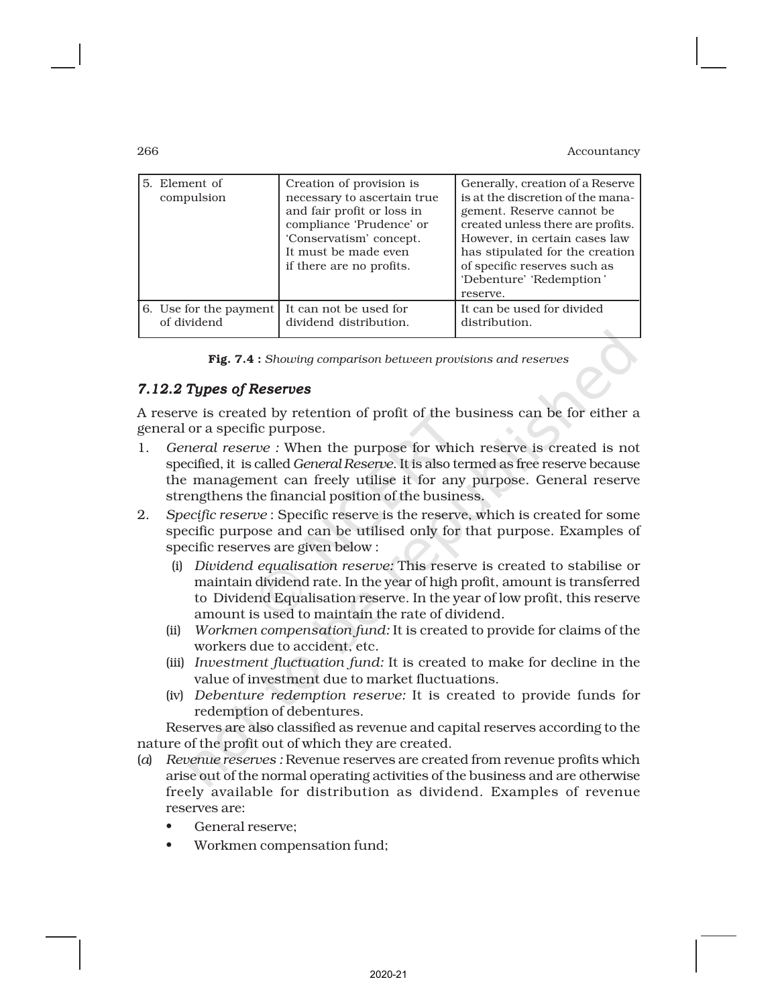| 5. Element of<br>compulsion | Creation of provision is<br>necessary to ascertain true<br>and fair profit or loss in<br>compliance 'Prudence' or<br>'Conservatism' concept.<br>It must be made even<br>if there are no profits. | Generally, creation of a Reserve<br>is at the discretion of the mana-<br>gement. Reserve cannot be.<br>created unless there are profits.<br>However, in certain cases law<br>has stipulated for the creation<br>of specific reserves such as<br>'Debenture' 'Redemption'<br>reserve. |
|-----------------------------|--------------------------------------------------------------------------------------------------------------------------------------------------------------------------------------------------|--------------------------------------------------------------------------------------------------------------------------------------------------------------------------------------------------------------------------------------------------------------------------------------|
| 6. Use for the payment      | It can not be used for                                                                                                                                                                           | It can be used for divided                                                                                                                                                                                                                                                           |
| of dividend                 | dividend distribution.                                                                                                                                                                           | distribution.                                                                                                                                                                                                                                                                        |

Fig. 7.4 : *Showing comparison between provisions and reserves*

# *7.12.2 Types of Reserves*

A reserve is created by retention of profit of the business can be for either a general or a specific purpose.

- 1. *General reserve :* When the purpose for which reserve is created is not specified, it is called *General Reserve*. It is also termed as free reserve because the management can freely utilise it for any purpose. General reserve strengthens the financial position of the business.
- 2. *Specific reserve* : Specific reserve is the reserve, which is created for some specific purpose and can be utilised only for that purpose. Examples of specific reserves are given below :
	- (i) *Dividend equalisation reserve:* This reserve is created to stabilise or maintain dividend rate. In the year of high profit, amount is transferred to Dividend Equalisation reserve. In the year of low profit, this reserve amount is used to maintain the rate of dividend.
	- (ii) *Workmen compensation fund:* It is created to provide for claims of the workers due to accident, etc.
	- (iii) *Investment fluctuation fund:* It is created to make for decline in the value of investment due to market fluctuations.
	- (iv) *Debenture redemption reserve:* It is created to provide funds for redemption of debentures.

Reserves are also classified as revenue and capital reserves according to the nature of the profit out of which they are created.

- (*a*) *Revenue reserves :* Revenue reserves are created from revenue profits which arise out of the normal operating activities of the business and are otherwise freely available for distribution as dividend. Examples of revenue reserves are:
	- General reserve;
	- Workmen compensation fund;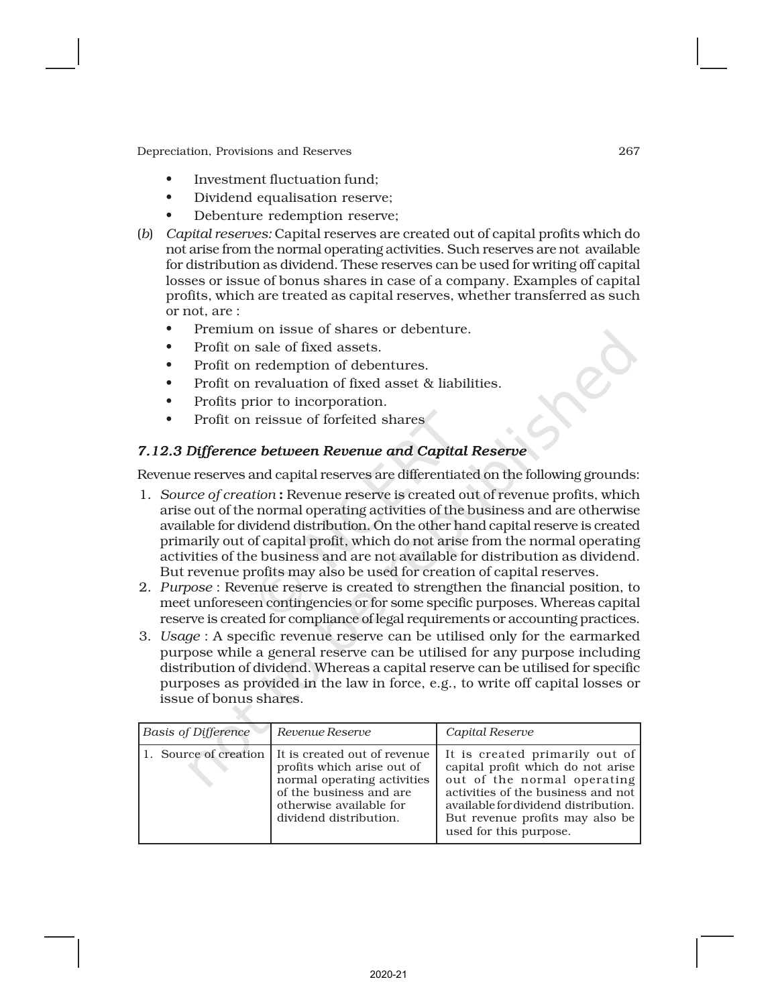- Investment fluctuation fund;
- Dividend equalisation reserve;
- Debenture redemption reserve;
- (*b*) *Capital reserves:* Capital reserves are created out of capital profits which do not arise from the normal operating activities. Such reserves are not available for distribution as dividend. These reserves can be used for writing off capital losses or issue of bonus shares in case of a company. Examples of capital profits, which are treated as capital reserves, whether transferred as such or not, are :
	- Premium on issue of shares or debenture.
	- Profit on sale of fixed assets.
	- Profit on redemption of debentures.
	- Profit on revaluation of fixed asset & liabilities.
	- Profits prior to incorporation.
	- Profit on reissue of forfeited shares

# *7.12.3 Difference between Revenue and Capital Reserve*

Revenue reserves and capital reserves are differentiated on the following grounds:

- 1*. Source of creation* : Revenue reserve is created out of revenue profits, which arise out of the normal operating activities of the business and are otherwise available for dividend distribution. On the other hand capital reserve is created primarily out of capital profit, which do not arise from the normal operating activities of the business and are not available for distribution as dividend. But revenue profits may also be used for creation of capital reserves.
- 2*. Purpose* : Revenue reserve is created to strengthen the financial position, to meet unforeseen contingencies or for some specific purposes. Whereas capital reserve is created for compliance of legal requirements or accounting practices.
- 3. *Usage* : A specific revenue reserve can be utilised only for the earmarked purpose while a general reserve can be utilised for any purpose including distribution of dividend. Whereas a capital reserve can be utilised for specific purposes as provided in the law in force, e.g., to write off capital losses or issue of bonus shares.

| <b>Basis of Difference</b> | Revenue Reserve                                                                                                                                                                                   | Capital Reserve                                                                                                                                                                                                                               |
|----------------------------|---------------------------------------------------------------------------------------------------------------------------------------------------------------------------------------------------|-----------------------------------------------------------------------------------------------------------------------------------------------------------------------------------------------------------------------------------------------|
|                            | 1. Source of creation   It is created out of revenue<br>profits which arise out of<br>normal operating activities<br>of the business and are<br>otherwise available for<br>dividend distribution. | It is created primarily out of<br>capital profit which do not arise<br>out of the normal operating<br>activities of the business and not<br>available for dividend distribution.<br>But revenue profits may also be<br>used for this purpose. |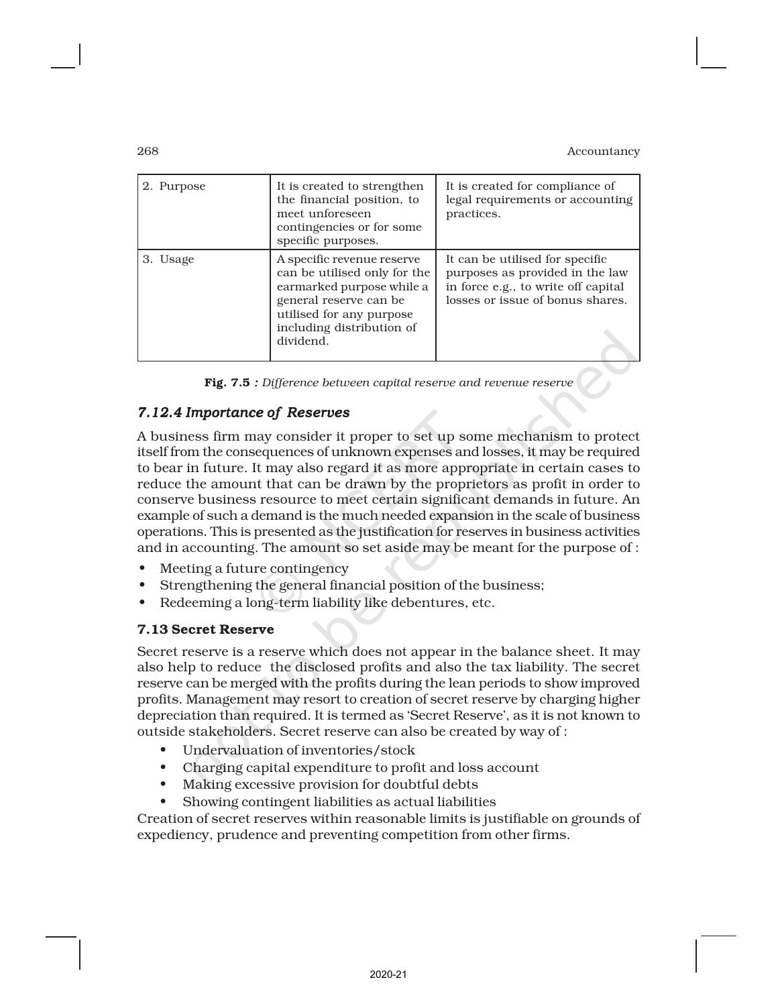| 2. Purpose | It is created to strengthen<br>the financial position, to<br>meet unforeseen                                                                                                            | It is created for compliance of<br>legal requirements or accounting<br>practices.                                                             |  |
|------------|-----------------------------------------------------------------------------------------------------------------------------------------------------------------------------------------|-----------------------------------------------------------------------------------------------------------------------------------------------|--|
|            | contingencies or for some<br>specific purposes.                                                                                                                                         |                                                                                                                                               |  |
| 3. Usage   | A specific revenue reserve<br>can be utilised only for the<br>earmarked purpose while a<br>general reserve can be<br>utilised for any purpose<br>including distribution of<br>dividend. | It can be utilised for specific<br>purposes as provided in the law<br>in force e.g., to write off capital<br>losses or issue of bonus shares. |  |

Fig. 7.5 *: Difference between capital reserve and revenue reserve*

# *7.12.4 Importance of Reserves*

A business firm may consider it proper to set up some mechanism to protect itself from the consequences of unknown expenses and losses, it may be required to bear in future. It may also regard it as more appropriate in certain cases to reduce the amount that can be drawn by the proprietors as profit in order to conserve business resource to meet certain significant demands in future. An example of such a demand is the much needed expansion in the scale of business operations. This is presented as the justification for reserves in business activities and in accounting. The amount so set aside may be meant for the purpose of :

- Meeting a future contingency
- Strengthening the general financial position of the business;
- Redeeming a long-term liability like debentures, etc.

### 7.13 Secret Reserve

Secret reserve is a reserve which does not appear in the balance sheet. It may also help to reduce the disclosed profits and also the tax liability. The secret reserve can be merged with the profits during the lean periods to show improved profits. Management may resort to creation of secret reserve by charging higher depreciation than required. It is termed as 'Secret Reserve', as it is not known to outside stakeholders. Secret reserve can also be created by way of :

- Undervaluation of inventories/stock
- Charging capital expenditure to profit and loss account
- Making excessive provision for doubtful debts
- Showing contingent liabilities as actual liabilities

Creation of secret reserves within reasonable limits is justifiable on grounds of expediency, prudence and preventing competition from other firms.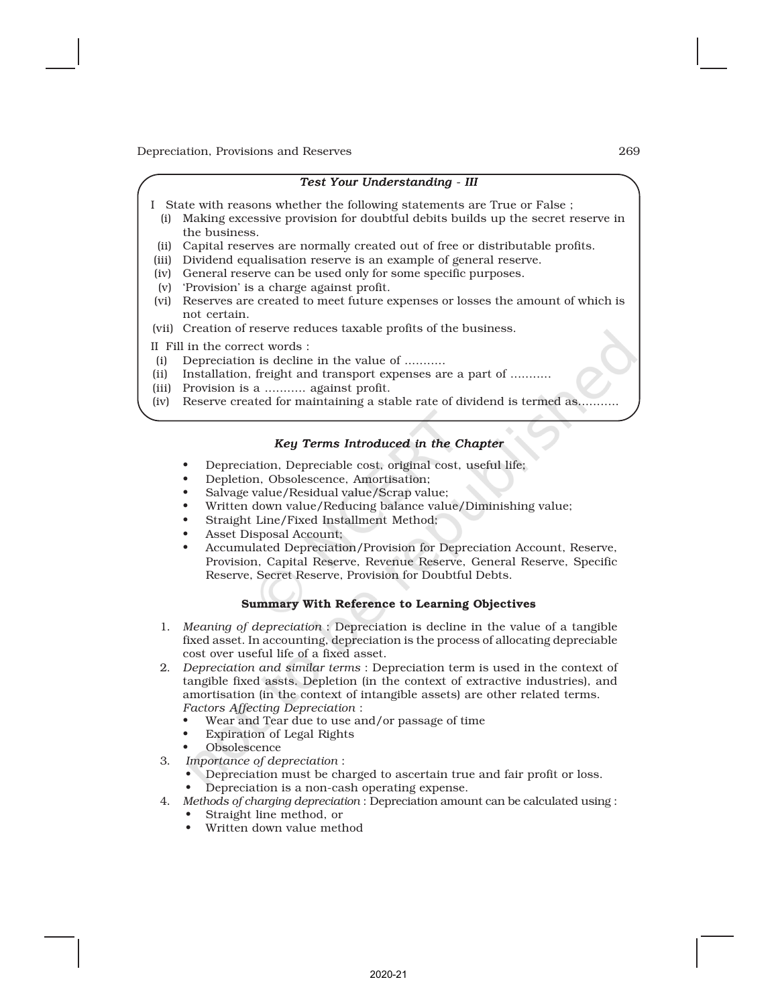#### *Test Your Understanding - III*

- I State with reasons whether the following statements are True or False ;
- (i) Making excessive provision for doubtful debits builds up the secret reserve in the business.
- (ii) Capital reserves are normally created out of free or distributable profits.
- (iii) Dividend equalisation reserve is an example of general reserve.
- (iv) General reserve can be used only for some specific purposes.
- (v) 'Provision' is a charge against profit.
- (vi) Reserves are created to meet future expenses or losses the amount of which is not certain.
- (vii) Creation of reserve reduces taxable profits of the business.
- II Fill in the correct words :
- (i) Depreciation is decline in the value of ...........
- (ii) Installation, freight and transport expenses are a part of ...........
- (iii) Provision is a ........... against profit.
- (iv) Reserve created for maintaining a stable rate of dividend is termed as...........

#### *Key Terms Introduced in the Chapter*

- Depreciation, Depreciable cost, original cost, useful life;
- Depletion, Obsolescence, Amortisation;
- Salvage value/Residual value/Scrap value;
- Written down value/Reducing balance value/Diminishing value;
- Straight Line/Fixed Installment Method;
- Asset Disposal Account;
- Accumulated Depreciation/Provision for Depreciation Account, Reserve, Provision, Capital Reserve, Revenue Reserve, General Reserve, Specific Reserve, Secret Reserve, Provision for Doubtful Debts.

#### Summary With Reference to Learning Objectives

- 1. *Meaning of depreciation* :Depreciation is decline in the value of a tangible fixed asset. In accounting, depreciation is the process of allocating depreciable cost over useful life of a fixed asset.
- 2. *Depreciation and similar terms* : Depreciation term is used in the context of tangible fixed assts. Depletion (in the context of extractive industries), and amortisation (in the context of intangible assets) are other related terms. *Factors Affecting Depreciation* :
	- Wear and Tear due to use and/or passage of time
	- Expiration of Legal Rights
	- **Obsolescence**
- 3. *Importance of depreciation* :
	- Depreciation must be charged to ascertain true and fair profit or loss.
	- Depreciation is a non-cash operating expense.
- 4. *Methods of charging depreciation* :Depreciation amount can be calculated using :
	- Straight line method, or
	- Written down value method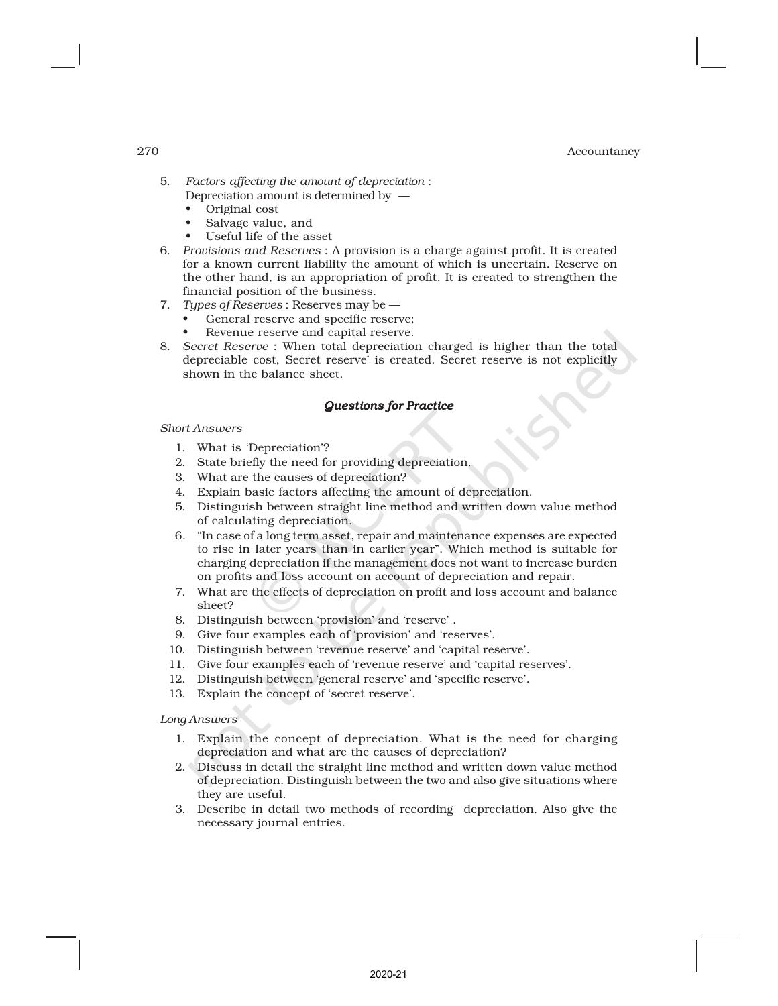- 5. *Factors affecting the amount of depreciation* : Depreciation amount is determined by —
	- Original cost
	- Salvage value, and
	- Useful life of the asset
- 6. *Provisions and Reserves* : A provision is a charge against profit. It is created for a known current liability the amount of which is uncertain. Reserve on the other hand, is an appropriation of profit. It is created to strengthen the financial position of the business.
- 7. *Types of Reserves* : Reserves may be
	- General reserve and specific reserve;
	- Revenue reserve and capital reserve.
- 8. *Secret Reserve* :When total depreciation charged is higher than the total depreciable cost, Secret reserve' is created. Secret reserve is not explicitly shown in the balance sheet.

#### *Questions for Practice*

#### *Short Answers*

- 1. What is 'Depreciation'?
- 2. State briefly the need for providing depreciation.
- 3. What are the causes of depreciation?
- 4. Explain basic factors affecting the amount of depreciation.
- 5. Distinguish between straight line method and written down value method of calculating depreciation.
- 6. "In case of a long term asset, repair and maintenance expenses are expected to rise in later years than in earlier year". Which method is suitable for charging depreciation if the management does not want to increase burden on profits and loss account on account of depreciation and repair.
- 7. What are the effects of depreciation on profit and loss account and balance sheet?
- 8. Distinguish between 'provision' and 'reserve' .
- 9. Give four examples each of 'provision' and 'reserves'.
- 10. Distinguish between 'revenue reserve' and 'capital reserve'.
- 11. Give four examples each of 'revenue reserve' and 'capital reserves'.
- 12. Distinguish between 'general reserve' and 'specific reserve'.
- 13. Explain the concept of 'secret reserve'.

#### *Long Answers*

- 1. Explain the concept of depreciation. What is the need for charging depreciation and what are the causes of depreciation?
- 2. Discuss in detail the straight line method and written down value method of depreciation. Distinguish between the two and also give situations where they are useful.
- 3. Describe in detail two methods of recording depreciation. Also give the necessary journal entries.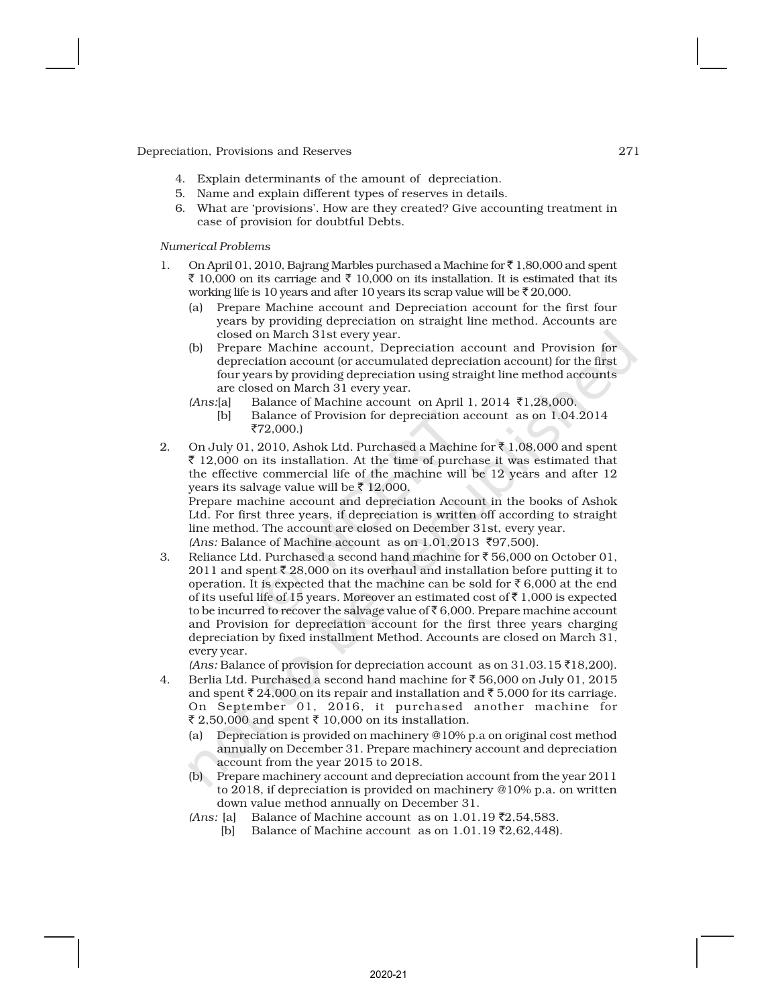- 4. Explain determinants of the amount of depreciation.
- 5. Name and explain different types of reserves in details.
- 6. What are 'provisions'. How are they created? Give accounting treatment in case of provision for doubtful Debts.

*Numerical Problems*

- 1. On April 01, 2010, Bajrang Marbles purchased a Machine for  $\bar{z}$  1,80,000 and spent ₹ 10,000 on its carriage and ₹ 10,000 on its installation. It is estimated that its working life is 10 years and after 10 years its scrap value will be  $\bar{z}$  20,000.
	- (a) Prepare Machine account and Depreciation account for the first four years by providing depreciation on straight line method. Accounts are closed on March 31st every year.
	- (b) Prepare Machine account, Depreciation account and Provision for depreciation account (or accumulated depreciation account) for the first four years by providing depreciation using straight line method accounts are closed on March 31 every year.
	- $(Ans:[a]$  Balance of Machine account on April 1, 2014  $\bar{\tau}$ 1,28,000. [b] Balance of Provision for depreciation account as on 1.04.2014 ₹72,000.)
- 2. On July 01, 2010, Ashok Ltd. Purchased a Machine for  $\bar{\tau}$  1,08,000 and spent  $\bar{\tau}$  12,000 on its installation. At the time of purchase it was estimated that the effective commercial life of the machine will be 12 years and after 12 years its salvage value will be  $\bar{z}$  12,000. Prepare machine account and depreciation Account in the books of Ashok Ltd. For first three years, if depreciation is written off according to straight line method. The account are closed on December 31st, every year.
	- $(Ans: Balance of Machine account as on 1.01.2013 ₹97,500).$
- 3. Reliance Ltd. Purchased a second hand machine for  $\bar{\tau}$  56,000 on October 01, 2011 and spent  $\bar{z}$  28,000 on its overhaul and installation before putting it to operation. It is expected that the machine can be sold for  $\bar{e}$  6,000 at the end of its useful life of 15 years. Moreover an estimated cost of  $\bar{\tau}$  1,000 is expected to be incurred to recover the salvage value of  $\bar{\epsilon}$  6,000. Prepare machine account and Provision for depreciation account for the first three years charging depreciation by fixed installment Method. Accounts are closed on March 31, every year.

 $(Ans: \text{Balance of provision for depreciation account as on } 31.03.15 ₹18,200).$ 

- 4. Berlia Ltd. Purchased a second hand machine for  $\bar{z}$  56,000 on July 01, 2015 and spent  $\bar{\tau}$  24,000 on its repair and installation and  $\bar{\tau}$  5,000 for its carriage. On September 01, 2016, it purchased another machine for ₹ 2,50,000 and spent ₹ 10,000 on its installation.
	- (a) Depreciation is provided on machinery @10% p.a on original cost method annually on December 31. Prepare machinery account and depreciation account from the year 2015 to 2018.
	- (b) Prepare machinery account and depreciation account from the year 2011 to 2018, if depreciation is provided on machinery @10% p.a. on written down value method annually on December 31.
	- $(Ans: [a]$  Balance of Machine account as on 1.01.19 ₹2,54,583. [b] Balance of Machine account as on  $1.01.19$   $\bar{z}2.62.448$ .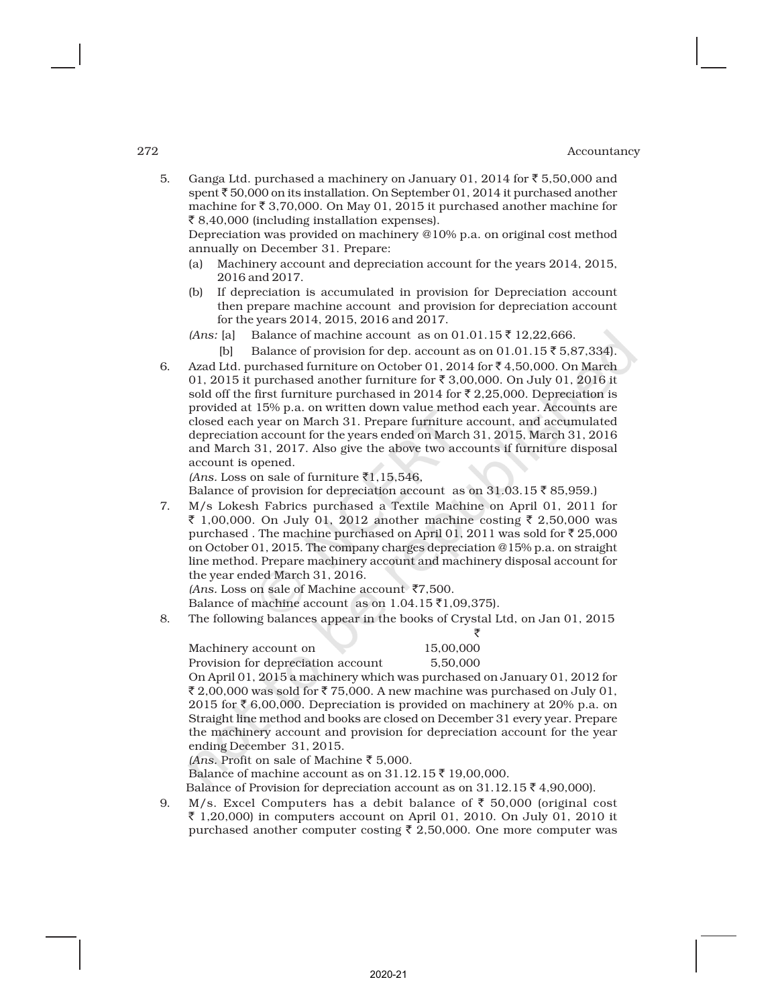5. Ganga Ltd. purchased a machinery on January 01, 2014 for  $\bar{\tau}$  5,50,000 and spent  $\bar{\tau}$  50,000 on its installation. On September 01, 2014 it purchased another machine for  $\bar{z}$  3,70,000. On May 01, 2015 it purchased another machine for ₹ 8,40,000 (including installation expenses).

Depreciation was provided on machinery @10% p.a. on original cost method annually on December 31. Prepare:

- (a) Machinery account and depreciation account for the years 2014, 2015, 2016 and 2017.
- (b) If depreciation is accumulated in provision for Depreciation account then prepare machine account and provision for depreciation account for the years 2014, 2015, 2016 and 2017.
- *(Ans:* [a] Balance of machine account as on  $01.01.15 \bar{z}$  12,22,666.

[b] Balance of provision for dep. account as on  $01.01.15 \, \bar{5} \, 5.87,334$ .

6. Azad Ltd. purchased furniture on October 01, 2014 for  $\bar{\tau}$  4,50,000. On March 01, 2015 it purchased another furniture for  $\bar{\tau}$  3,00,000. On July 01, 2016 it sold off the first furniture purchased in 2014 for  $\bar{\tau}$  2,25,000. Depreciation is provided at 15% p.a. on written down value method each year. Accounts are closed each year on March 31. Prepare furniture account, and accumulated depreciation account for the years ended on March 31, 2015, March 31, 2016 and March 31, 2017. Also give the above two accounts if furniture disposal account is opened.

*(Ans.* Loss on sale of furniture  $\bar{x}$ 1,15,546,

Balance of provision for depreciation account as on  $31.03.15 \, \text{\textdegree{}}\, 85.959$ .

7. M/s Lokesh Fabrics purchased a Textile Machine on April 01, 2011 for ₹ 1,00,000. On July 01, 2012 another machine costing  $\bar{\tau}$  2,50,000 was purchased . The machine purchased on April 01, 2011 was sold for  $\bar{\tau}$  25,000 on October 01, 2015. The company charges depreciation @15% p.a. on straight line method. Prepare machinery account and machinery disposal account for the year ended March 31, 2016.

*(Ans.* Loss on sale of Machine account  $\bar{z}$ 7,500.

Balance of machine account as on  $1.04.15 \, \text{eV}$ ,09,375).

8. The following balances appear in the books of Crystal Ltd, on Jan 01, 2015

| Machinery account on               | 15,00,000 |
|------------------------------------|-----------|
| Provision for depreciation account | 5.50.000  |

On April 01, 2015 a machinery which was purchased on January 01, 2012 for ₹ 2,00,000 was sold for ₹ 75,000. A new machine was purchased on July 01, 2015 for  $\bar{\tau}$  6,00,000. Depreciation is provided on machinery at 20% p.a. on Straight line method and books are closed on December 31 every year. Prepare the machinery account and provision for depreciation account for the year ending December 31, 2015.

*(Ans.* Profit on sale of Machine ₹ 5,000.

Balance of machine account as on  $31.12.15$ ₹ 19,00,000.

Balance of Provision for depreciation account as on  $31.12.15 \, \text{F}$  4,90,000).

9. M/s. Excel Computers has a debit balance of  $\bar{\tau}$  50,000 (original cost ₹ 1,20,000) in computers account on April 01, 2010. On July 01, 2010 it purchased another computer costing  $\bar{\xi}$  2,50,000. One more computer was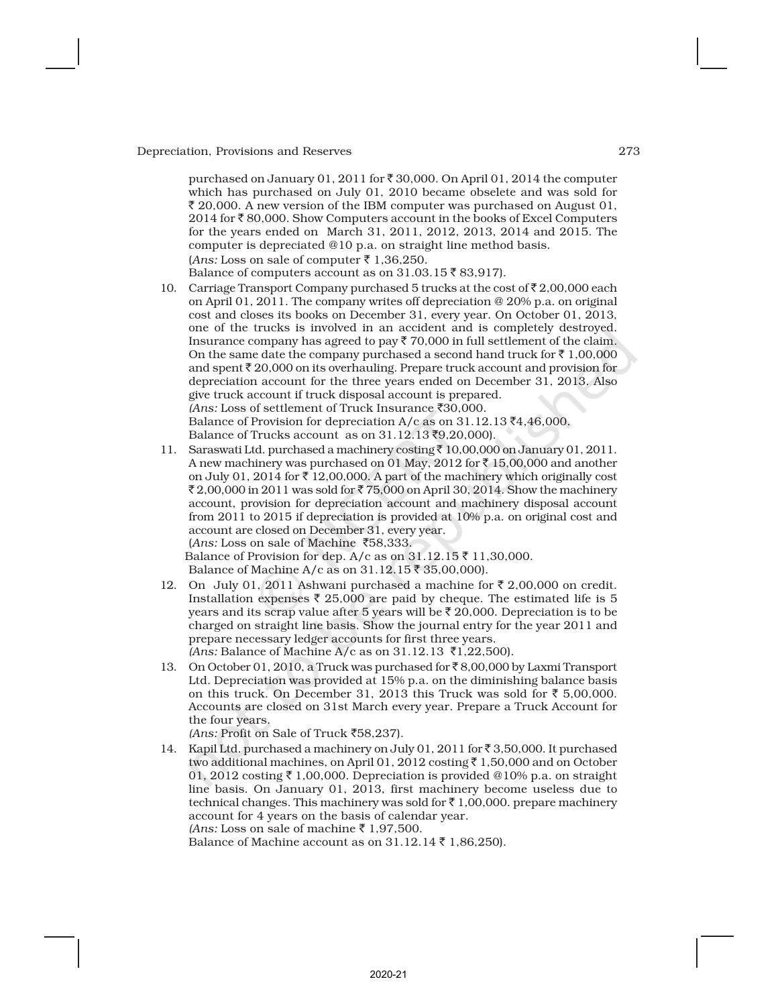purchased on January 01, 2011 for  $\bar{\tau}$  30,000. On April 01, 2014 the computer which has purchased on July 01, 2010 became obselete and was sold for  $\bar{\xi}$  20,000. A new version of the IBM computer was purchased on August 01, 2014 for ` 80,000. Show Computers account in the books of Excel Computers for the years ended on March 31, 2011, 2012, 2013, 2014 and 2015. The computer is depreciated @10 p.a. on straight line method basis.  $(Ans: Loss on sale of computer \t{7} 1,36,250.$ 

Balance of computers account as on 31.03.15 ₹83,917).

- 10. Carriage Transport Company purchased 5 trucks at the cost of  $\bar{\tau}$  2,00,000 each on April 01, 2011. The company writes off depreciation @ 20% p.a. on original cost and closes its books on December 31, every year. On October 01, 2013, one of the trucks is involved in an accident and is completely destroyed. Insurance company has agreed to pay  $\bar{\tau}$  70,000 in full settlement of the claim. On the same date the company purchased a second hand truck for  $\bar{\tau}$  1,00,000 and spent  $\bar{z}$  20,000 on its overhauling. Prepare truck account and provision for depreciation account for the three years ended on December 31, 2013. Also give truck account if truck disposal account is prepared.  $(Ans: Loss of settlement of Truek Insurance ₹30,000.$ Balance of Provision for depreciation A/c as on  $31.12.13$   $\bar{z}4.46,000$ . Balance of Trucks account as on  $31.12.13$ ₹9,20,000).
- 11. Saraswati Ltd. purchased a machinery costing  $\bar{z}$  10,00,000 on January 01, 2011. A new machinery was purchased on 01 May, 2012 for  $\bar{\tau}$  15,00,000 and another on July 01, 2014 for  $\bar{\tau}$  12,00,000. A part of the machinery which originally cost  $\bar{\mathcal{F}}$  2,00,000 in 2011 was sold for  $\bar{\mathcal{F}}$  75,000 on April 30, 2014. Show the machinery account, provision for depreciation account and machinery disposal account from 2011 to 2015 if depreciation is provided at 10% p.a. on original cost and account are closed on December 31, every year. (*Ans:* Loss on sale of Machine `58,333. Balance of Provision for dep. A/c as on  $31.12.15 \bar{\tau}$  11,30,000. Balance of Machine A/c as on 31.12.15 ₹ 35,00,000).
- 12. On July 01, 2011 Ashwani purchased a machine for  $\bar{\tau}$  2,00,000 on credit. Installation expenses  $\bar{\tau}$  25,000 are paid by cheque. The estimated life is 5 years and its scrap value after 5 years will be  $\bar{\tau}$  20,000. Depreciation is to be charged on straight line basis. Show the journal entry for the year 2011 and prepare necessary ledger accounts for first three years.  $(Ans: Balance of Machine A/c as on 31.12.13 ₹1,22,500).$
- 13. On October 01, 2010, a Truck was purchased for  $\bar{\tau}$  8,00,000 by Laxmi Transport Ltd. Depreciation was provided at 15% p.a. on the diminishing balance basis on this truck. On December 31, 2013 this Truck was sold for  $\bar{\tau}$  5,00,000. Accounts are closed on 31st March every year. Prepare a Truck Account for the four years.
	- *(Ans:* Profit on Sale of Truck `58,237).
- 14. Kapil Ltd. purchased a machinery on July 01, 2011 for  $\bar{\tau}$  3,50,000. It purchased two additional machines, on April 01, 2012 costing  $\bar{\tau}$  1,50,000 and on October 01, 2012 costing  $\bar{\tau}$  1,00,000. Depreciation is provided @10% p.a. on straight line basis. On January 01, 2013, first machinery become useless due to technical changes. This machinery was sold for  $\bar{\tau}$  1,00,000. prepare machinery account for 4 years on the basis of calendar year. *(Ans:* Loss on sale of machine  $\bar{\tau}$  1.97,500.

Balance of Machine account as on  $31.12.14 \, \text{F}$  1,86,250).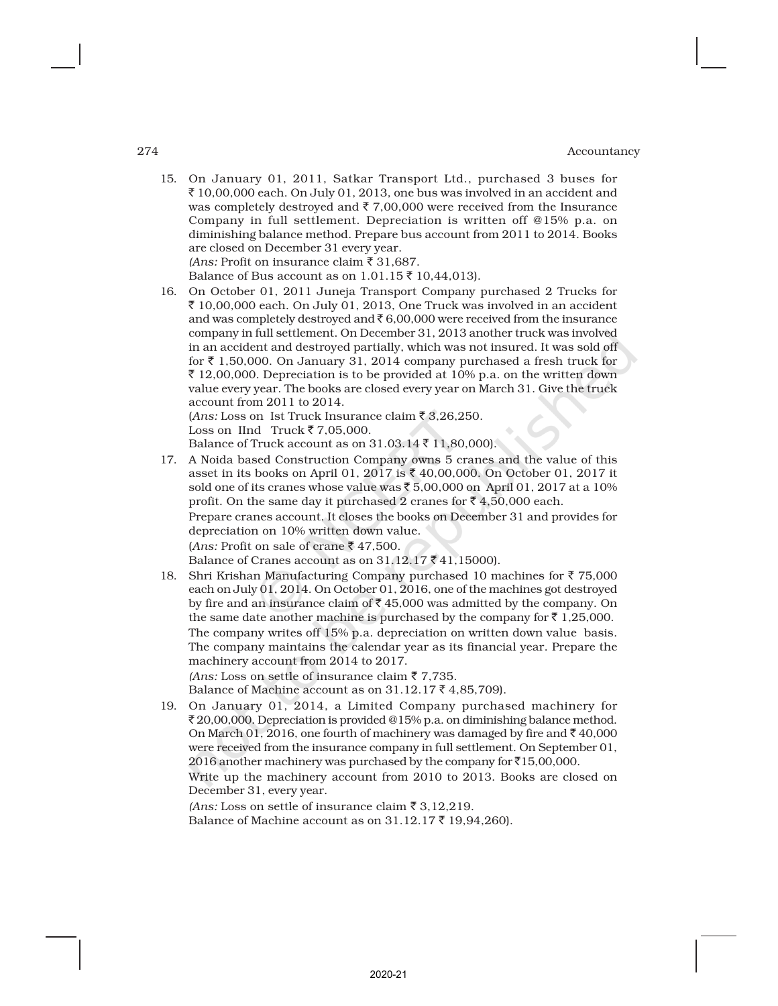15. On January 01, 2011, Satkar Transport Ltd., purchased 3 buses for  $\bar{\xi}$  10,00,000 each. On July 01, 2013, one bus was involved in an accident and was completely destroyed and  $\bar{\tau}$  7,00,000 were received from the Insurance Company in full settlement. Depreciation is written off @15% p.a. on diminishing balance method. Prepare bus account from 2011 to 2014. Books are closed on December 31 every year. *(Ans: Profit on insurance claim*  $\bar{F}$  31,687.

Balance of Bus account as on 1.01.15 ₹ 10,44,013).

16. On October 01, 2011 Juneja Transport Company purchased 2 Trucks for  $\bar{\xi}$  10,00,000 each. On July 01, 2013, One Truck was involved in an accident and was completely destroyed and  $\bar{\epsilon}$  6,00,000 were received from the insurance company in full settlement. On December 31, 2013 another truck was involved in an accident and destroyed partially, which was not insured. It was sold off for  $\bar{\tau}$  1,50,000. On January 31, 2014 company purchased a fresh truck for  $\bar{\xi}$  12,00,000. Depreciation is to be provided at 10% p.a. on the written down value every year. The books are closed every year on March 31. Give the truck account from 2011 to 2014. (*Ans:* Loss on Ist Truck Insurance claim  $\bar{z}$  3,26,250. Loss on IInd Truck  $\overline{5}$  7,05,000.

Balance of Truck account as on  $31.03.14 \bar{\tau}$  11,80,000).

17. A Noida based Construction Company owns 5 cranes and the value of this asset in its books on April 01, 2017 is ₹ 40,00,000. On October 01, 2017 it sold one of its cranes whose value was  $\bar{c}$  5,00,000 on April 01, 2017 at a 10% profit. On the same day it purchased 2 cranes for  $\bar{z}$  4,50,000 each. Prepare cranes account. It closes the books on December 31 and provides for depreciation on 10% written down value. (*Ans:* Profit on sale of crane  $\bar{\tau}$  47,500.

Balance of Cranes account as on  $31.12.17 \, \text{F}$  41,15000).

- 18. Shri Krishan Manufacturing Company purchased 10 machines for  $\bar{\tau}$  75,000 each on July 01, 2014. On October 01, 2016, one of the machines got destroyed by fire and an insurance claim of  $\bar{\tau}$  45,000 was admitted by the company. On the same date another machine is purchased by the company for  $\bar{\tau}$  1,25,000. The company writes off 15% p.a. depreciation on written down value basis. The company maintains the calendar year as its financial year. Prepare the machinery account from 2014 to 2017. *(Ans:* Loss on settle of insurance claim  $\bar{z}$  7,735. Balance of Machine account as on  $31.12.17$   $\bar{z}$  4,85,709).
- 19. On January 01, 2014, a Limited Company purchased machinery for ₹ 20,00,000. Depreciation is provided @15% p.a. on diminishing balance method. On March 01, 2016, one fourth of machinery was damaged by fire and  $\bar{\tau}$  40,000 were received from the insurance company in full settlement. On September 01, 2016 another machinery was purchased by the company for  $\bar{x}$ 15,00,000. Write up the machinery account from 2010 to 2013. Books are closed on December 31, every year.

*(Ans:* Loss on settle of insurance claim  $\bar{\tau}$  3,12,219.

Balance of Machine account as on  $31.12.17$  ₹ 19,94,260).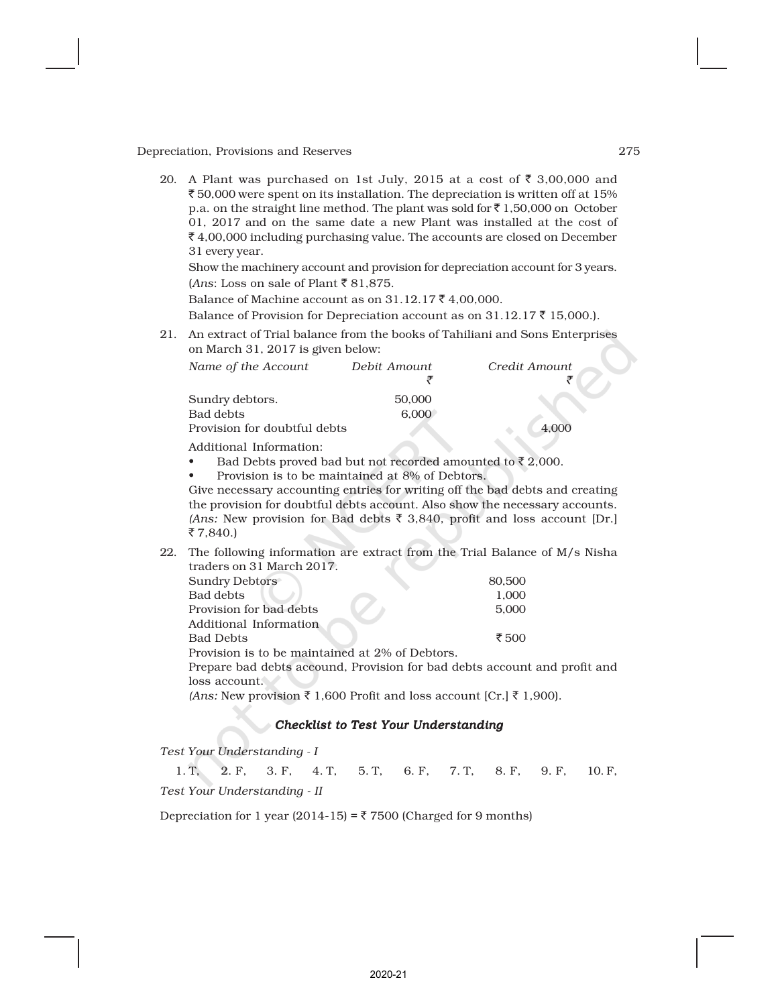20. A Plant was purchased on 1st July, 2015 at a cost of  $\bar{\tau}$  3,00,000 and  $\bar{\xi}$  50,000 were spent on its installation. The depreciation is written off at 15% p.a. on the straight line method. The plant was sold for  $\bar{z}$  1,50,000 on October 01, 2017 and on the same date a new Plant was installed at the cost of  $\bar{\xi}$  4,00,000 including purchasing value. The accounts are closed on December 31 every year.

Show the machinery account and provision for depreciation account for 3 years.  $(Ans: Loss on sale of Plant ₹81,875.$ 

Balance of Machine account as on  $31.12.17 \, \text{F}$  4,00,000.

Balance of Provision for Depreciation account as on  $31.12.17 \, \text{\textsterling}$  15,000.).

21. An extract of Trial balance from the books of Tahiliani and Sons Enterprises on March 31, 2017 is given below:

| Name of the Account          | Debit Amount | Credit Amount |  |
|------------------------------|--------------|---------------|--|
|                              |              |               |  |
| Sundry debtors.              | 50,000       |               |  |
| Bad debts                    | 6.000        |               |  |
| Provision for doubtful debts |              |               |  |

Additional Information:

- Bad Debts proved bad but not recorded amounted to  $\bar{\tau}$  2,000.
- Provision is to be maintained at 8% of Debtors.

Give necessary accounting entries for writing off the bad debts and creating the provision for doubtful debts account. Also show the necessary accounts. *(Ans:* New provision for Bad debts  $\bar{\tau}$  3,840, profit and loss account [Dr.]  $\bar{5}$  7,840.)

22. The following information are extract from the Trial Balance of  $M/s$  Nisha traders on 31 March 2017.

| Sundry Debtors          | 80,500 |
|-------------------------|--------|
| Bad debts               | 1.000  |
| Provision for bad debts | 5.000  |
| Additional Information  |        |
| <b>Bad Debts</b>        | ₹ 500  |
| $1.001$ $CD11$          |        |

Provision is to be maintained at 2% of Debtors.

Prepare bad debts accound, Provision for bad debts account and profit and loss account.

*(Ans:* New provision ₹ 1,600 Profit and loss account [Cr.] ₹ 1,900).

#### *Checklist to Test Your Understanding*

*Test Your Understanding - I*

1. T, 2. F, 3. F, 4. T, 5. T, 6. F, 7. T, 8. F, 9. F, 10. F, *Test Your Understanding - II*

2020-21

Depreciation for 1 year (2014-15) =  $\overline{\xi}$  7500 (Charged for 9 months)